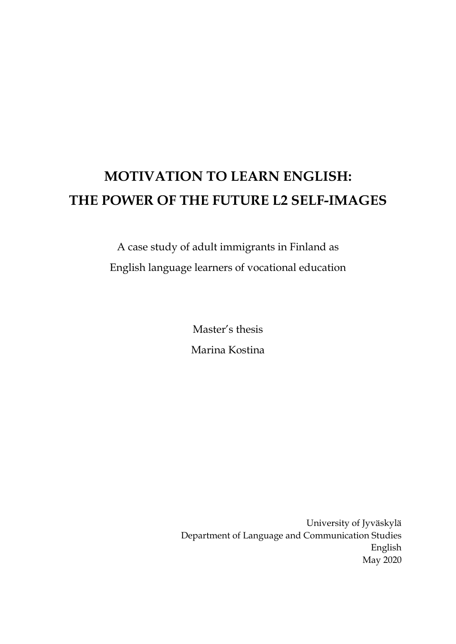# **MOTIVATION TO LEARN ENGLISH: THE POWER OF THE FUTURE L2 SELF-IMAGES**

A case study of adult immigrants in Finland as English language learners of vocational education

> Master's thesis Marina Kostina

University of Jyväskylä Department of Language and Communication Studies English May 2020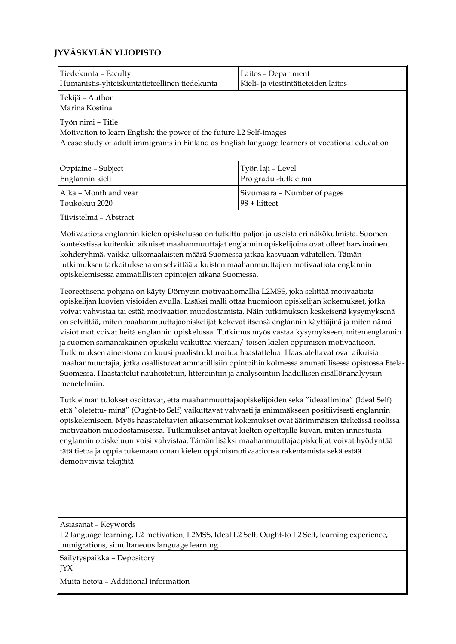# **JYVÄSKYLÄN YLIOPISTO**

| Tiedekunta - Faculty<br>Humanistis-yhteiskuntatieteellinen tiedekunta                                                                                                                                                                                                                                                                                                                                                                                                                                                                                                                                                                                                                                                                                | Laitos - Department<br>Kieli- ja viestintätieteiden laitos |  |  |
|------------------------------------------------------------------------------------------------------------------------------------------------------------------------------------------------------------------------------------------------------------------------------------------------------------------------------------------------------------------------------------------------------------------------------------------------------------------------------------------------------------------------------------------------------------------------------------------------------------------------------------------------------------------------------------------------------------------------------------------------------|------------------------------------------------------------|--|--|
| Tekijä - Author<br>Marina Kostina                                                                                                                                                                                                                                                                                                                                                                                                                                                                                                                                                                                                                                                                                                                    |                                                            |  |  |
| Työn nimi - Title<br>Motivation to learn English: the power of the future L2 Self-images<br>A case study of adult immigrants in Finland as English language learners of vocational education                                                                                                                                                                                                                                                                                                                                                                                                                                                                                                                                                         |                                                            |  |  |
| Oppiaine - Subject<br>Englannin kieli                                                                                                                                                                                                                                                                                                                                                                                                                                                                                                                                                                                                                                                                                                                | Työn laji - Level<br>Pro gradu -tutkielma                  |  |  |
| Aika - Month and year<br>Toukokuu 2020                                                                                                                                                                                                                                                                                                                                                                                                                                                                                                                                                                                                                                                                                                               | Sivumäärä - Number of pages<br>98 + liitteet               |  |  |
| Tiivistelmä - Abstract                                                                                                                                                                                                                                                                                                                                                                                                                                                                                                                                                                                                                                                                                                                               |                                                            |  |  |
| Motivaatiota englannin kielen opiskelussa on tutkittu paljon ja useista eri näkökulmista. Suomen<br>kontekstissa kuitenkin aikuiset maahanmuuttajat englannin opiskelijoina ovat olleet harvinainen<br>kohderyhmä, vaikka ulkomaalaisten määrä Suomessa jatkaa kasvuaan vähitellen. Tämän<br>tutkimuksen tarkoituksena on selvittää aikuisten maahanmuuttajien motivaatiota englannin<br>opiskelemisessa ammatillisten opintojen aikana Suomessa.<br>Teoreettisena pohjana on käyty Dörnyein motivaatiomallia L2MSS, joka selittää motivaatiota<br>opiskelijan luovien visioiden avulla. Lisäksi malli ottaa huomioon opiskelijan kokemukset, jotka<br>voivat vahvistaa tai estää motivaation muodostamista. Näin tutkimuksen keskeisenä kysymyksenä |                                                            |  |  |
| on selvittää, miten maahanmuuttajaopiskelijat kokevat itsensä englannin käyttäjinä ja miten nämä<br>visiot motivoivat heitä englannin opiskelussa. Tutkimus myös vastaa kysymykseen, miten englannin<br>ja suomen samanaikainen opiskelu vaikuttaa vieraan/ toisen kielen oppimisen motivaatioon.<br>Tutkimuksen aineistona on kuusi puolistrukturoitua haastattelua. Haastateltavat ovat aikuisia<br>maahanmuuttajia, jotka osallistuvat ammatillisiin opintoihin kolmessa ammatillisessa opistossa Etelä-<br>Suomessa. Haastattelut nauhoitettiin, litterointiin ja analysointiin laadullisen sisällönanalyysiin<br>menetelmiin.                                                                                                                   |                                                            |  |  |
| Tutkielman tulokset osoittavat, että maahanmuuttajaopiskelijoiden sekä "ideaaliminä" (Ideal Self)<br>että "oletettu- minä" (Ought-to Self) vaikuttavat vahvasti ja enimmäkseen positiivisesti englannin<br>opiskelemiseen. Myös haastateltavien aikaisemmat kokemukset ovat äärimmäisen tärkeässä roolissa<br>motivaation muodostamisessa. Tutkimukset antavat kielten opettajille kuvan, miten innostusta<br>englannin opiskeluun voisi vahvistaa. Tämän lisäksi maahanmuuttajaopiskelijat voivat hyödyntää<br>tätä tietoa ja oppia tukemaan oman kielen oppimismotivaationsa rakentamista sekä estää<br>demotivoivia tekijöitä.                                                                                                                    |                                                            |  |  |
| Asiasanat - Keywords<br>L2 language learning, L2 motivation, L2MSS, Ideal L2 Self, Ought-to L2 Self, learning experience,<br>immigrations, simultaneous language learning                                                                                                                                                                                                                                                                                                                                                                                                                                                                                                                                                                            |                                                            |  |  |
| Säilytyspaikka - Depository<br>JYX                                                                                                                                                                                                                                                                                                                                                                                                                                                                                                                                                                                                                                                                                                                   |                                                            |  |  |

Muita tietoja – Additional information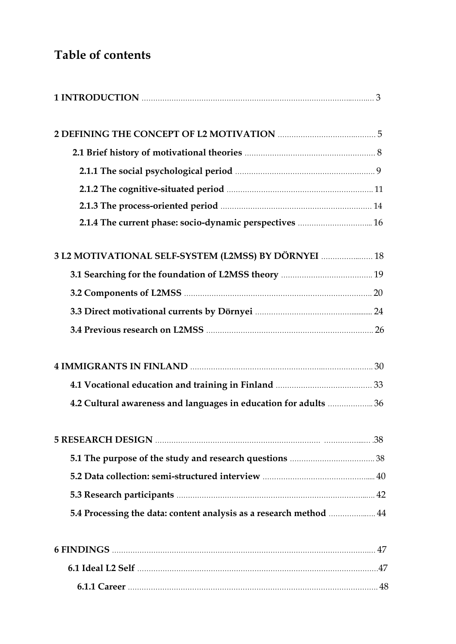# **Table of contents**

| 2.1.4 The current phase: socio-dynamic perspectives  16            |  |
|--------------------------------------------------------------------|--|
| 3 L2 MOTIVATIONAL SELF-SYSTEM (L2MSS) BY DÖRNYEI  18               |  |
|                                                                    |  |
|                                                                    |  |
|                                                                    |  |
|                                                                    |  |
|                                                                    |  |
|                                                                    |  |
| 4.2 Cultural awareness and languages in education for adults  36   |  |
|                                                                    |  |
|                                                                    |  |
|                                                                    |  |
|                                                                    |  |
| 5.4 Processing the data: content analysis as a research method  44 |  |
|                                                                    |  |
|                                                                    |  |
|                                                                    |  |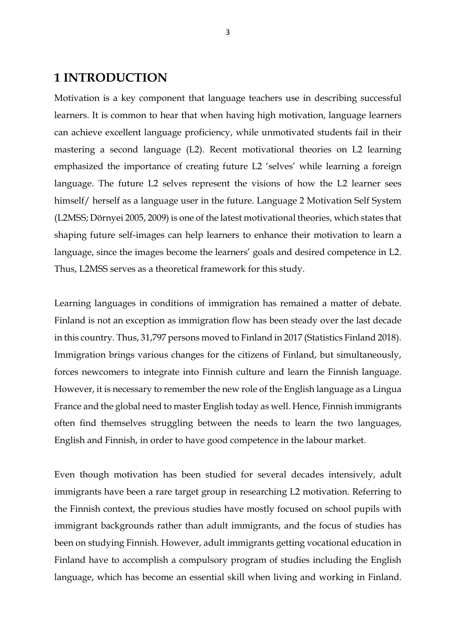# **1 INTRODUCTION**

Motivation is a key component that language teachers use in describing successful learners. It is common to hear that when having high motivation, language learners can achieve excellent language proficiency, while unmotivated students fail in their mastering a second language (L2). Recent motivational theories on L2 learning emphasized the importance of creating future L2 'selves' while learning a foreign language. The future L2 selves represent the visions of how the L2 learner sees himself/ herself as a language user in the future. Language 2 Motivation Self System (L2MSS; Dörnyei 2005, 2009) is one of the latest motivational theories, which states that shaping future self-images can help learners to enhance their motivation to learn a language, since the images become the learners' goals and desired competence in L2. Thus, L2MSS serves as a theoretical framework for this study.

Learning languages in conditions of immigration has remained a matter of debate. Finland is not an exception as immigration flow has been steady over the last decade in this country. Thus, 31,797 persons moved to Finland in 2017 (Statistics Finland 2018). Immigration brings various changes for the citizens of Finland, but simultaneously, forces newcomers to integrate into Finnish culture and learn the Finnish language. However, it is necessary to remember the new role of the English language as a Lingua France and the global need to master English today as well. Hence, Finnish immigrants often find themselves struggling between the needs to learn the two languages, English and Finnish, in order to have good competence in the labour market.

Even though motivation has been studied for several decades intensively, adult immigrants have been a rare target group in researching L2 motivation. Referring to the Finnish context, the previous studies have mostly focused on school pupils with immigrant backgrounds rather than adult immigrants, and the focus of studies has been on studying Finnish. However, adult immigrants getting vocational education in Finland have to accomplish a compulsory program of studies including the English language, which has become an essential skill when living and working in Finland.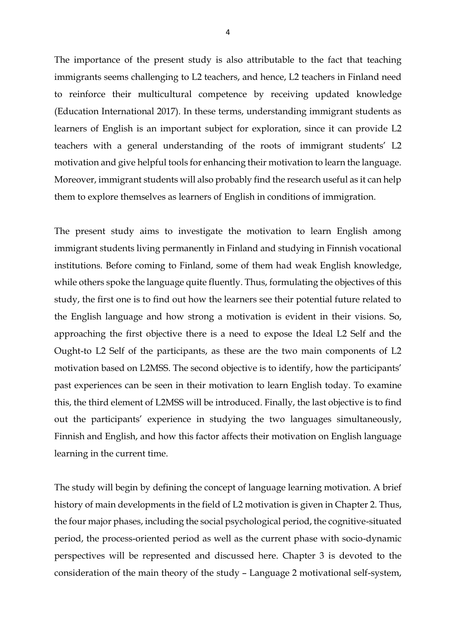The importance of the present study is also attributable to the fact that teaching immigrants seems challenging to L2 teachers, and hence, L2 teachers in Finland need to reinforce their multicultural competence by receiving updated knowledge (Education International 2017). In these terms, understanding immigrant students as learners of English is an important subject for exploration, since it can provide L2 teachers with a general understanding of the roots of immigrant students' L2 motivation and give helpful tools for enhancing their motivation to learn the language. Moreover, immigrant students will also probably find the research useful as it can help them to explore themselves as learners of English in conditions of immigration.

The present study aims to investigate the motivation to learn English among immigrant students living permanently in Finland and studying in Finnish vocational institutions. Before coming to Finland, some of them had weak English knowledge, while others spoke the language quite fluently. Thus, formulating the objectives of this study, the first one is to find out how the learners see their potential future related to the English language and how strong a motivation is evident in their visions. So, approaching the first objective there is a need to expose the Ideal L2 Self and the Ought-to L2 Self of the participants, as these are the two main components of L2 motivation based on L2MSS. The second objective is to identify, how the participants' past experiences can be seen in their motivation to learn English today. To examine this, the third element of L2MSS will be introduced. Finally, the last objective is to find out the participants' experience in studying the two languages simultaneously, Finnish and English, and how this factor affects their motivation on English language learning in the current time.

The study will begin by defining the concept of language learning motivation. A brief history of main developments in the field of L2 motivation is given in Chapter 2. Thus, the four major phases, including the social psychological period, the cognitive-situated period, the process-oriented period as well as the current phase with socio-dynamic perspectives will be represented and discussed here. Chapter 3 is devoted to the consideration of the main theory of the study – Language 2 motivational self-system,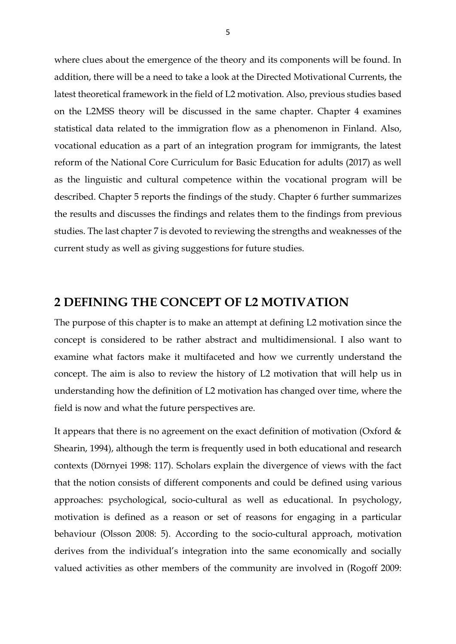where clues about the emergence of the theory and its components will be found. In addition, there will be a need to take a look at the Directed Motivational Currents, the latest theoretical framework in the field of L2 motivation. Also, previous studies based on the L2MSS theory will be discussed in the same chapter. Chapter 4 examines statistical data related to the immigration flow as a phenomenon in Finland. Also, vocational education as a part of an integration program for immigrants, the latest reform of the National Core Curriculum for Basic Education for adults (2017) as well as the linguistic and cultural competence within the vocational program will be described. Chapter 5 reports the findings of the study. Chapter 6 further summarizes the results and discusses the findings and relates them to the findings from previous studies. The last chapter 7 is devoted to reviewing the strengths and weaknesses of the current study as well as giving suggestions for future studies.

# **2 DEFINING THE CONCEPT OF L2 MOTIVATION**

The purpose of this chapter is to make an attempt at defining L2 motivation since the concept is considered to be rather abstract and multidimensional. I also want to examine what factors make it multifaceted and how we currently understand the concept. The aim is also to review the history of L2 motivation that will help us in understanding how the definition of L2 motivation has changed over time, where the field is now and what the future perspectives are.

It appears that there is no agreement on the exact definition of motivation (Oxford  $\&$ Shearin, 1994), although the term is frequently used in both educational and research contexts (Dörnyei 1998: 117). Scholars explain the divergence of views with the fact that the notion consists of different components and could be defined using various approaches: psychological, socio-cultural as well as educational. In psychology, motivation is defined as a reason or set of reasons for engaging in a particular behaviour (Olsson 2008: 5). According to the socio-cultural approach, motivation derives from the individual's integration into the same economically and socially valued activities as other members of the community are involved in (Rogoff 2009: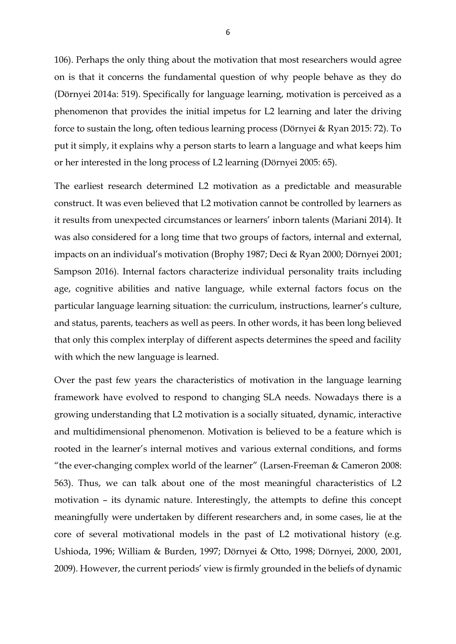106). Perhaps the only thing about the motivation that most researchers would agree on is that it concerns the fundamental question of why people behave as they do (Dörnyei 2014a: 519). Specifically for language learning, motivation is perceived as a phenomenon that provides the initial impetus for L2 learning and later the driving force to sustain the long, often tedious learning process (Dörnyei & Ryan 2015: 72). To put it simply, it explains why a person starts to learn a language and what keeps him or her interested in the long process of L2 learning (Dörnyei 2005: 65).

The earliest research determined L2 motivation as a predictable and measurable construct. It was even believed that L2 motivation cannot be controlled by learners as it results from unexpected circumstances or learners' inborn talents (Mariani 2014). It was also considered for a long time that two groups of factors, internal and external, impacts on an individual's motivation (Brophy 1987; Deci & Ryan 2000; Dörnyei 2001; Sampson 2016). Internal factors characterize individual personality traits including age, cognitive abilities and native language, while external factors focus on the particular language learning situation: the curriculum, instructions, learner's culture, and status, parents, teachers as well as peers. In other words, it has been long believed that only this complex interplay of different aspects determines the speed and facility with which the new language is learned.

Over the past few years the characteristics of motivation in the language learning framework have evolved to respond to changing SLA needs. Nowadays there is a growing understanding that L2 motivation is a socially situated, dynamic, interactive and multidimensional phenomenon. Motivation is believed to be a feature which is rooted in the learner's internal motives and various external conditions, and forms "the ever-changing complex world of the learner" (Larsen-Freeman & Cameron 2008: 563). Thus, we can talk about one of the most meaningful characteristics of L2 motivation – its dynamic nature. Interestingly, the attempts to define this concept meaningfully were undertaken by different researchers and, in some cases, lie at the core of several motivational models in the past of L2 motivational history (e.g. Ushioda, 1996; William & Burden, 1997; Dörnyei & Otto, 1998; Dörnyei, 2000, 2001, 2009). However, the current periods' view is firmly grounded in the beliefs of dynamic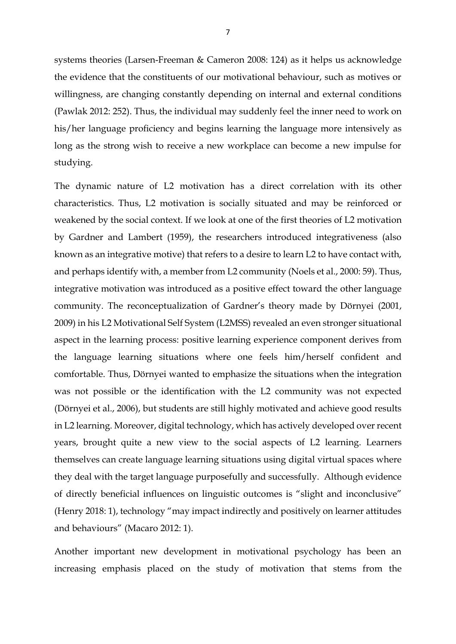systems theories (Larsen-Freeman & Cameron 2008: 124) as it helps us acknowledge the evidence that the constituents of our motivational behaviour, such as motives or willingness, are changing constantly depending on internal and external conditions (Pawlak 2012: 252). Thus, the individual may suddenly feel the inner need to work on his/her language proficiency and begins learning the language more intensively as long as the strong wish to receive a new workplace can become a new impulse for studying.

The dynamic nature of L2 motivation has a direct correlation with its other characteristics. Thus, L2 motivation is socially situated and may be reinforced or weakened by the social context. If we look at one of the first theories of L2 motivation by Gardner and Lambert (1959), the researchers introduced integrativeness (also known as an integrative motive) that refers to a desire to learn L2 to have contact with, and perhaps identify with, a member from L2 community (Noels et al., 2000: 59). Thus, integrative motivation was introduced as a positive effect toward the other language community. The reconceptualization of Gardner's theory made by Dörnyei (2001, 2009) in his L2 Motivational Self System (L2MSS) revealed an even stronger situational aspect in the learning process: positive learning experience component derives from the language learning situations where one feels him/herself confident and comfortable. Thus, Dörnyei wanted to emphasize the situations when the integration was not possible or the identification with the L2 community was not expected (Dörnyei et al., 2006), but students are still highly motivated and achieve good results in L2 learning. Moreover, digital technology, which has actively developed over recent years, brought quite a new view to the social aspects of L2 learning. Learners themselves can create language learning situations using digital virtual spaces where they deal with the target language purposefully and successfully. Although evidence of directly beneficial influences on linguistic outcomes is "slight and inconclusive" (Henry 2018: 1), technology "may impact indirectly and positively on learner attitudes and behaviours" (Macaro 2012: 1).

Another important new development in motivational psychology has been an increasing emphasis placed on the study of motivation that stems from the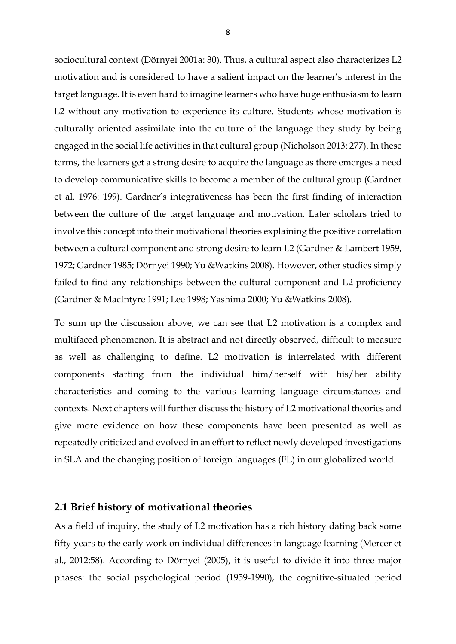sociocultural context (Dörnyei 2001a: 30). Thus, a cultural aspect also characterizes L2 motivation and is considered to have a salient impact on the learner's interest in the target language. It is even hard to imagine learners who have huge enthusiasm to learn L2 without any motivation to experience its culture. Students whose motivation is culturally oriented assimilate into the culture of the language they study by being engaged in the social life activities in that cultural group (Nicholson 2013: 277). In these terms, the learners get a strong desire to acquire the language as there emerges a need to develop communicative skills to become a member of the cultural group (Gardner et al. 1976: 199). Gardner's integrativeness has been the first finding of interaction between the culture of the target language and motivation. Later scholars tried to involve this concept into their motivational theories explaining the positive correlation between a cultural component and strong desire to learn L2 (Gardner & Lambert 1959, 1972; Gardner 1985; Dörnyei 1990; Yu &Watkins 2008). However, other studies simply failed to find any relationships between the cultural component and L2 proficiency (Gardner & MacIntyre 1991; Lee 1998; Yashima 2000; Yu &Watkins 2008).

To sum up the discussion above, we can see that L2 motivation is a complex and multifaced phenomenon. It is abstract and not directly observed, difficult to measure as well as challenging to define. L2 motivation is interrelated with different components starting from the individual him/herself with his/her ability characteristics and coming to the various learning language circumstances and contexts. Next chapters will further discuss the history of L2 motivational theories and give more evidence on how these components have been presented as well as repeatedly criticized and evolved in an effort to reflect newly developed investigations in SLA and the changing position of foreign languages (FL) in our globalized world.

# **2.1 Brief history of motivational theories**

As a field of inquiry, the study of L2 motivation has a rich history dating back some fifty years to the early work on individual differences in language learning (Mercer et al., 2012:58). According to Dörnyei (2005), it is useful to divide it into three major phases: the social psychological period (1959-1990), the cognitive-situated period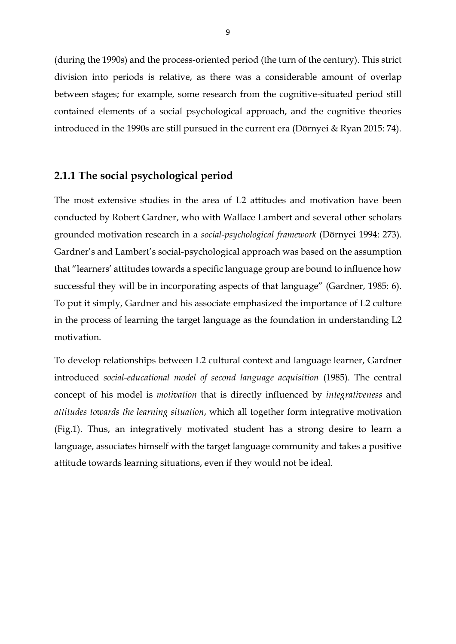(during the 1990s) and the process-oriented period (the turn of the century). This strict division into periods is relative, as there was a considerable amount of overlap between stages; for example, some research from the cognitive-situated period still contained elements of a social psychological approach, and the cognitive theories introduced in the 1990s are still pursued in the current era (Dörnyei & Ryan 2015: 74).

#### **2.1.1 The social psychological period**

The most extensive studies in the area of L2 attitudes and motivation have been conducted by Robert Gardner, who with Wallace Lambert and several other scholars grounded motivation research in a *social-psychological framework* (Dörnyei 1994: 273). Gardner's and Lambert's social-psychological approach was based on the assumption that "learners' attitudes towards a specific language group are bound to influence how successful they will be in incorporating aspects of that language" (Gardner, 1985: 6). To put it simply, Gardner and his associate emphasized the importance of L2 culture in the process of learning the target language as the foundation in understanding L2 motivation.

To develop relationships between L2 cultural context and language learner, Gardner introduced *social-educational model of second language acquisition* (1985). The central concept of his model is *motivation* that is directly influenced by *integrativeness* and *attitudes towards the learning situation*, which all together form integrative motivation (Fig.1). Thus, an integratively motivated student has a strong desire to learn a language, associates himself with the target language community and takes a positive attitude towards learning situations, even if they would not be ideal.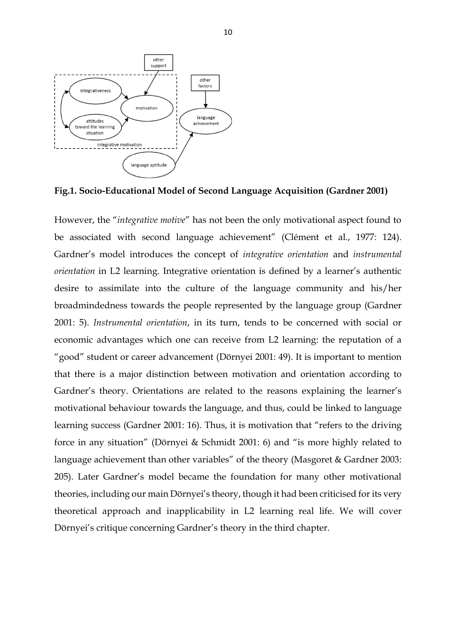

**Fig.1. Socio-Educational Model of Second Language Acquisition (Gardner 2001)**

However, the "*integrative motive*" has not been the only motivational aspect found to be associated with second language achievement" (Clément et al., 1977: 124). Gardner's model introduces the concept of *integrative orientation* and *instrumental orientation* in L2 learning. Integrative orientation is defined by a learner's authentic desire to assimilate into the culture of the language community and his/her broadmindedness towards the people represented by the language group (Gardner 2001: 5). *Instrumental orientation*, in its turn, tends to be concerned with social or economic advantages which one can receive from L2 learning: the reputation of a "good" student or career advancement (Dörnyei 2001: 49). It is important to mention that there is a major distinction between motivation and orientation according to Gardner's theory. Orientations are related to the reasons explaining the learner's motivational behaviour towards the language, and thus, could be linked to language learning success (Gardner 2001: 16). Thus, it is motivation that "refers to the driving force in any situation" (Dörnyei & Schmidt 2001: 6) and "is more highly related to language achievement than other variables" of the theory (Masgoret & Gardner 2003: 205). Later Gardner's model became the foundation for many other motivational theories, including our main Dörnyei's theory, though it had been criticised for its very theoretical approach and inapplicability in L2 learning real life. We will cover Dörnyei's critique concerning Gardner's theory in the third chapter.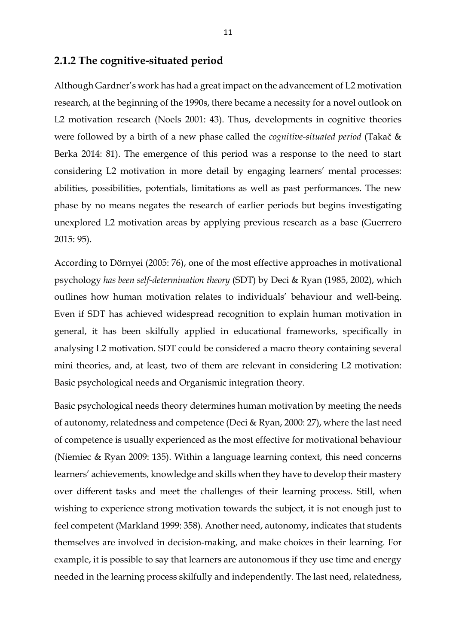# **2.1.2 The cognitive-situated period**

Although Gardner's work has had a great impact on the advancement of L2 motivation research, at the beginning of the 1990s, there became a necessity for a novel outlook on L2 motivation research (Noels 2001: 43). Thus, developments in cognitive theories were followed by a birth of a new phase called the *cognitive-situated period* (Takač & Berka 2014: 81). The emergence of this period was a response to the need to start considering L2 motivation in more detail by engaging learners' mental processes: abilities, possibilities, potentials, limitations as well as past performances. The new phase by no means negates the research of earlier periods but begins investigating unexplored L2 motivation areas by applying previous research as a base (Guerrero 2015: 95).

According to Dörnyei (2005: 76), one of the most effective approaches in motivational psychology *has been self-determination theory* (SDT) by Deci & Ryan (1985, 2002), which outlines how human motivation relates to individuals' behaviour and well-being. Even if SDT has achieved widespread recognition to explain human motivation in general, it has been skilfully applied in educational frameworks, specifically in analysing L2 motivation. SDT could be considered a macro theory containing several mini theories, and, at least, two of them are relevant in considering L2 motivation: Basic psychological needs and Organismic integration theory.

Basic psychological needs theory determines human motivation by meeting the needs of autonomy, relatedness and competence (Deci & Ryan, 2000: 27), where the last need of competence is usually experienced as the most effective for motivational behaviour (Niemiec & Ryan 2009: 135). Within a language learning context, this need concerns learners' achievements, knowledge and skills when they have to develop their mastery over different tasks and meet the challenges of their learning process. Still, when wishing to experience strong motivation towards the subject, it is not enough just to feel competent (Markland 1999: 358). Another need, autonomy, indicates that students themselves are involved in decision-making, and make choices in their learning. For example, it is possible to say that learners are autonomous if they use time and energy needed in the learning process skilfully and independently. The last need, relatedness,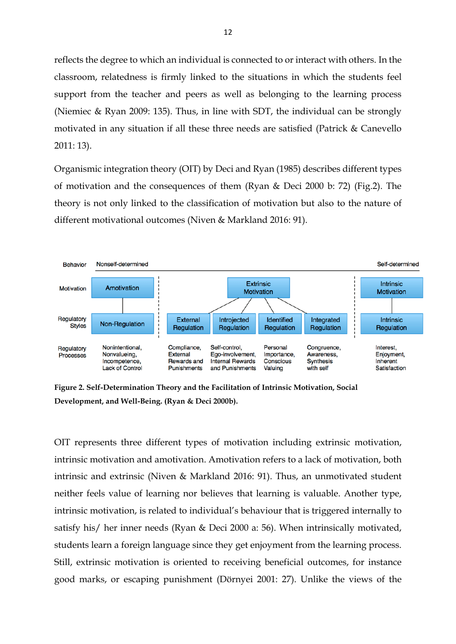reflects the degree to which an individual is connected to or interact with others. In the classroom, relatedness is firmly linked to the situations in which the students feel support from the teacher and peers as well as belonging to the learning process (Niemiec & Ryan 2009: 135). Thus, in line with SDT, the individual can be strongly motivated in any situation if all these three needs are satisfied (Patrick & Canevello 2011: 13).

Organismic integration theory (OIT) by Deci and Ryan (1985) describes different types of motivation and the consequences of them (Ryan & Deci 2000 b: 72) (Fig.2). The theory is not only linked to the classification of motivation but also to the nature of different motivational outcomes (Niven & Markland 2016: 91).



**Figure 2. Self-Determination Theory and the Facilitation of Intrinsic Motivation, Social Development, and Well-Being. (Ryan & Deci 2000b).**

OIT represents three different types of motivation including extrinsic motivation, intrinsic motivation and amotivation. Amotivation refers to a lack of motivation, both intrinsic and extrinsic (Niven & Markland 2016: 91). Thus, an unmotivated student neither feels value of learning nor believes that learning is valuable. Another type, intrinsic motivation, is related to individual's behaviour that is triggered internally to satisfy his/ her inner needs (Ryan & Deci 2000 a: 56). When intrinsically motivated, students learn a foreign language since they get enjoyment from the learning process. Still, extrinsic motivation is oriented to receiving beneficial outcomes, for instance good marks, or escaping punishment (Dörnyei 2001: 27). Unlike the views of the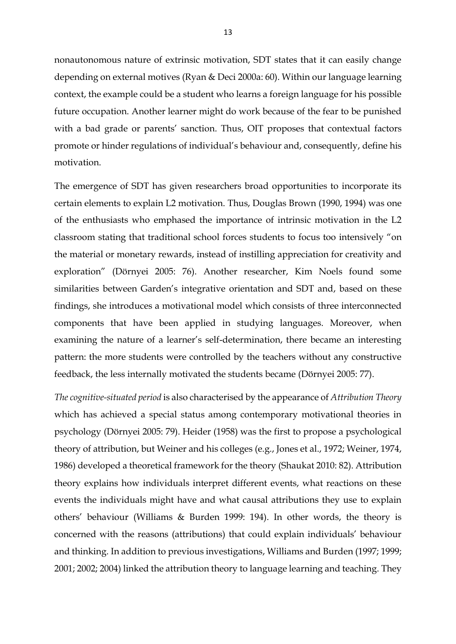nonautonomous nature of extrinsic motivation, SDT states that it can easily change depending on external motives (Ryan & Deci 2000a: 60). Within our language learning context, the example could be a student who learns a foreign language for his possible future occupation. Another learner might do work because of the fear to be punished with a bad grade or parents' sanction. Thus, OIT proposes that contextual factors promote or hinder regulations of individual's behaviour and, consequently, define his motivation.

The emergence of SDT has given researchers broad opportunities to incorporate its certain elements to explain L2 motivation. Thus, Douglas Brown (1990, 1994) was one of the enthusiasts who emphased the importance of intrinsic motivation in the L2 classroom stating that traditional school forces students to focus too intensively "on the material or monetary rewards, instead of instilling appreciation for creativity and exploration" (Dörnyei 2005: 76). Another researcher, Kim Noels found some similarities between Garden's integrative orientation and SDT and, based on these findings, she introduces a motivational model which consists of three interconnected components that have been applied in studying languages. Moreover, when examining the nature of a learner's self-determination, there became an interesting pattern: the more students were controlled by the teachers without any constructive feedback, the less internally motivated the students became (Dörnyei 2005: 77).

*The cognitive-situated period* is also characterised by the appearance of *Attribution Theory* which has achieved a special status among contemporary motivational theories in psychology (Dörnyei 2005: 79). Heider (1958) was the first to propose a psychological theory of attribution, but Weiner and his colleges (e.g., Jones et al., 1972; Weiner, 1974, 1986) developed a theoretical framework for the theory (Shaukat 2010: 82). Attribution theory explains how individuals interpret different events, what reactions on these events the individuals might have and what causal attributions they use to explain others' behaviour (Williams & Burden 1999: 194). In other words, the theory is concerned with the reasons (attributions) that could explain individuals' behaviour and thinking. In addition to previous investigations, Williams and Burden (1997; 1999; 2001; 2002; 2004) linked the attribution theory to language learning and teaching. They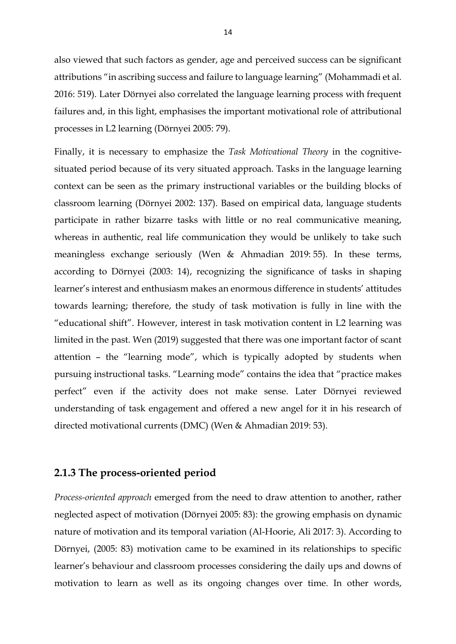also viewed that such factors as gender, age and perceived success can be significant attributions "in ascribing success and failure to language learning" (Mohammadi et al. 2016: 519). Later Dörnyei also correlated the language learning process with frequent failures and, in this light, emphasises the important motivational role of attributional processes in L2 learning (Dörnyei 2005: 79).

Finally, it is necessary to emphasize the *Task Motivational Theory* in the cognitivesituated period because of its very situated approach. Tasks in the language learning context can be seen as the primary instructional variables or the building blocks of classroom learning (Dörnyei 2002: 137). Based on empirical data, language students participate in rather bizarre tasks with little or no real communicative meaning, whereas in authentic, real life communication they would be unlikely to take such meaningless exchange seriously (Wen & Ahmadian 2019: 55). In these terms, according to Dörnyei (2003: 14), recognizing the significance of tasks in shaping learner's interest and enthusiasm makes an enormous difference in students' attitudes towards learning; therefore, the study of task motivation is fully in line with the "educational shift". However, interest in task motivation content in L2 learning was limited in the past. Wen (2019) suggested that there was one important factor of scant attention – the "learning mode", which is typically adopted by students when pursuing instructional tasks. "Learning mode" contains the idea that "practice makes perfect" even if the activity does not make sense. Later Dörnyei reviewed understanding of task engagement and offered a new angel for it in his research of directed motivational currents (DMC) (Wen & Ahmadian 2019: 53).

## **2.1.3 The process-oriented period**

*Process-oriented approach* emerged from the need to draw attention to another, rather neglected aspect of motivation (Dörnyei 2005: 83): the growing emphasis on dynamic nature of motivation and its temporal variation (Al-Hoorie, Ali 2017: 3). According to Dörnyei, (2005: 83) motivation came to be examined in its relationships to specific learner's behaviour and classroom processes considering the daily ups and downs of motivation to learn as well as its ongoing changes over time. In other words,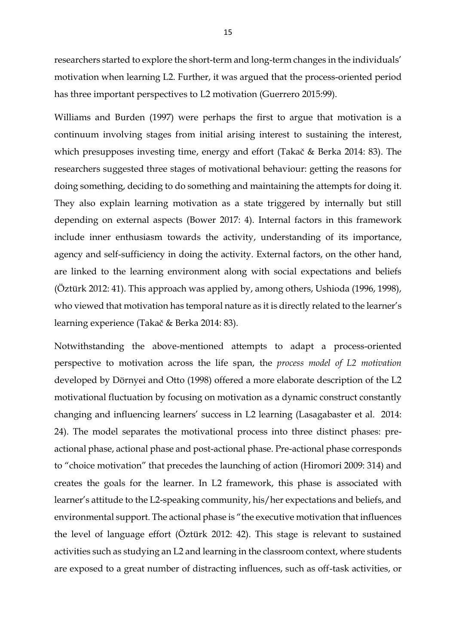researchers started to explore the short-term and long-term changes in the individuals' motivation when learning L2. Further, it was argued that the process-oriented period has three important perspectives to L2 motivation (Guerrero 2015:99).

Williams and Burden (1997) were perhaps the first to argue that motivation is a continuum involving stages from initial arising interest to sustaining the interest, which presupposes investing time, energy and effort (Takač & Berka 2014: 83). The researchers suggested three stages of motivational behaviour: getting the reasons for doing something, deciding to do something and maintaining the attempts for doing it. They also explain learning motivation as a state triggered by internally but still depending on external aspects (Bower 2017: 4). Internal factors in this framework include inner enthusiasm towards the activity, understanding of its importance, agency and self-sufficiency in doing the activity. External factors, on the other hand, are linked to the learning environment along with social expectations and beliefs (Öztürk 2012: 41). This approach was applied by, among others, Ushioda (1996, 1998), who viewed that motivation has temporal nature as it is directly related to the learner's learning experience (Takač & Berka 2014: 83).

Notwithstanding the above-mentioned attempts to adapt a process-oriented perspective to motivation across the life span, the *process model of L2 motivation* developed by Dörnyei and Otto (1998) offered a more elaborate description of the L2 motivational fluctuation by focusing on motivation as a dynamic construct constantly changing and influencing learners' success in L2 learning (Lasagabaster et al. 2014: 24). The model separates the motivational process into three distinct phases: preactional phase, actional phase and post-actional phase. Pre-actional phase corresponds to "choice motivation" that precedes the launching of action (Hiromori 2009: 314) and creates the goals for the learner. In L2 framework, this phase is associated with learner's attitude to the L2-speaking community, his/her expectations and beliefs, and environmental support. The actional phase is "the executive motivation that influences the level of language effort (Öztürk 2012: 42). This stage is relevant to sustained activities such as studying an L2 and learning in the classroom context, where students are exposed to a great number of distracting influences, such as off-task activities, or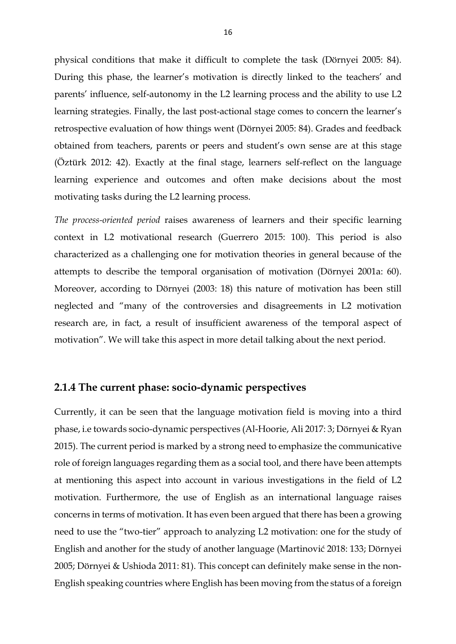physical conditions that make it difficult to complete the task (Dörnyei 2005: 84). During this phase, the learner's motivation is directly linked to the teachers' and parents' influence, self-autonomy in the L2 learning process and the ability to use L2 learning strategies. Finally, the last post-actional stage comes to concern the learner's retrospective evaluation of how things went (Dörnyei 2005: 84). Grades and feedback obtained from teachers, parents or peers and student's own sense are at this stage (Öztürk 2012: 42). Exactly at the final stage, learners self-reflect on the language learning experience and outcomes and often make decisions about the most motivating tasks during the L2 learning process.

*The process-oriented period* raises awareness of learners and their specific learning context in L2 motivational research (Guerrero 2015: 100). This period is also characterized as a challenging one for motivation theories in general because of the attempts to describe the temporal organisation of motivation (Dörnyei 2001a: 60). Moreover, according to Dörnyei (2003: 18) this nature of motivation has been still neglected and "many of the controversies and disagreements in L2 motivation research are, in fact, a result of insufficient awareness of the temporal aspect of motivation". We will take this aspect in more detail talking about the next period.

#### **2.1.4 The current phase: socio-dynamic perspectives**

Currently, it can be seen that the language motivation field is moving into a third phase, i.e towards socio-dynamic perspectives (Al-Hoorie, Ali 2017: 3; Dörnyei & Ryan 2015). The current period is marked by a strong need to emphasize the communicative role of foreign languages regarding them as a social tool, and there have been attempts at mentioning this aspect into account in various investigations in the field of L2 motivation. Furthermore, the use of English as an international language raises concerns in terms of motivation. It has even been argued that there has been a growing need to use the "two-tier" approach to analyzing L2 motivation: one for the study of English and another for the study of another language (Martinović 2018: 133; Dörnyei 2005; Dörnyei & Ushioda 2011: 81). This concept can definitely make sense in the non-English speaking countries where English has been moving from the status of a foreign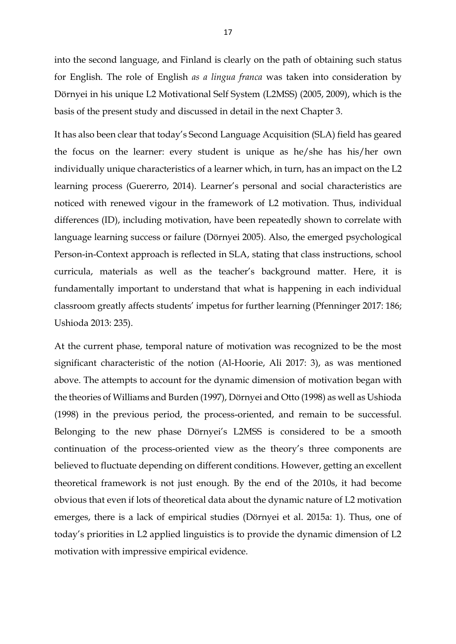into the second language, and Finland is clearly on the path of obtaining such status for English. The role of English *as a lingua franca* was taken into consideration by Dörnyei in his unique L2 Motivational Self System (L2MSS) (2005, 2009), which is the basis of the present study and discussed in detail in the next Chapter 3.

It has also been clear that today's Second Language Acquisition (SLA) field has geared the focus on the learner: every student is unique as he/she has his/her own individually unique characteristics of a learner which, in turn, has an impact on the L2 learning process (Guererro, 2014). Learner's personal and social characteristics are noticed with renewed vigour in the framework of L2 motivation. Thus, individual differences (ID), including motivation, have been repeatedly shown to correlate with language learning success or failure (Dörnyei 2005). Also, the emerged psychological Person-in-Context approach is reflected in SLA, stating that class instructions, school curricula, materials as well as the teacher's background matter. Here, it is fundamentally important to understand that what is happening in each individual classroom greatly affects students' impetus for further learning (Pfenninger 2017: 186; Ushioda 2013: 235).

At the current phase, temporal nature of motivation was recognized to be the most significant characteristic of the notion (Al-Hoorie, Ali 2017: 3), as was mentioned above. The attempts to account for the dynamic dimension of motivation began with the theories of Williams and Burden (1997), Dörnyei and Otto (1998) as well as Ushioda (1998) in the previous period, the process-oriented, and remain to be successful. Belonging to the new phase Dörnyei's L2MSS is considered to be a smooth continuation of the process-oriented view as the theory's three components are believed to fluctuate depending on different conditions. However, getting an excellent theoretical framework is not just enough. By the end of the 2010s, it had become obvious that even if lots of theoretical data about the dynamic nature of L2 motivation emerges, there is a lack of empirical studies (Dörnyei et al. 2015a: 1). Thus, one of today's priorities in L2 applied linguistics is to provide the dynamic dimension of L2 motivation with impressive empirical evidence.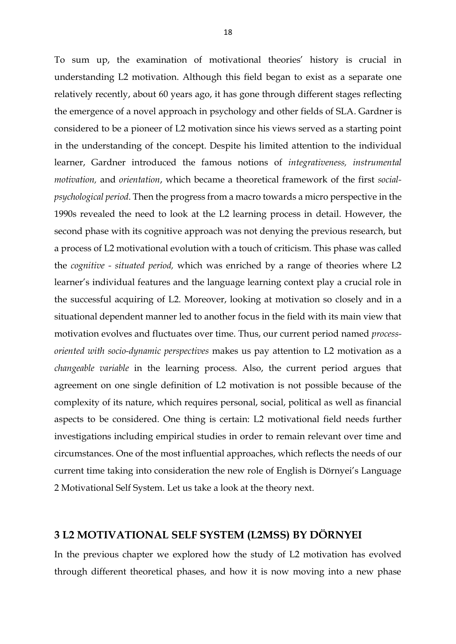To sum up, the examination of motivational theories' history is crucial in understanding L2 motivation. Although this field began to exist as a separate one relatively recently, about 60 years ago, it has gone through different stages reflecting the emergence of a novel approach in psychology and other fields of SLA. Gardner is considered to be a pioneer of L2 motivation since his views served as a starting point in the understanding of the concept. Despite his limited attention to the individual learner, Gardner introduced the famous notions of *integrativeness, instrumental motivation,* and *orientation*, which became a theoretical framework of the first *socialpsychological period*. Then the progress from a macro towards a micro perspective in the 1990s revealed the need to look at the L2 learning process in detail. However, the second phase with its cognitive approach was not denying the previous research, but a process of L2 motivational evolution with a touch of criticism. This phase was called the *cognitive - situated period,* which was enriched by a range of theories where L2 learner's individual features and the language learning context play a crucial role in the successful acquiring of L2. Moreover, looking at motivation so closely and in a situational dependent manner led to another focus in the field with its main view that motivation evolves and fluctuates over time. Thus, our current period named *processoriented with socio-dynamic perspectives* makes us pay attention to L2 motivation as a *changeable variable* in the learning process. Also, the current period argues that agreement on one single definition of L2 motivation is not possible because of the complexity of its nature, which requires personal, social, political as well as financial aspects to be considered. One thing is certain: L2 motivational field needs further investigations including empirical studies in order to remain relevant over time and circumstances. One of the most influential approaches, which reflects the needs of our current time taking into consideration the new role of English is Dörnyei's Language 2 Motivational Self System. Let us take a look at the theory next.

### **3 L2 MOTIVATIONAL SELF SYSTEM (L2MSS) BY DÖRNYEI**

In the previous chapter we explored how the study of L2 motivation has evolved through different theoretical phases, and how it is now moving into a new phase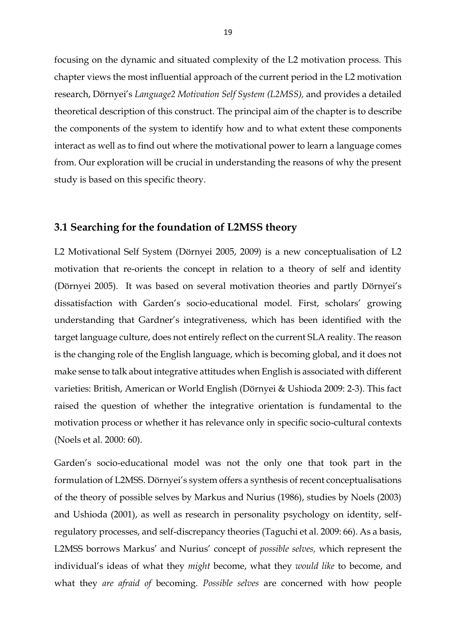focusing on the dynamic and situated complexity of the L2 motivation process. This chapter views the most influential approach of the current period in the L2 motivation research, Dörnyei's *Language2 Motivation Self System (L2MSS),* and provides a detailed theoretical description of this construct. The principal aim of the chapter is to describe the components of the system to identify how and to what extent these components interact as well as to find out where the motivational power to learn a language comes from. Our exploration will be crucial in understanding the reasons of why the present study is based on this specific theory.

#### **3.1 Searching for the foundation of L2MSS theory**

L2 Motivational Self System (Dörnyei 2005, 2009) is a new conceptualisation of L2 motivation that re-orients the concept in relation to a theory of self and identity (Dörnyei 2005). It was based on several motivation theories and partly Dörnyei's dissatisfaction with Garden's socio-educational model. First, scholars' growing understanding that Gardner's integrativeness, which has been identified with the target language culture, does not entirely reflect on the current SLA reality. The reason is the changing role of the English language, which is becoming global, and it does not make sense to talk about integrative attitudes when English is associated with different varieties: British, American or World English (Dörnyei & Ushioda 2009: 2-3). This fact raised the question of whether the integrative orientation is fundamental to the motivation process or whether it has relevance only in specific socio-cultural contexts (Noels et al. 2000: 60).

Garden's socio-educational model was not the only one that took part in the formulation of L2MSS. Dörnyei's system offers a synthesis of recent conceptualisations of the theory of possible selves by Markus and Nurius (1986), studies by Noels (2003) and Ushioda (2001), as well as research in personality psychology on identity, selfregulatory processes, and self-discrepancy theories (Taguchi et al. 2009: 66). As a basis, L2MSS borrows Markus' and Nurius' concept of *possible selves,* which represent the individual's ideas of what they *might* become, what they *would like* to become, and what they *are afraid of* becoming. *Possible selves* are concerned with how people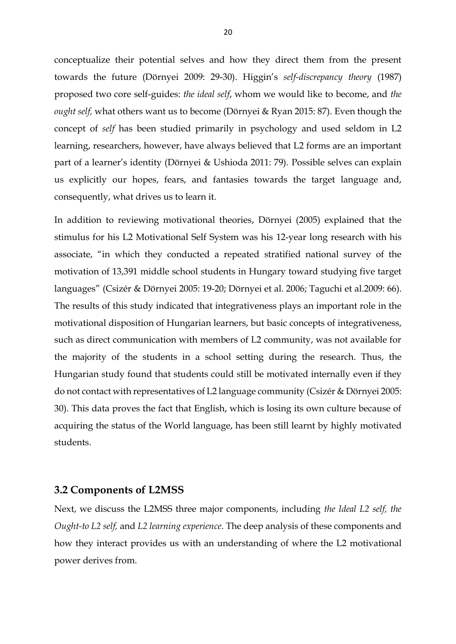conceptualize their potential selves and how they direct them from the present towards the future (Dörnyei 2009: 29-30). Higgin's *self-discrepancy theory* (1987) proposed two core self-guides: *the ideal self*, whom we would like to become, and *the ought self,* what others want us to become (Dörnyei & Ryan 2015: 87). Even though the concept of *self* has been studied primarily in psychology and used seldom in L2 learning, researchers, however, have always believed that L2 forms are an important part of a learner's identity (Dörnyei & Ushioda 2011: 79). Possible selves can explain us explicitly our hopes, fears, and fantasies towards the target language and, consequently, what drives us to learn it.

In addition to reviewing motivational theories, Dörnyei (2005) explained that the stimulus for his L2 Motivational Self System was his 12-year long research with his associate, "in which they conducted a repeated stratified national survey of the motivation of 13,391 middle school students in Hungary toward studying five target languages" (Csizér & Dörnyei 2005: 19-20; Dörnyei et al. 2006; Taguchi et al.2009: 66). The results of this study indicated that integrativeness plays an important role in the motivational disposition of Hungarian learners, but basic concepts of integrativeness, such as direct communication with members of L2 community, was not available for the majority of the students in a school setting during the research. Thus, the Hungarian study found that students could still be motivated internally even if they do not contact with representatives of L2 language community (Csizér & Dörnyei 2005: 30). This data proves the fact that English, which is losing its own culture because of acquiring the status of the World language, has been still learnt by highly motivated students.

#### **3.2 Components of L2MSS**

Next, we discuss the L2MSS three major components, including *the Ideal L2 self, the Ought-to L2 self,* and *L2 learning experience*. The deep analysis of these components and how they interact provides us with an understanding of where the L2 motivational power derives from.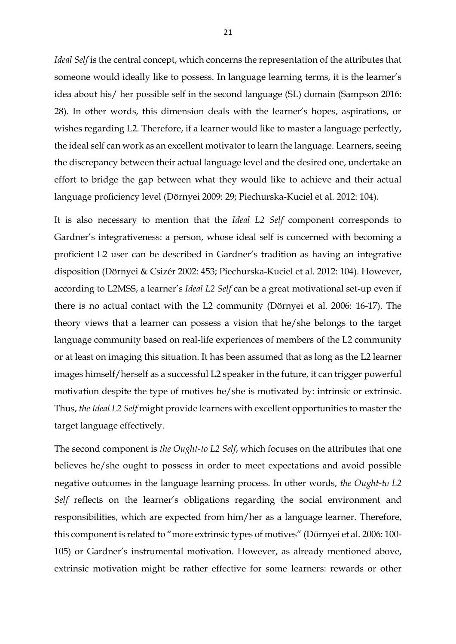*Ideal Self* is the central concept, which concerns the representation of the attributes that someone would ideally like to possess. In language learning terms, it is the learner's idea about his/ her possible self in the second language (SL) domain (Sampson 2016: 28). In other words, this dimension deals with the learner's hopes, aspirations, or wishes regarding L2. Therefore, if a learner would like to master a language perfectly, the ideal self can work as an excellent motivator to learn the language. Learners, seeing the discrepancy between their actual language level and the desired one, undertake an effort to bridge the gap between what they would like to achieve and their actual language proficiency level (Dörnyei 2009: 29; Piechurska-Kuciel et al. 2012: 104).

It is also necessary to mention that the *Ideal L2 Self* component corresponds to Gardner's integrativeness: a person, whose ideal self is concerned with becoming a proficient L2 user can be described in Gardner's tradition as having an integrative disposition (Dörnyei & Csizér 2002: 453; Piechurska-Kuciel et al. 2012: 104). However, according to L2MSS, a learner's *Ideal L2 Self* can be a great motivational set-up even if there is no actual contact with the L2 community (Dörnyei et al. 2006: 16-17). The theory views that a learner can possess a vision that he/she belongs to the target language community based on real-life experiences of members of the L2 community or at least on imaging this situation. It has been assumed that as long as the L2 learner images himself/herself as a successful L2 speaker in the future, it can trigger powerful motivation despite the type of motives he/she is motivated by: intrinsic or extrinsic. Thus, *the Ideal L2 Self* might provide learners with excellent opportunities to master the target language effectively.

The second component is *the Ought-to L2 Self*, which focuses on the attributes that one believes he/she ought to possess in order to meet expectations and avoid possible negative outcomes in the language learning process. In other words, *the Ought-to L2 Self* reflects on the learner's obligations regarding the social environment and responsibilities, which are expected from him/her as a language learner. Therefore, this component is related to "more extrinsic types of motives" (Dörnyei et al. 2006: 100- 105) or Gardner's instrumental motivation. However, as already mentioned above, extrinsic motivation might be rather effective for some learners: rewards or other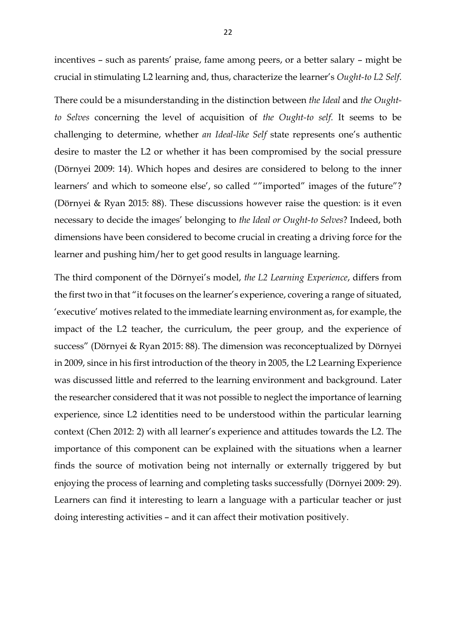incentives – such as parents' praise, fame among peers, or a better salary – might be crucial in stimulating L2 learning and, thus, characterize the learner's *Ought-to L2 Self*.

There could be a misunderstanding in the distinction between *the Ideal* and *the Oughtto Selves* concerning the level of acquisition of *the Ought-to self.* It seems to be challenging to determine, whether *an Ideal-like Self* state represents one's authentic desire to master the L2 or whether it has been compromised by the social pressure (Dörnyei 2009: 14). Which hopes and desires are considered to belong to the inner learners' and which to someone else', so called ""imported" images of the future"? (Dörnyei & Ryan 2015: 88). These discussions however raise the question: is it even necessary to decide the images' belonging to *the Ideal or Ought-to Selves*? Indeed, both dimensions have been considered to become crucial in creating a driving force for the learner and pushing him/her to get good results in language learning.

The third component of the Dörnyei's model, *the L2 Learning Experience*, differs from the first two in that "it focuses on the learner's experience, covering a range of situated, 'executive' motives related to the immediate learning environment as, for example, the impact of the L2 teacher, the curriculum, the peer group, and the experience of success" (Dörnyei & Ryan 2015: 88). The dimension was reconceptualized by Dörnyei in 2009, since in his first introduction of the theory in 2005, the L2 Learning Experience was discussed little and referred to the learning environment and background. Later the researcher considered that it was not possible to neglect the importance of learning experience, since L2 identities need to be understood within the particular learning context (Chen 2012: 2) with all learner's experience and attitudes towards the L2. The importance of this component can be explained with the situations when a learner finds the source of motivation being not internally or externally triggered by but enjoying the process of learning and completing tasks successfully (Dörnyei 2009: 29). Learners can find it interesting to learn a language with a particular teacher or just doing interesting activities – and it can affect their motivation positively.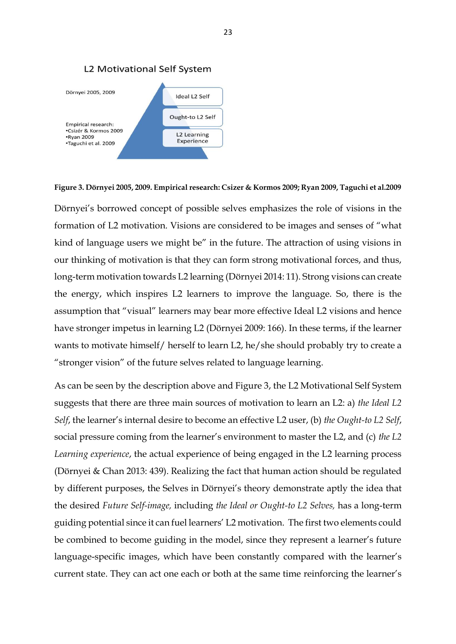



**Figure 3. Dörnyei 2005, 2009. Empirical research: Csizer & Kormos 2009; Ryan 2009, Taguchi et al.2009**

Dörnyei's borrowed concept of possible selves emphasizes the role of visions in the formation of L2 motivation. Visions are considered to be images and senses of "what kind of language users we might be" in the future. The attraction of using visions in our thinking of motivation is that they can form strong motivational forces, and thus, long-term motivation towards L2 learning (Dörnyei 2014: 11). Strong visions can create the energy, which inspires L2 learners to improve the language. So, there is the assumption that "visual" learners may bear more effective Ideal L2 visions and hence have stronger impetus in learning L2 (Dörnyei 2009: 166). In these terms, if the learner wants to motivate himself/ herself to learn L2, he/she should probably try to create a "stronger vision" of the future selves related to language learning.

As can be seen by the description above and Figure 3, the L2 Motivational Self System suggests that there are three main sources of motivation to learn an L2: a) *the Ideal L2 Self*, the learner's internal desire to become an effective L2 user, (b) *the Ought-to L2 Self*, social pressure coming from the learner's environment to master the L2, and (c) *the L2 Learning experience*, the actual experience of being engaged in the L2 learning process (Dörnyei & Chan 2013: 439). Realizing the fact that human action should be regulated by different purposes, the Selves in Dörnyei's theory demonstrate aptly the idea that the desired *Future Self-image,* including *the Ideal or Ought-to L2 Selves,* has a long-term guiding potential since it can fuel learners' L2 motivation. The first two elements could be combined to become guiding in the model, since they represent a learner's future language-specific images, which have been constantly compared with the learner's current state. They can act one each or both at the same time reinforcing the learner's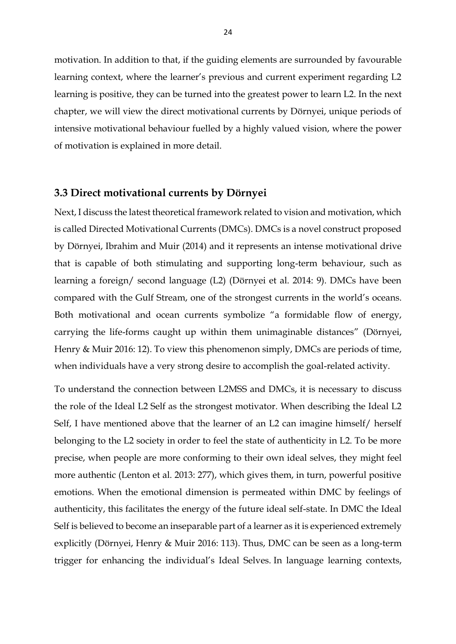motivation. In addition to that, if the guiding elements are surrounded by favourable learning context, where the learner's previous and current experiment regarding L2 learning is positive, they can be turned into the greatest power to learn L2. In the next chapter, we will view the direct motivational currents by Dörnyei, unique periods of intensive motivational behaviour fuelled by a highly valued vision, where the power of motivation is explained in more detail.

#### **3.3 Direct motivational currents by Dörnyei**

Next, I discuss the latest theoretical framework related to vision and motivation, which is called Directed Motivational Currents (DMCs). DMCs is a novel construct proposed by Dörnyei, Ibrahim and Muir (2014) and it represents an intense motivational drive that is capable of both stimulating and supporting long-term behaviour, such as learning a foreign/ second language (L2) (Dörnyei et al. 2014: 9). DMCs have been compared with the Gulf Stream, one of the strongest currents in the world's oceans. Both motivational and ocean currents symbolize "a formidable flow of energy, carrying the life-forms caught up within them unimaginable distances" (Dörnyei, Henry & Muir 2016: 12). To view this phenomenon simply, DMCs are periods of time, when individuals have a very strong desire to accomplish the goal-related activity.

To understand the connection between L2MSS and DMCs, it is necessary to discuss the role of the Ideal L2 Self as the strongest motivator. When describing the Ideal L2 Self, I have mentioned above that the learner of an L2 can imagine himself/ herself belonging to the L2 society in order to feel the state of authenticity in L2. To be more precise, when people are more conforming to their own ideal selves, they might feel more authentic (Lenton et al. 2013: 277), which gives them, in turn, powerful positive emotions. When the emotional dimension is permeated within DMC by feelings of authenticity, this facilitates the energy of the future ideal self-state. In DMC the Ideal Self is believed to become an inseparable part of a learner as it is experienced extremely explicitly (Dörnyei, Henry & Muir 2016: 113). Thus, DMC can be seen as a long-term trigger for enhancing the individual's Ideal Selves. In language learning contexts,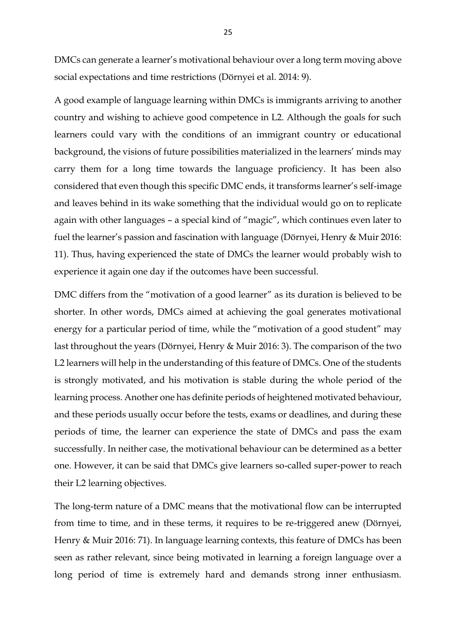DMCs can generate a learner's motivational behaviour over a long term moving above social expectations and time restrictions (Dörnyei et al. 2014: 9).

A good example of language learning within DMCs is immigrants arriving to another country and wishing to achieve good competence in L2. Although the goals for such learners could vary with the conditions of an immigrant country or educational background, the visions of future possibilities materialized in the learners' minds may carry them for a long time towards the language proficiency. It has been also considered that even though this specific DMC ends, it transforms learner's self-image and leaves behind in its wake something that the individual would go on to replicate again with other languages – a special kind of "magic", which continues even later to fuel the learner's passion and fascination with language (Dörnyei, Henry & Muir 2016: 11). Thus, having experienced the state of DMCs the learner would probably wish to experience it again one day if the outcomes have been successful.

DMC differs from the "motivation of a good learner" as its duration is believed to be shorter. In other words, DMCs aimed at achieving the goal generates motivational energy for a particular period of time, while the "motivation of a good student" may last throughout the years (Dörnyei, Henry & Muir 2016: 3). The comparison of the two L2 learners will help in the understanding of this feature of DMCs. One of the students is strongly motivated, and his motivation is stable during the whole period of the learning process. Another one has definite periods of heightened motivated behaviour, and these periods usually occur before the tests, exams or deadlines, and during these periods of time, the learner can experience the state of DMCs and pass the exam successfully. In neither case, the motivational behaviour can be determined as a better one. However, it can be said that DMCs give learners so-called super-power to reach their L2 learning objectives.

The long-term nature of a DMC means that the motivational flow can be interrupted from time to time, and in these terms, it requires to be re-triggered anew (Dörnyei, Henry & Muir 2016: 71). In language learning contexts, this feature of DMCs has been seen as rather relevant, since being motivated in learning a foreign language over a long period of time is extremely hard and demands strong inner enthusiasm.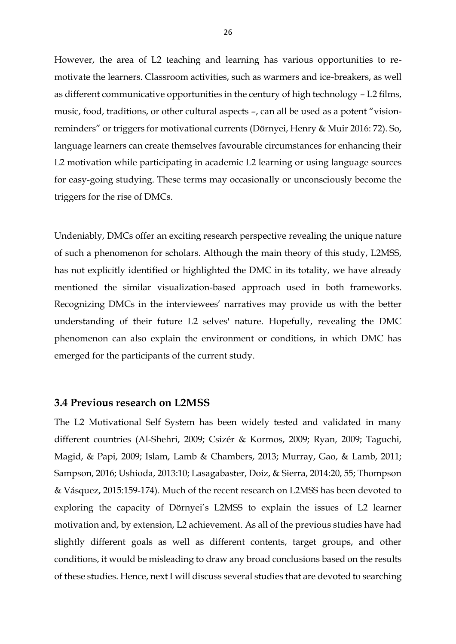However, the area of L2 teaching and learning has various opportunities to remotivate the learners. Classroom activities, such as warmers and ice-breakers, as well as different communicative opportunities in the century of high technology – L2 films, music, food, traditions, or other cultural aspects –, can all be used as a potent "visionreminders" or triggers for motivational currents (Dörnyei, Henry & Muir 2016: 72). So, language learners can create themselves favourable circumstances for enhancing their L2 motivation while participating in academic L2 learning or using language sources for easy-going studying. These terms may occasionally or unconsciously become the triggers for the rise of DMCs.

Undeniably, DMCs offer an exciting research perspective revealing the unique nature of such a phenomenon for scholars. Although the main theory of this study, L2MSS, has not explicitly identified or highlighted the DMC in its totality, we have already mentioned the similar visualization-based approach used in both frameworks. Recognizing DMCs in the interviewees' narratives may provide us with the better understanding of their future L2 selves' nature. Hopefully, revealing the DMC phenomenon can also explain the environment or conditions, in which DMC has emerged for the participants of the current study.

#### **3.4 Previous research on L2MSS**

The L2 Motivational Self System has been widely tested and validated in many different countries (Al-Shehri, 2009; Csizér & Kormos, 2009; Ryan, 2009; Taguchi, Magid, & Papi, 2009; Islam, Lamb & Chambers, 2013; Murray, Gao, & Lamb, 2011; Sampson, 2016; Ushioda, 2013:10; Lasagabaster, Doiz, & Sierra, 2014:20, 55; Thompson & Vásquez, 2015:159-174). Much of the recent research on L2MSS has been devoted to exploring the capacity of Dörnyei's L2MSS to explain the issues of L2 learner motivation and, by extension, L2 achievement. As all of the previous studies have had slightly different goals as well as different contents, target groups, and other conditions, it would be misleading to draw any broad conclusions based on the results of these studies. Hence, next I will discuss several studies that are devoted to searching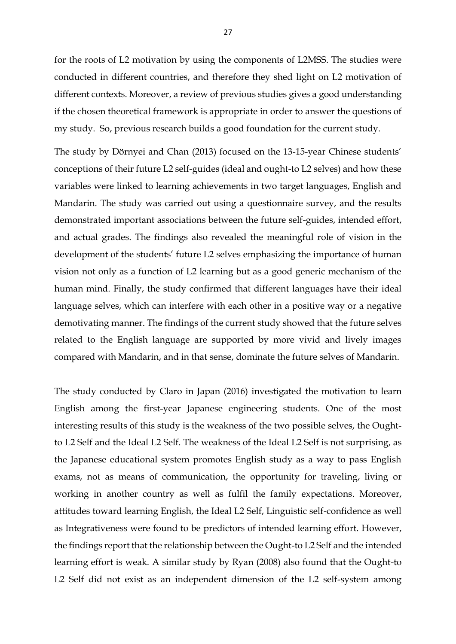for the roots of L2 motivation by using the components of L2MSS. The studies were conducted in different countries, and therefore they shed light on L2 motivation of different contexts. Moreover, a review of previous studies gives a good understanding if the chosen theoretical framework is appropriate in order to answer the questions of my study. So, previous research builds a good foundation for the current study.

The study by Dörnyei and Chan (2013) focused on the 13-15-year Chinese students' conceptions of their future L2 self-guides (ideal and ought-to L2 selves) and how these variables were linked to learning achievements in two target languages, English and Mandarin. The study was carried out using a questionnaire survey, and the results demonstrated important associations between the future self-guides, intended effort, and actual grades. The findings also revealed the meaningful role of vision in the development of the students' future L2 selves emphasizing the importance of human vision not only as a function of L2 learning but as a good generic mechanism of the human mind. Finally, the study confirmed that different languages have their ideal language selves, which can interfere with each other in a positive way or a negative demotivating manner. The findings of the current study showed that the future selves related to the English language are supported by more vivid and lively images compared with Mandarin, and in that sense, dominate the future selves of Mandarin.

The study conducted by Claro in Japan (2016) investigated the motivation to learn English among the first-year Japanese engineering students. One of the most interesting results of this study is the weakness of the two possible selves, the Oughtto L2 Self and the Ideal L2 Self. The weakness of the Ideal L2 Self is not surprising, as the Japanese educational system promotes English study as a way to pass English exams, not as means of communication, the opportunity for traveling, living or working in another country as well as fulfil the family expectations. Moreover, attitudes toward learning English, the Ideal L2 Self, Linguistic self-confidence as well as Integrativeness were found to be predictors of intended learning effort. However, the findings report that the relationship between the Ought-to L2 Self and the intended learning effort is weak. A similar study by Ryan (2008) also found that the Ought-to L2 Self did not exist as an independent dimension of the L2 self-system among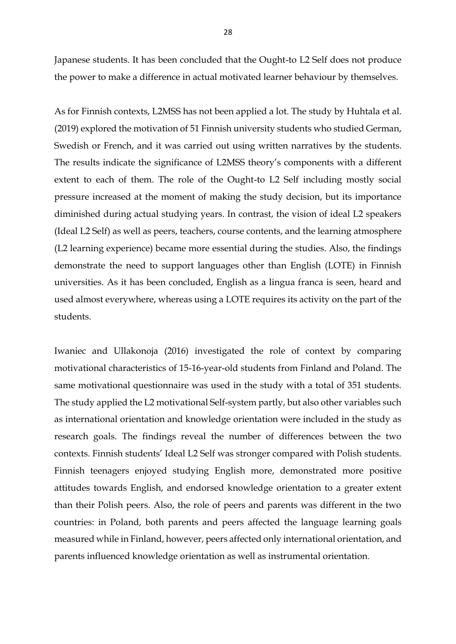Japanese students. It has been concluded that the Ought-to L2 Self does not produce the power to make a difference in actual motivated learner behaviour by themselves.

As for Finnish contexts, L2MSS has not been applied a lot. The study by Huhtala et al. (2019) explored the motivation of 51 Finnish university students who studied German, Swedish or French, and it was carried out using written narratives by the students. The results indicate the significance of L2MSS theory's components with a different extent to each of them. The role of the Ought-to L2 Self including mostly social pressure increased at the moment of making the study decision, but its importance diminished during actual studying years. In contrast, the vision of ideal L2 speakers (Ideal L2 Self) as well as peers, teachers, course contents, and the learning atmosphere (L2 learning experience) became more essential during the studies. Also, the findings demonstrate the need to support languages other than English (LOTE) in Finnish universities. As it has been concluded, English as a lingua franca is seen, heard and used almost everywhere, whereas using a LOTE requires its activity on the part of the students.

Iwaniec and Ullakonoja (2016) investigated the role of context by comparing motivational characteristics of 15-16-year-old students from Finland and Poland. The same motivational questionnaire was used in the study with a total of 351 students. The study applied the L2 motivational Self-system partly, but also other variables such as international orientation and knowledge orientation were included in the study as research goals. The findings reveal the number of differences between the two contexts. Finnish students' Ideal L2 Self was stronger compared with Polish students. Finnish teenagers enjoyed studying English more, demonstrated more positive attitudes towards English, and endorsed knowledge orientation to a greater extent than their Polish peers. Also, the role of peers and parents was different in the two countries: in Poland, both parents and peers affected the language learning goals measured while in Finland, however, peers affected only international orientation, and parents influenced knowledge orientation as well as instrumental orientation.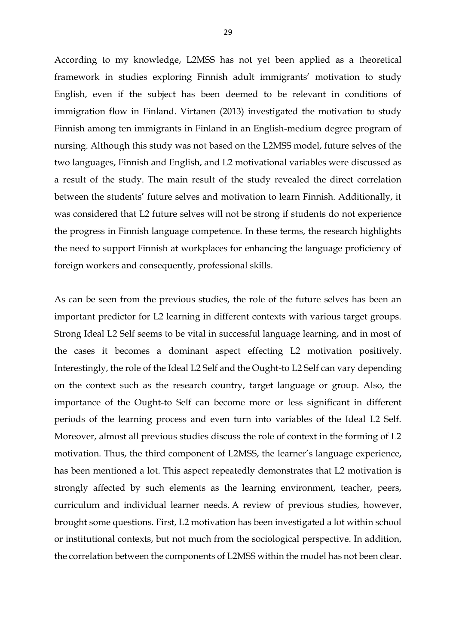According to my knowledge, L2MSS has not yet been applied as a theoretical framework in studies exploring Finnish adult immigrants' motivation to study English, even if the subject has been deemed to be relevant in conditions of immigration flow in Finland. Virtanen (2013) investigated the motivation to study Finnish among ten immigrants in Finland in an English-medium degree program of nursing. Although this study was not based on the L2MSS model, future selves of the two languages, Finnish and English, and L2 motivational variables were discussed as a result of the study. The main result of the study revealed the direct correlation between the students' future selves and motivation to learn Finnish. Additionally, it was considered that L2 future selves will not be strong if students do not experience the progress in Finnish language competence. In these terms, the research highlights the need to support Finnish at workplaces for enhancing the language proficiency of foreign workers and consequently, professional skills.

As can be seen from the previous studies, the role of the future selves has been an important predictor for L2 learning in different contexts with various target groups. Strong Ideal L2 Self seems to be vital in successful language learning, and in most of the cases it becomes a dominant aspect effecting L2 motivation positively. Interestingly, the role of the Ideal L2 Self and the Ought-to L2 Self can vary depending on the context such as the research country, target language or group. Also, the importance of the Ought-to Self can become more or less significant in different periods of the learning process and even turn into variables of the Ideal L2 Self. Moreover, almost all previous studies discuss the role of context in the forming of L2 motivation. Thus, the third component of L2MSS, the learner's language experience, has been mentioned a lot. This aspect repeatedly demonstrates that L2 motivation is strongly affected by such elements as the learning environment, teacher, peers, curriculum and individual learner needs. A review of previous studies, however, brought some questions. First, L2 motivation has been investigated a lot within school or institutional contexts, but not much from the sociological perspective. In addition, the correlation between the components of L2MSS within the model has not been clear.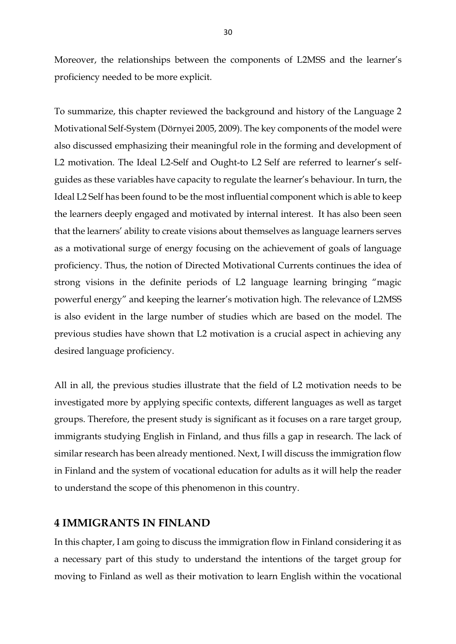Moreover, the relationships between the components of L2MSS and the learner's proficiency needed to be more explicit.

To summarize, this chapter reviewed the background and history of the Language 2 Motivational Self-System (Dörnyei 2005, 2009). The key components of the model were also discussed emphasizing their meaningful role in the forming and development of L2 motivation. The Ideal L2-Self and Ought-to L2 Self are referred to learner's selfguides as these variables have capacity to regulate the learner's behaviour. In turn, the Ideal L2 Self has been found to be the most influential component which is able to keep the learners deeply engaged and motivated by internal interest. It has also been seen that the learners' ability to create visions about themselves as language learners serves as a motivational surge of energy focusing on the achievement of goals of language proficiency. Thus, the notion of Directed Motivational Currents continues the idea of strong visions in the definite periods of L2 language learning bringing "magic powerful energy" and keeping the learner's motivation high. The relevance of L2MSS is also evident in the large number of studies which are based on the model. The previous studies have shown that L2 motivation is a crucial aspect in achieving any desired language proficiency.

All in all, the previous studies illustrate that the field of L2 motivation needs to be investigated more by applying specific contexts, different languages as well as target groups. Therefore, the present study is significant as it focuses on a rare target group, immigrants studying English in Finland, and thus fills a gap in research. The lack of similar research has been already mentioned. Next, I will discuss the immigration flow in Finland and the system of vocational education for adults as it will help the reader to understand the scope of this phenomenon in this country.

# **4 IMMIGRANTS IN FINLAND**

In this chapter, I am going to discuss the immigration flow in Finland considering it as a necessary part of this study to understand the intentions of the target group for moving to Finland as well as their motivation to learn English within the vocational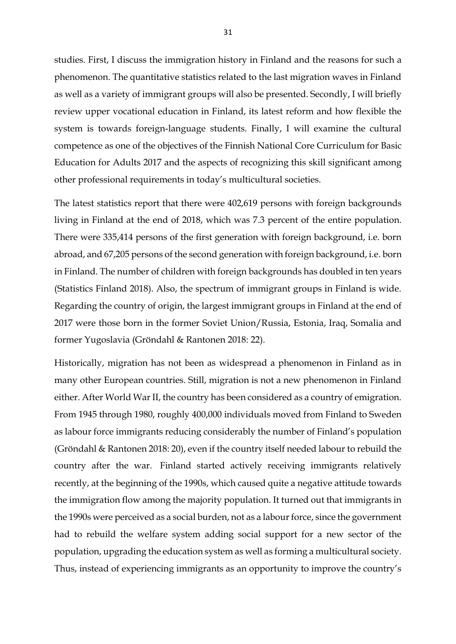studies. First, I discuss the immigration history in Finland and the reasons for such a phenomenon. The quantitative statistics related to the last migration waves in Finland as well as a variety of immigrant groups will also be presented. Secondly, I will briefly review upper vocational education in Finland, its latest reform and how flexible the system is towards foreign-language students. Finally, I will examine the cultural competence as one of the objectives of the Finnish National Core Curriculum for Basic Education for Adults 2017 and the aspects of recognizing this skill significant among other professional requirements in today's multicultural societies.

The latest statistics report that there were 402,619 persons with foreign backgrounds living in Finland at the end of 2018, which was 7.3 percent of the entire population. There were 335,414 persons of the first generation with foreign background, i.e. born abroad, and 67,205 persons of the second generation with foreign background, i.e. born in Finland. The number of children with foreign backgrounds has doubled in ten years (Statistics Finland 2018). Also, the spectrum of immigrant groups in Finland is wide. Regarding the country of origin, the largest immigrant groups in Finland at the end of 2017 were those born in the former Soviet Union/Russia, Estonia, Iraq, Somalia and former Yugoslavia (Gröndahl & Rantonen 2018: 22).

Historically, migration has not been as widespread a phenomenon in Finland as in many other European countries. Still, migration is not a new phenomenon in Finland either. After World War II, the country has been considered as a country of emigration. From 1945 through 1980, roughly 400,000 individuals moved from Finland to Sweden as labour force immigrants reducing considerably the number of Finland's population (Gröndahl & Rantonen 2018: 20), even if the country itself needed labour to rebuild the country after the war. Finland started actively receiving immigrants relatively recently, at the beginning of the 1990s, which caused quite a negative attitude towards the immigration flow among the majority population. It turned out that immigrants in the 1990s were perceived as a social burden, not as a labour force, since the government had to rebuild the welfare system adding social support for a new sector of the population, upgrading the education system as well as forming a multicultural society. Thus, instead of experiencing immigrants as an opportunity to improve the country's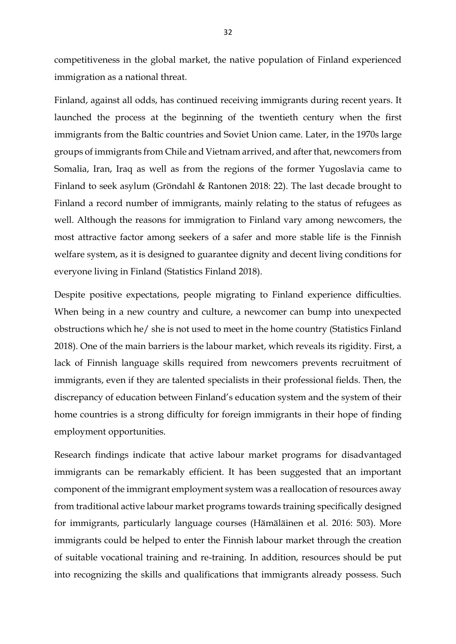competitiveness in the global market, the native population of Finland experienced immigration as a national threat.

Finland, against all odds, has continued receiving immigrants during recent years. It launched the process at the beginning of the twentieth century when the first immigrants from the Baltic countries and Soviet Union came. Later, in the 1970s large groups of immigrants from Chile and Vietnam arrived, and after that, newcomers from Somalia, Iran, Iraq as well as from the regions of the former Yugoslavia came to Finland to seek asylum (Gröndahl & Rantonen 2018: 22). The last decade brought to Finland a record number of immigrants, mainly relating to the status of refugees as well. Although the reasons for immigration to Finland vary among newcomers, the most attractive factor among seekers of a safer and more stable life is the Finnish welfare system, as it is designed to guarantee dignity and decent living conditions for everyone living in Finland (Statistics Finland 2018).

Despite positive expectations, people migrating to Finland experience difficulties. When being in a new country and culture, a newcomer can bump into unexpected obstructions which he/ she is not used to meet in the home country (Statistics Finland 2018). One of the main barriers is the labour market, which reveals its rigidity. First, a lack of Finnish language skills required from newcomers prevents recruitment of immigrants, even if they are talented specialists in their professional fields. Then, the discrepancy of education between Finland's education system and the system of their home countries is a strong difficulty for foreign immigrants in their hope of finding employment opportunities.

Research findings indicate that active labour market programs for disadvantaged immigrants can be remarkably efficient. It has been suggested that an important component of the immigrant employment system was a reallocation of resources away from traditional active labour market programs towards training specifically designed for immigrants, particularly language courses (Hämäläinen et al. 2016: 503). More immigrants could be helped to enter the Finnish labour market through the creation of suitable vocational training and re-training. In addition, resources should be put into recognizing the skills and qualifications that immigrants already possess. Such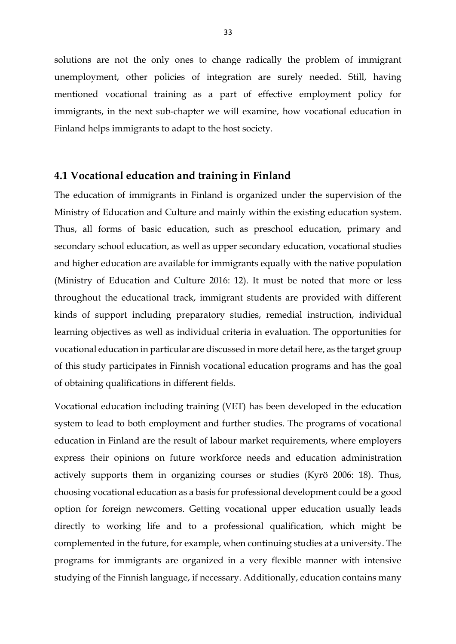solutions are not the only ones to change radically the problem of immigrant unemployment, other policies of integration are surely needed. Still, having mentioned vocational training as a part of effective employment policy for immigrants, in the next sub-chapter we will examine, how vocational education in Finland helps immigrants to adapt to the host society.

#### **4.1 Vocational education and training in Finland**

The education of immigrants in Finland is organized under the supervision of the Ministry of Education and Culture and mainly within the existing education system. Thus, all forms of basic education, such as preschool education, primary and secondary school education, as well as upper secondary education, vocational studies and higher education are available for immigrants equally with the native population (Ministry of Education and Culture 2016: 12). It must be noted that more or less throughout the educational track, immigrant students are provided with different kinds of support including preparatory studies, remedial instruction, individual learning objectives as well as individual criteria in evaluation. The opportunities for vocational education in particular are discussed in more detail here, as the target group of this study participates in Finnish vocational education programs and has the goal of obtaining qualifications in different fields.

Vocational education including training (VET) has been developed in the education system to lead to both employment and further studies. The programs of vocational education in Finland are the result of labour market requirements, where employers express their opinions on future workforce needs and education administration actively supports them in organizing courses or studies (Kyrö 2006: 18). Thus, choosing vocational education as a basis for professional development could be a good option for foreign newcomers. Getting vocational upper education usually leads directly to working life and to a professional qualification, which might be complemented in the future, for example, when continuing studies at a university. The programs for immigrants are organized in a very flexible manner with intensive studying of the Finnish language, if necessary. Additionally, education contains many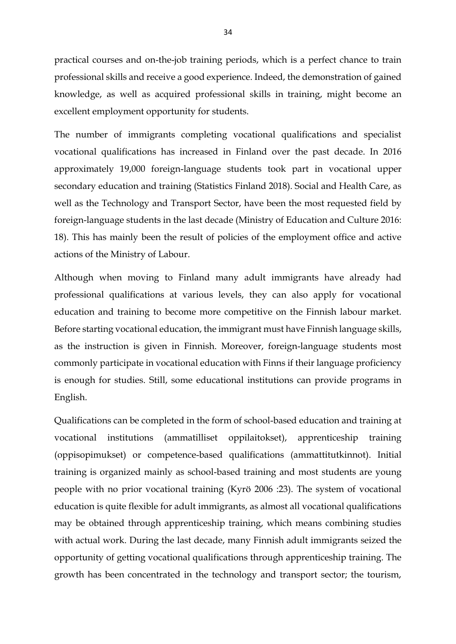practical courses and on-the-job training periods, which is a perfect chance to train professional skills and receive a good experience. Indeed, the demonstration of gained knowledge, as well as acquired professional skills in training, might become an excellent employment opportunity for students.

The number of immigrants completing vocational qualifications and specialist vocational qualifications has increased in Finland over the past decade. In 2016 approximately 19,000 foreign-language students took part in vocational upper secondary education and training (Statistics Finland 2018). Social and Health Care, as well as the Technology and Transport Sector, have been the most requested field by foreign-language students in the last decade (Ministry of Education and Culture 2016: 18). This has mainly been the result of policies of the employment office and active actions of the Ministry of Labour.

Although when moving to Finland many adult immigrants have already had professional qualifications at various levels, they can also apply for vocational education and training to become more competitive on the Finnish labour market. Before starting vocational education, the immigrant must have Finnish language skills, as the instruction is given in Finnish. Moreover, foreign-language students most commonly participate in vocational education with Finns if their language proficiency is enough for studies. Still, some educational institutions can provide programs in English.

Qualifications can be completed in the form of school-based education and training at vocational institutions (ammatilliset oppilaitokset), apprenticeship training (oppisopimukset) or competence-based qualifications (ammattitutkinnot). Initial training is organized mainly as school-based training and most students are young people with no prior vocational training (Kyrö 2006 :23). The system of vocational education is quite flexible for adult immigrants, as almost all vocational qualifications may be obtained through apprenticeship training, which means combining studies with actual work. During the last decade, many Finnish adult immigrants seized the opportunity of getting vocational qualifications through apprenticeship training. The growth has been concentrated in the technology and transport sector; the tourism,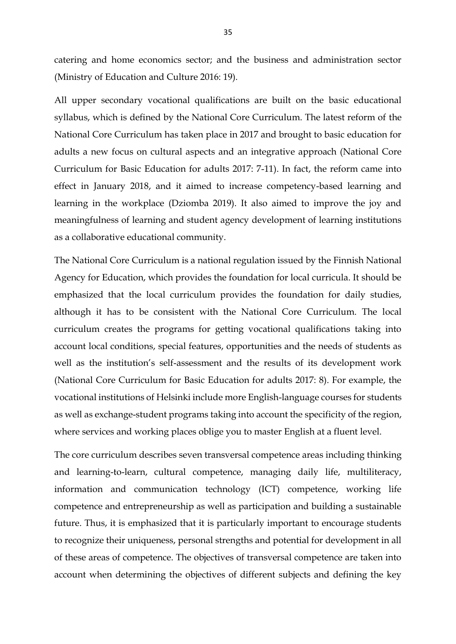catering and home economics sector; and the business and administration sector (Ministry of Education and Culture 2016: 19).

All upper secondary vocational qualifications are built on the basic educational syllabus, which is defined by the National Core Curriculum. The latest reform of the National Core Curriculum has taken place in 2017 and brought to basic education for adults a new focus on cultural aspects and an integrative approach (National Core Curriculum for Basic Education for adults 2017: 7-11). In fact, the reform came into effect in January 2018, and it aimed to increase competency-based learning and learning in the workplace (Dziomba 2019). It also aimed to improve the joy and meaningfulness of learning and student agency development of learning institutions as a collaborative educational community.

The National Core Curriculum is a national regulation issued by the Finnish National Agency for Education, which provides the foundation for local curricula. It should be emphasized that the local curriculum provides the foundation for daily studies, although it has to be consistent with the National Core Curriculum. The local curriculum creates the programs for getting vocational qualifications taking into account local conditions, special features, opportunities and the needs of students as well as the institution's self-assessment and the results of its development work (National Core Curriculum for Basic Education for adults 2017: 8). For example, the vocational institutions of Helsinki include more English-language courses for students as well as exchange-student programs taking into account the specificity of the region, where services and working places oblige you to master English at a fluent level.

The core curriculum describes seven transversal competence areas including thinking and learning-to-learn, cultural competence, managing daily life, multiliteracy, information and communication technology (ICT) competence, working life competence and entrepreneurship as well as participation and building a sustainable future. Thus, it is emphasized that it is particularly important to encourage students to recognize their uniqueness, personal strengths and potential for development in all of these areas of competence. The objectives of transversal competence are taken into account when determining the objectives of different subjects and defining the key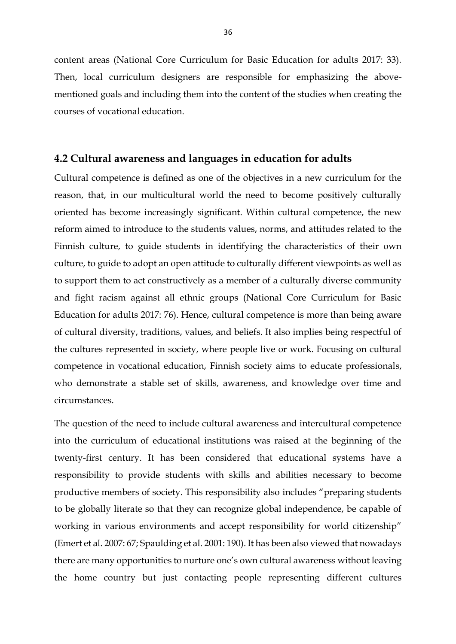content areas (National Core Curriculum for Basic Education for adults 2017: 33). Then, local curriculum designers are responsible for emphasizing the abovementioned goals and including them into the content of the studies when creating the courses of vocational education.

#### **4.2 Cultural awareness and languages in education for adults**

Cultural competence is defined as one of the objectives in a new curriculum for the reason, that, in our multicultural world the need to become positively culturally oriented has become increasingly significant. Within cultural competence, the new reform aimed to introduce to the students values, norms, and attitudes related to the Finnish culture, to guide students in identifying the characteristics of their own culture, to guide to adopt an open attitude to culturally different viewpoints as well as to support them to act constructively as a member of a culturally diverse community and fight racism against all ethnic groups (National Core Curriculum for Basic Education for adults 2017: 76). Hence, cultural competence is more than being aware of cultural diversity, traditions, values, and beliefs. It also implies being respectful of the cultures represented in society, where people live or work. Focusing on cultural competence in vocational education, Finnish society aims to educate professionals, who demonstrate a stable set of skills, awareness, and knowledge over time and circumstances.

The question of the need to include cultural awareness and intercultural competence into the curriculum of educational institutions was raised at the beginning of the twenty-first century. It has been considered that educational systems have a responsibility to provide students with skills and abilities necessary to become productive members of society. This responsibility also includes "preparing students to be globally literate so that they can recognize global independence, be capable of working in various environments and accept responsibility for world citizenship" (Emert et al. 2007: 67; Spaulding et al. 2001: 190). It has been also viewed that nowadays there are many opportunities to nurture one's own cultural awareness without leaving the home country but just contacting people representing different cultures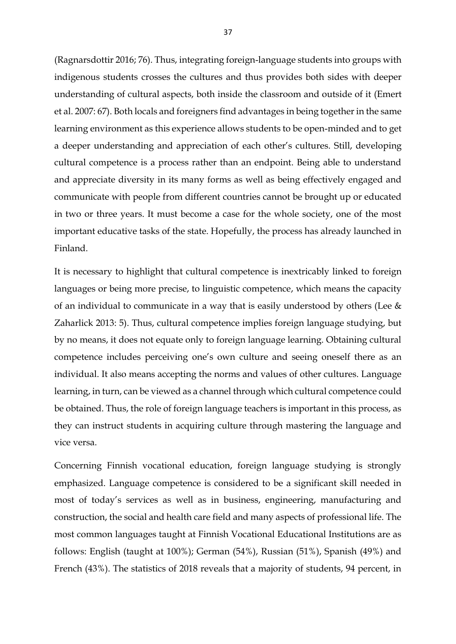(Ragnarsdottir 2016; 76). Thus, integrating foreign-language students into groups with indigenous students crosses the cultures and thus provides both sides with deeper understanding of cultural aspects, both inside the classroom and outside of it (Emert et al. 2007: 67). Both locals and foreigners find advantages in being together in the same learning environment as this experience allows students to be open-minded and to get a deeper understanding and appreciation of each other's cultures. Still, developing cultural competence is a process rather than an endpoint. Being able to understand and appreciate diversity in its many forms as well as being effectively engaged and communicate with people from different countries cannot be brought up or educated in two or three years. It must become a case for the whole society, one of the most important educative tasks of the state. Hopefully, the process has already launched in Finland.

It is necessary to highlight that cultural competence is inextricably linked to foreign languages or being more precise, to linguistic competence, which means the capacity of an individual to communicate in a way that is easily understood by others (Lee & Zaharlick 2013: 5). Thus, cultural competence implies foreign language studying, but by no means, it does not equate only to foreign language learning. Obtaining cultural competence includes perceiving one's own culture and seeing oneself there as an individual. It also means accepting the norms and values of other cultures. Language learning, in turn, can be viewed as a channel through which cultural competence could be obtained. Thus, the role of foreign language teachers is important in this process, as they can instruct students in acquiring culture through mastering the language and vice versa.

Concerning Finnish vocational education, foreign language studying is strongly emphasized. Language competence is considered to be a significant skill needed in most of today's services as well as in business, engineering, manufacturing and construction, the social and health care field and many aspects of professional life. The most common languages taught at Finnish Vocational Educational Institutions are as follows: English (taught at 100%); German (54%), Russian (51%), Spanish (49%) and French (43%). The statistics of 2018 reveals that a majority of students, 94 percent, in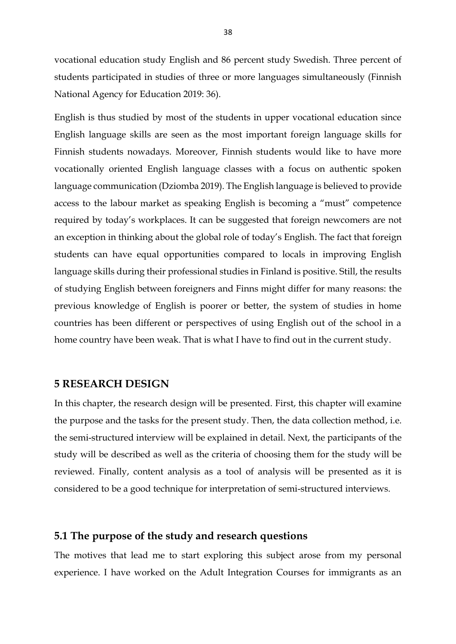vocational education study English and 86 percent study Swedish. Three percent of students participated in studies of three or more languages simultaneously (Finnish National Agency for Education 2019: 36).

English is thus studied by most of the students in upper vocational education since English language skills are seen as the most important foreign language skills for Finnish students nowadays. Moreover, Finnish students would like to have more vocationally oriented English language classes with a focus on authentic spoken language communication (Dziomba 2019). The English language is believed to provide access to the labour market as speaking English is becoming a "must" competence required by today's workplaces. It can be suggested that foreign newcomers are not an exception in thinking about the global role of today's English. The fact that foreign students can have equal opportunities compared to locals in improving English language skills during their professional studies in Finland is positive. Still, the results of studying English between foreigners and Finns might differ for many reasons: the previous knowledge of English is poorer or better, the system of studies in home countries has been different or perspectives of using English out of the school in a home country have been weak. That is what I have to find out in the current study.

#### **5 RESEARCH DESIGN**

In this chapter, the research design will be presented. First, this chapter will examine the purpose and the tasks for the present study. Then, the data collection method, i.e. the semi-structured interview will be explained in detail. Next, the participants of the study will be described as well as the criteria of choosing them for the study will be reviewed. Finally, content analysis as a tool of analysis will be presented as it is considered to be a good technique for interpretation of semi-structured interviews.

#### **5.1 The purpose of the study and research questions**

The motives that lead me to start exploring this subject arose from my personal experience. I have worked on the Adult Integration Courses for immigrants as an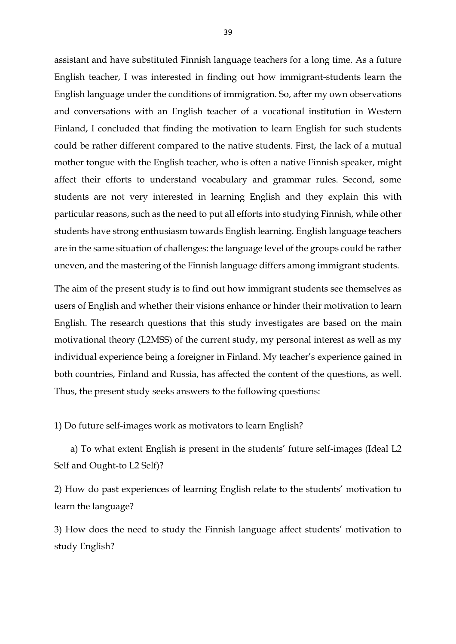assistant and have substituted Finnish language teachers for a long time. As a future English teacher, I was interested in finding out how immigrant-students learn the English language under the conditions of immigration. So, after my own observations and conversations with an English teacher of a vocational institution in Western Finland, I concluded that finding the motivation to learn English for such students could be rather different compared to the native students. First, the lack of a mutual mother tongue with the English teacher, who is often a native Finnish speaker, might affect their efforts to understand vocabulary and grammar rules. Second, some students are not very interested in learning English and they explain this with particular reasons, such as the need to put all efforts into studying Finnish, while other students have strong enthusiasm towards English learning. English language teachers are in the same situation of challenges: the language level of the groups could be rather uneven, and the mastering of the Finnish language differs among immigrant students.

The aim of the present study is to find out how immigrant students see themselves as users of English and whether their visions enhance or hinder their motivation to learn English. The research questions that this study investigates are based on the main motivational theory (L2MSS) of the current study, my personal interest as well as my individual experience being a foreigner in Finland. My teacher's experience gained in both countries, Finland and Russia, has affected the content of the questions, as well. Thus, the present study seeks answers to the following questions:

1) Do future self-images work as motivators to learn English?

 a) To what extent English is present in the students' future self-images (Ideal L2 Self and Ought-to L2 Self)?

2) How do past experiences of learning English relate to the students' motivation to learn the language?

3) How does the need to study the Finnish language affect students' motivation to study English?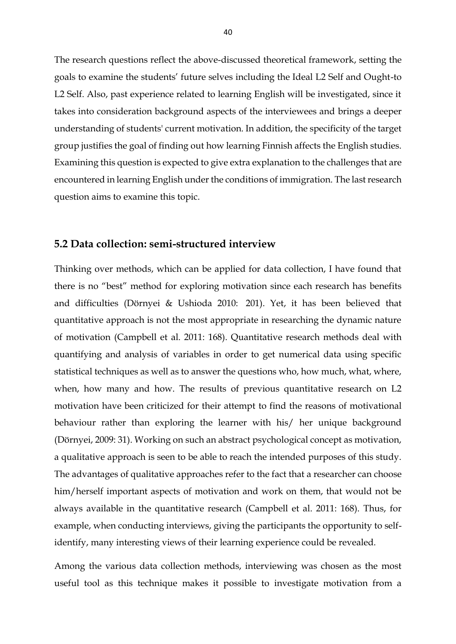The research questions reflect the above-discussed theoretical framework, setting the goals to examine the students' future selves including the Ideal L2 Self and Ought-to L2 Self. Also, past experience related to learning English will be investigated, since it takes into consideration background aspects of the interviewees and brings a deeper understanding of students' current motivation. In addition, the specificity of the target group justifies the goal of finding out how learning Finnish affects the English studies. Examining this question is expected to give extra explanation to the challenges that are encountered in learning English under the conditions of immigration. The last research question aims to examine this topic.

#### **5.2 Data collection: semi-structured interview**

Thinking over methods, which can be applied for data collection, I have found that there is no "best" method for exploring motivation since each research has benefits and difficulties (Dörnyei & Ushioda 2010: 201). Yet, it has been believed that quantitative approach is not the most appropriate in researching the dynamic nature of motivation (Campbell et al. 2011: 168). Quantitative research methods deal with quantifying and analysis of variables in order to get numerical data using specific statistical techniques as well as to answer the questions who, how much, what, where, when, how many and how. The results of previous quantitative research on L2 motivation have been criticized for their attempt to find the reasons of motivational behaviour rather than exploring the learner with his/ her unique background (Dörnyei, 2009: 31). Working on such an abstract psychological concept as motivation, a qualitative approach is seen to be able to reach the intended purposes of this study. The advantages of qualitative approaches refer to the fact that a researcher can choose him/herself important aspects of motivation and work on them, that would not be always available in the quantitative research (Campbell et al. 2011: 168). Thus, for example, when conducting interviews, giving the participants the opportunity to selfidentify, many interesting views of their learning experience could be revealed.

Among the various data collection methods, interviewing was chosen as the most useful tool as this technique makes it possible to investigate motivation from a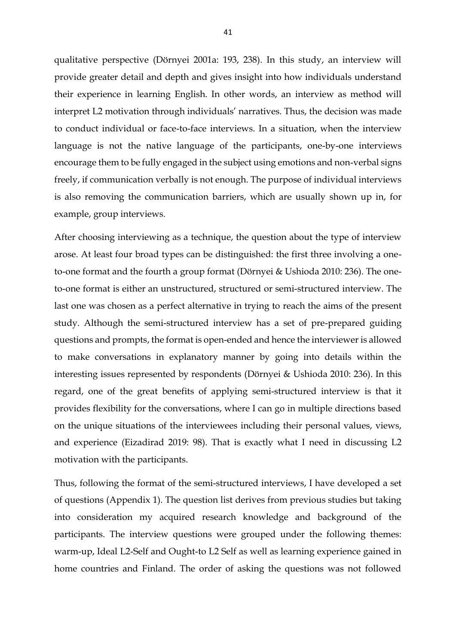qualitative perspective (Dörnyei 2001a: 193, 238). In this study, an interview will provide greater detail and depth and gives insight into how individuals understand their experience in learning English. In other words, an interview as method will interpret L2 motivation through individuals' narratives. Thus, the decision was made to conduct individual or face-to-face interviews. In a situation, when the interview language is not the native language of the participants, one-by-one interviews encourage them to be fully engaged in the subject using emotions and non-verbal signs freely, if communication verbally is not enough. The purpose of individual interviews is also removing the communication barriers, which are usually shown up in, for example, group interviews.

After choosing interviewing as a technique, the question about the type of interview arose. At least four broad types can be distinguished: the first three involving a oneto-one format and the fourth a group format (Dörnyei & Ushioda 2010: 236). The oneto-one format is either an unstructured, structured or semi-structured interview. The last one was chosen as a perfect alternative in trying to reach the aims of the present study. Although the semi-structured interview has a set of pre-prepared guiding questions and prompts, the format is open-ended and hence the interviewer is allowed to make conversations in explanatory manner by going into details within the interesting issues represented by respondents (Dörnyei & Ushioda 2010: 236). In this regard, one of the great benefits of applying semi-structured interview is that it provides flexibility for the conversations, where I can go in multiple directions based on the unique situations of the interviewees including their personal values, views, and experience (Eizadirad 2019: 98). That is exactly what I need in discussing L2 motivation with the participants.

Thus, following the format of the semi-structured interviews, I have developed a set of questions (Appendix 1). The question list derives from previous studies but taking into consideration my acquired research knowledge and background of the participants. The interview questions were grouped under the following themes: warm-up, Ideal L2-Self and Ought-to L2 Self as well as learning experience gained in home countries and Finland. The order of asking the questions was not followed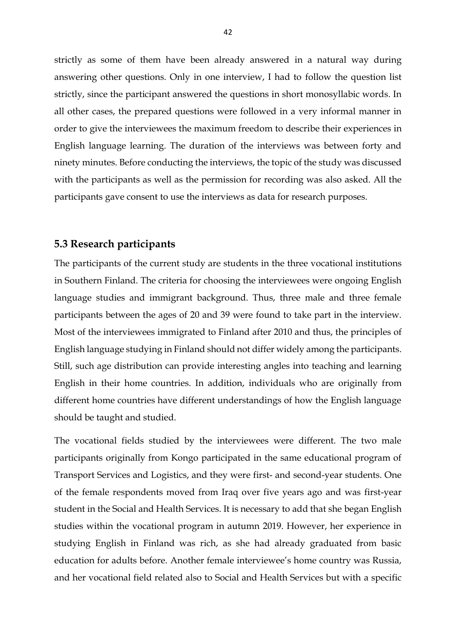strictly as some of them have been already answered in a natural way during answering other questions. Only in one interview, I had to follow the question list strictly, since the participant answered the questions in short monosyllabic words. In all other cases, the prepared questions were followed in a very informal manner in order to give the interviewees the maximum freedom to describe their experiences in English language learning. The duration of the interviews was between forty and ninety minutes. Before conducting the interviews, the topic of the study was discussed with the participants as well as the permission for recording was also asked. All the participants gave consent to use the interviews as data for research purposes.

## **5.3 Research participants**

The participants of the current study are students in the three vocational institutions in Southern Finland. The criteria for choosing the interviewees were ongoing English language studies and immigrant background. Thus, three male and three female participants between the ages of 20 and 39 were found to take part in the interview. Most of the interviewees immigrated to Finland after 2010 and thus, the principles of English language studying in Finland should not differ widely among the participants. Still, such age distribution can provide interesting angles into teaching and learning English in their home countries. In addition, individuals who are originally from different home countries have different understandings of how the English language should be taught and studied.

The vocational fields studied by the interviewees were different. The two male participants originally from Kongo participated in the same educational program of Transport Services and Logistics, and they were first- and second-year students. One of the female respondents moved from Iraq over five years ago and was first-year student in the Social and Health Services. It is necessary to add that she began English studies within the vocational program in autumn 2019. However, her experience in studying English in Finland was rich, as she had already graduated from basic education for adults before. Another female interviewee's home country was Russia, and her vocational field related also to Social and Health Services but with a specific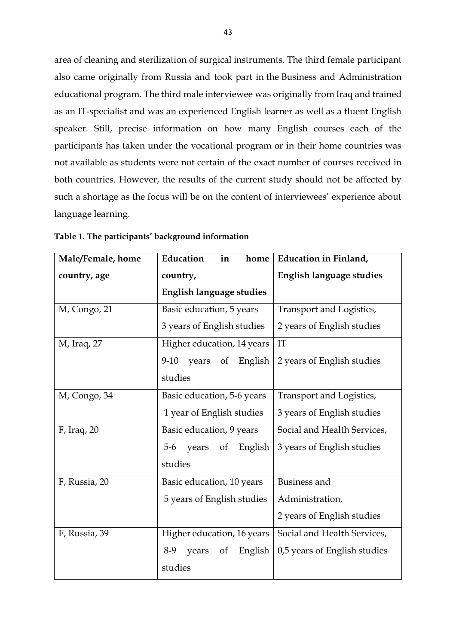area of cleaning and sterilization of surgical instruments. The third female participant also came originally from Russia and took part in the Business and Administration educational program. The third male interviewee was originally from Iraq and trained as an IT-specialist and was an experienced English learner as well as a fluent English speaker. Still, precise information on how many English courses each of the participants has taken under the vocational program or in their home countries was not available as students were not certain of the exact number of courses received in both countries. However, the results of the current study should not be affected by such a shortage as the focus will be on the content of interviewees' experience about language learning.

| Male/Female, home | Education<br>in<br>home          | Education in Finland,           |
|-------------------|----------------------------------|---------------------------------|
| country, age      | country,                         | <b>English language studies</b> |
|                   | <b>English language studies</b>  |                                 |
| M, Congo, 21      | Basic education, 5 years         | Transport and Logistics,        |
|                   | 3 years of English studies       | 2 years of English studies      |
| M, Iraq, 27       | Higher education, 14 years       | IT                              |
|                   | of<br>$9-10$<br>years<br>English | 2 years of English studies      |
|                   | studies                          |                                 |
| M, Congo, 34      | Basic education, 5-6 years       | Transport and Logistics,        |
|                   | 1 year of English studies        | 3 years of English studies      |
| F, Iraq, 20       | Basic education, 9 years         | Social and Health Services,     |
|                   | of<br>English<br>$5-6$<br>years  | 3 years of English studies      |
|                   | studies                          |                                 |
| F, Russia, 20     | Basic education, 10 years        | <b>Business and</b>             |
|                   | 5 years of English studies       | Administration,                 |
|                   |                                  | 2 years of English studies      |
| F, Russia, 39     | Higher education, 16 years       | Social and Health Services,     |
|                   | English<br>$8-9$<br>years<br>of  | 0,5 years of English studies    |
|                   | studies                          |                                 |

**Table 1. The participants' background information**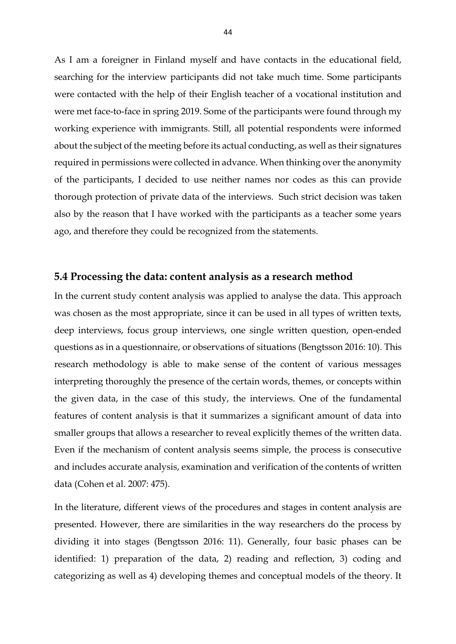As I am a foreigner in Finland myself and have contacts in the educational field, searching for the interview participants did not take much time. Some participants were contacted with the help of their English teacher of a vocational institution and were met face-to-face in spring 2019. Some of the participants were found through my working experience with immigrants. Still, all potential respondents were informed about the subject of the meeting before its actual conducting, as well as their signatures required in permissions were collected in advance. When thinking over the anonymity of the participants, I decided to use neither names nor codes as this can provide thorough protection of private data of the interviews. Such strict decision was taken also by the reason that I have worked with the participants as a teacher some years ago, and therefore they could be recognized from the statements.

#### **5.4 Processing the data: content analysis as a research method**

In the current study content analysis was applied to analyse the data. This approach was chosen as the most appropriate, since it can be used in all types of written texts, deep interviews, focus group interviews, one single written question, open-ended questions as in a questionnaire, or observations of situations (Bengtsson 2016: 10). This research methodology is able to make sense of the content of various messages interpreting thoroughly the presence of the certain words, themes, or concepts within the given data, in the case of this study, the interviews. One of the fundamental features of content analysis is that it summarizes a significant amount of data into smaller groups that allows a researcher to reveal explicitly themes of the written data. Even if the mechanism of content analysis seems simple, the process is consecutive and includes accurate analysis, examination and verification of the contents of written data (Cohen et al. 2007: 475).

In the literature, different views of the procedures and stages in content analysis are presented. However, there are similarities in the way researchers do the process by dividing it into stages (Bengtsson 2016: 11). Generally, four basic phases can be identified: 1) preparation of the data, 2) reading and reflection, 3) coding and categorizing as well as 4) developing themes and conceptual models of the theory. It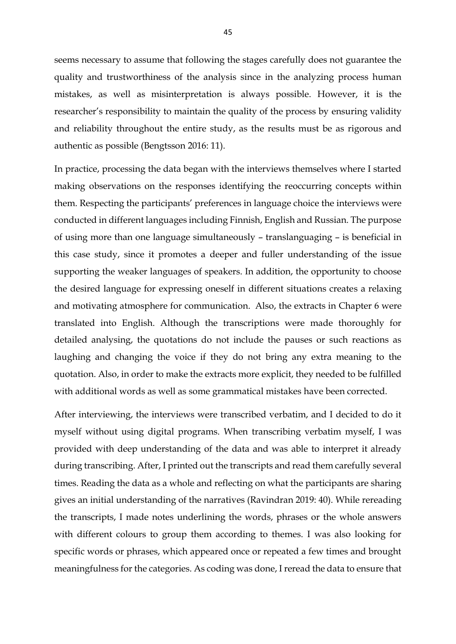seems necessary to assume that following the stages carefully does not guarantee the quality and trustworthiness of the analysis since in the analyzing process human mistakes, as well as misinterpretation is always possible. However, it is the researcher's responsibility to maintain the quality of the process by ensuring validity and reliability throughout the entire study, as the results must be as rigorous and authentic as possible (Bengtsson 2016: 11).

In practice, processing the data began with the interviews themselves where I started making observations on the responses identifying the reoccurring concepts within them. Respecting the participants' preferences in language choice the interviews were conducted in different languages including Finnish, English and Russian. The purpose of using more than one language simultaneously – translanguaging – is beneficial in this case study, since it promotes a deeper and fuller understanding of the issue supporting the weaker languages of speakers. In addition, the opportunity to choose the desired language for expressing oneself in different situations creates a relaxing and motivating atmosphere for communication. Also, the extracts in Chapter 6 were translated into English. Although the transcriptions were made thoroughly for detailed analysing, the quotations do not include the pauses or such reactions as laughing and changing the voice if they do not bring any extra meaning to the quotation. Also, in order to make the extracts more explicit, they needed to be fulfilled with additional words as well as some grammatical mistakes have been corrected.

After interviewing, the interviews were transcribed verbatim, and I decided to do it myself without using digital programs. When transcribing verbatim myself, I was provided with deep understanding of the data and was able to interpret it already during transcribing. After, I printed out the transcripts and read them carefully several times. Reading the data as a whole and reflecting on what the participants are sharing gives an initial understanding of the narratives (Ravindran 2019: 40). While rereading the transcripts, I made notes underlining the words, phrases or the whole answers with different colours to group them according to themes. I was also looking for specific words or phrases, which appeared once or repeated a few times and brought meaningfulness for the categories. As coding was done, I reread the data to ensure that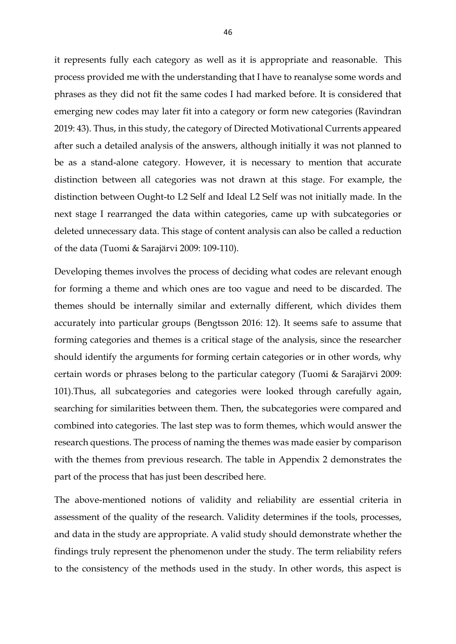it represents fully each category as well as it is appropriate and reasonable. This process provided me with the understanding that I have to reanalyse some words and phrases as they did not fit the same codes I had marked before. It is considered that emerging new codes may later fit into a category or form new categories (Ravindran 2019: 43). Thus, in this study, the category of Directed Motivational Currents appeared after such a detailed analysis of the answers, although initially it was not planned to be as a stand-alone category. However, it is necessary to mention that accurate distinction between all categories was not drawn at this stage. For example, the distinction between Ought-to L2 Self and Ideal L2 Self was not initially made. In the next stage I rearranged the data within categories, came up with subcategories or deleted unnecessary data. This stage of content analysis can also be called a reduction of the data (Tuomi & Sarajärvi 2009: 109-110).

Developing themes involves the process of deciding what codes are relevant enough for forming a theme and which ones are too vague and need to be discarded. The themes should be internally similar and externally different, which divides them accurately into particular groups (Bengtsson 2016: 12). It seems safe to assume that forming categories and themes is a critical stage of the analysis, since the researcher should identify the arguments for forming certain categories or in other words, why certain words or phrases belong to the particular category (Tuomi & Sarajärvi 2009: 101).Thus, all subcategories and categories were looked through carefully again, searching for similarities between them. Then, the subcategories were compared and combined into categories. The last step was to form themes, which would answer the research questions. The process of naming the themes was made easier by comparison with the themes from previous research. The table in Appendix 2 demonstrates the part of the process that has just been described here.

The above-mentioned notions of validity and reliability are essential criteria in assessment of the quality of the research. Validity determines if the tools, processes, and data in the study are appropriate. A valid study should demonstrate whether the findings truly represent the phenomenon under the study. The term reliability refers to the consistency of the methods used in the study. In other words, this aspect is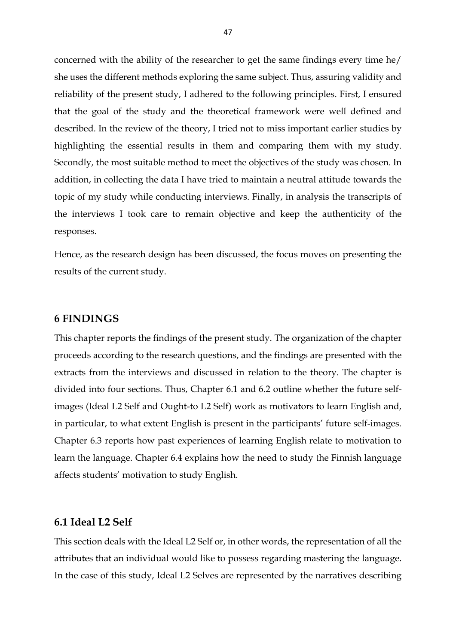concerned with the ability of the researcher to get the same findings every time he/ she uses the different methods exploring the same subject. Thus, assuring validity and reliability of the present study, I adhered to the following principles. First, I ensured that the goal of the study and the theoretical framework were well defined and described. In the review of the theory, I tried not to miss important earlier studies by highlighting the essential results in them and comparing them with my study. Secondly, the most suitable method to meet the objectives of the study was chosen. In addition, in collecting the data I have tried to maintain a neutral attitude towards the topic of my study while conducting interviews. Finally, in analysis the transcripts of the interviews I took care to remain objective and keep the authenticity of the responses.

Hence, as the research design has been discussed, the focus moves on presenting the results of the current study.

## **6 FINDINGS**

This chapter reports the findings of the present study. The organization of the chapter proceeds according to the research questions, and the findings are presented with the extracts from the interviews and discussed in relation to the theory. The chapter is divided into four sections. Thus, Chapter 6.1 and 6.2 outline whether the future selfimages (Ideal L2 Self and Ought-to L2 Self) work as motivators to learn English and, in particular, to what extent English is present in the participants' future self-images. Chapter 6.3 reports how past experiences of learning English relate to motivation to learn the language. Chapter 6.4 explains how the need to study the Finnish language affects students' motivation to study English.

## **6.1 Ideal L2 Self**

This section deals with the Ideal L2 Self or, in other words, the representation of all the attributes that an individual would like to possess regarding mastering the language. In the case of this study, Ideal L2 Selves are represented by the narratives describing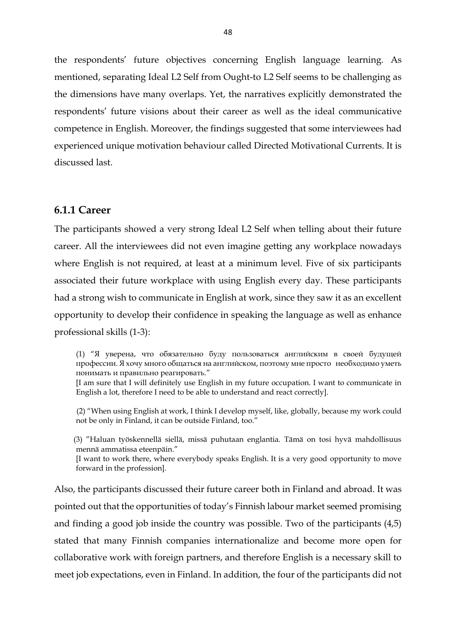the respondents' future objectives concerning English language learning. As mentioned, separating Ideal L2 Self from Ought-to L2 Self seems to be challenging as the dimensions have many overlaps. Yet, the narratives explicitly demonstrated the respondents' future visions about their career as well as the ideal communicative competence in English. Moreover, the findings suggested that some interviewees had experienced unique motivation behaviour called Directed Motivational Currents. It is discussed last.

#### **6.1.1 Career**

The participants showed a very strong Ideal L2 Self when telling about their future career. All the interviewees did not even imagine getting any workplace nowadays where English is not required, at least at a minimum level. Five of six participants associated their future workplace with using English every day. These participants had a strong wish to communicate in English at work, since they saw it as an excellent opportunity to develop their confidence in speaking the language as well as enhance professional skills (1-3):

(1) "Я уверена, что обязательно буду пользоваться английским в своей будущей профессии. Я хочу много общаться на английском, поэтому мне просто необходимо уметь понимать и правильно реагировать."

[I am sure that I will definitely use English in my future occupation. I want to communicate in English a lot, therefore I need to be able to understand and react correctly].

 (2) "When using English at work, I think I develop myself, like, globally, because my work could not be only in Finland, it can be outside Finland, too."

 (3) "Haluan työskennellä siellä, missä puhutaan englantia. Tämä on tosi hyvä mahdollisuus mennä ammatissa eteenpäin."

[I want to work there, where everybody speaks English. It is a very good opportunity to move forward in the profession].

Also, the participants discussed their future career both in Finland and abroad. It was pointed out that the opportunities of today's Finnish labour market seemed promising and finding a good job inside the country was possible. Two of the participants (4,5) stated that many Finnish companies internationalize and become more open for collaborative work with foreign partners, and therefore English is a necessary skill to meet job expectations, even in Finland. In addition, the four of the participants did not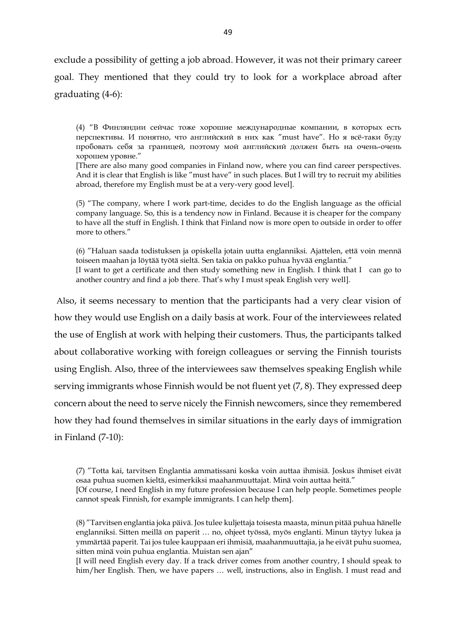exclude a possibility of getting a job abroad. However, it was not their primary career goal. They mentioned that they could try to look for a workplace abroad after graduating (4-6):

(4) "В Финляндии сейчас тоже хорошие международные компании, в которых есть перспективы. И понятно, что английский в них как "must have". Но я всё-таки буду пробовать себя за границей, поэтому мой английский должен быть на очень-очень хорошем уровне."

[There are also many good companies in Finland now, where you can find career perspectives. And it is clear that English is like "must have" in such places. But I will try to recruit my abilities abroad, therefore my English must be at a very-very good level].

(5) "The company, where I work part-time, decides to do the English language as the official company language. So, this is a tendency now in Finland. Because it is cheaper for the company to have all the stuff in English. I think that Finland now is more open to outside in order to offer more to others."

(6) "Haluan saada todistuksen ja opiskella jotain uutta englanniksi. Ajattelen, että voin mennä toiseen maahan ja löytää työtä sieltä. Sen takia on pakko puhua hyvää englantia." [I want to get a certificate and then study something new in English. I think that I can go to another country and find a job there. That's why I must speak English very well].

Also, it seems necessary to mention that the participants had a very clear vision of how they would use English on a daily basis at work. Four of the interviewees related the use of English at work with helping their customers. Thus, the participants talked about collaborative working with foreign colleagues or serving the Finnish tourists using English. Also, three of the interviewees saw themselves speaking English while serving immigrants whose Finnish would be not fluent yet (7, 8). They expressed deep concern about the need to serve nicely the Finnish newcomers, since they remembered how they had found themselves in similar situations in the early days of immigration in Finland (7-10):

(7) "Totta kai, tarvitsen Englantia ammatissani koska voin auttaa ihmisiä. Joskus ihmiset eivät osaa puhua suomen kieltä, esimerkiksi maahanmuuttajat. Minä voin auttaa heitä."

[Of course, I need English in my future profession because I can help people. Sometimes people cannot speak Finnish, for example immigrants. I can help them].

(8) "Tarvitsen englantia joka päivä. Jos tulee kuljettaja toisesta maasta, minun pitää puhua hänelle englanniksi. Sitten meillä on paperit … no, ohjeet työssä, myös englanti. Minun täytyy lukea ja ymmärtää paperit. Tai jos tulee kauppaan eri ihmisiä, maahanmuuttajia, ja he eivät puhu suomea, sitten minä voin puhua englantia. Muistan sen ajan"

[I will need English every day. If a track driver comes from another country, I should speak to him/her English. Then, we have papers … well, instructions, also in English. I must read and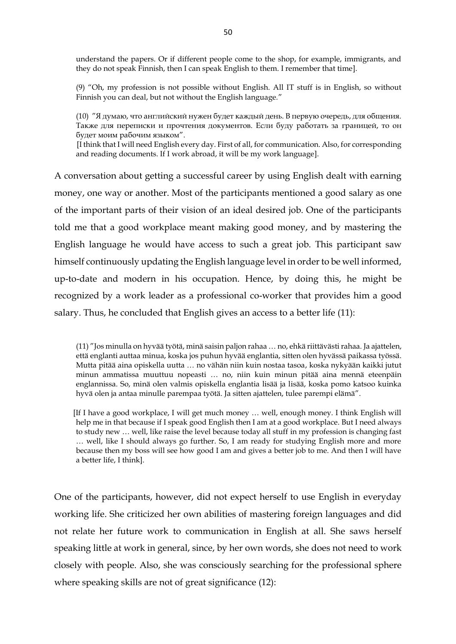understand the papers. Or if different people come to the shop, for example, immigrants, and they do not speak Finnish, then I can speak English to them. I remember that time].

(9) "Oh, my profession is not possible without English. All IT stuff is in English, so without Finnish you can deal, but not without the English language."

(10) "Я думаю, что английский нужен будет каждый день. В первую очередь, для общения. Также для переписки и прочтения документов. Если буду работать за границей, то он будет моим рабочим языком".

 [I think that I will need English every day. First of all, for communication. Also, for corresponding and reading documents. If I work abroad, it will be my work language].

A conversation about getting a successful career by using English dealt with earning money, one way or another. Most of the participants mentioned a good salary as one of the important parts of their vision of an ideal desired job. One of the participants told me that a good workplace meant making good money, and by mastering the English language he would have access to such a great job. This participant saw himself continuously updating the English language level in order to be well informed, up-to-date and modern in his occupation. Hence, by doing this, he might be recognized by a work leader as a professional co-worker that provides him a good salary. Thus, he concluded that English gives an access to a better life (11):

(11) "Jos minulla on hyvää työtä, minä saisin paljon rahaa … no, ehkä riittävästi rahaa. Ja ajattelen, että englanti auttaa minua, koska jos puhun hyvää englantia, sitten olen hyvässä paikassa työssä. Mutta pitää aina opiskella uutta … no vähän niin kuin nostaa tasoa, koska nykyään kaikki jutut minun ammatissa muuttuu nopeasti … no, niin kuin minun pitää aina mennä eteenpäin englannissa. So, minä olen valmis opiskella englantia lisää ja lisää, koska pomo katsoo kuinka hyvä olen ja antaa minulle parempaa työtä. Ja sitten ajattelen, tulee parempi elämä".

 [If I have a good workplace, I will get much money … well, enough money. I think English will help me in that because if I speak good English then I am at a good workplace. But I need always to study new … well, like raise the level because today all stuff in my profession is changing fast … well, like I should always go further. So, I am ready for studying English more and more because then my boss will see how good I am and gives a better job to me. And then I will have a better life, I think].

One of the participants, however, did not expect herself to use English in everyday working life. She criticized her own abilities of mastering foreign languages and did not relate her future work to communication in English at all. She saws herself speaking little at work in general, since, by her own words, she does not need to work closely with people. Also, she was consciously searching for the professional sphere where speaking skills are not of great significance (12):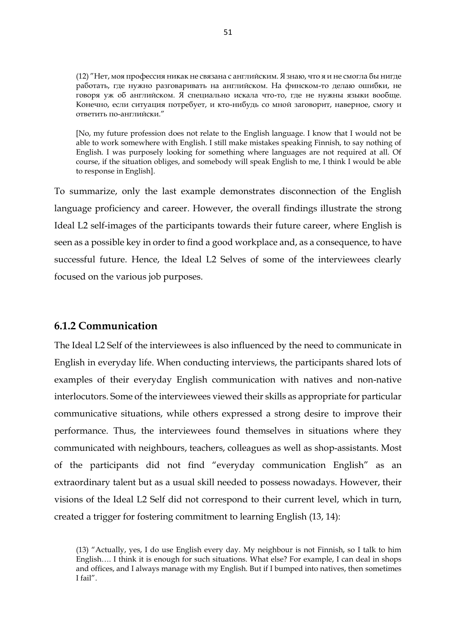(12) "Нет, моя профессия никак не связана с английским. Я знаю, что я и не смогла бы нигде работать, где нужно разговаривать на английском. На финском-то делаю ошибки, не говоря уж об английском. Я специально искала что-то, где не нужны языки вообще. Конечно, если ситуация потребует, и кто-нибудь со мной заговорит, наверное, смогу и ответить по-английски."

[No, my future profession does not relate to the English language. I know that I would not be able to work somewhere with English. I still make mistakes speaking Finnish, to say nothing of English. I was purposely looking for something where languages are not required at all. Of course, if the situation obliges, and somebody will speak English to me, I think I would be able to response in English].

To summarize, only the last example demonstrates disconnection of the English language proficiency and career. However, the overall findings illustrate the strong Ideal L2 self-images of the participants towards their future career, where English is seen as a possible key in order to find a good workplace and, as a consequence, to have successful future. Hence, the Ideal L2 Selves of some of the interviewees clearly focused on the various job purposes.

## **6.1.2 Communication**

The Ideal L2 Self of the interviewees is also influenced by the need to communicate in English in everyday life. When conducting interviews, the participants shared lots of examples of their everyday English communication with natives and non-native interlocutors. Some of the interviewees viewed their skills as appropriate for particular communicative situations, while others expressed a strong desire to improve their performance. Thus, the interviewees found themselves in situations where they communicated with neighbours, teachers, colleagues as well as shop-assistants. Most of the participants did not find "everyday communication English" as an extraordinary talent but as a usual skill needed to possess nowadays. However, their visions of the Ideal L2 Self did not correspond to their current level, which in turn, created a trigger for fostering commitment to learning English (13, 14):

<sup>(13)</sup> "Actually, yes, I do use English every day. My neighbour is not Finnish, so I talk to him English…. I think it is enough for such situations. What else? For example, I can deal in shops and offices, and I always manage with my English. But if I bumped into natives, then sometimes I fail".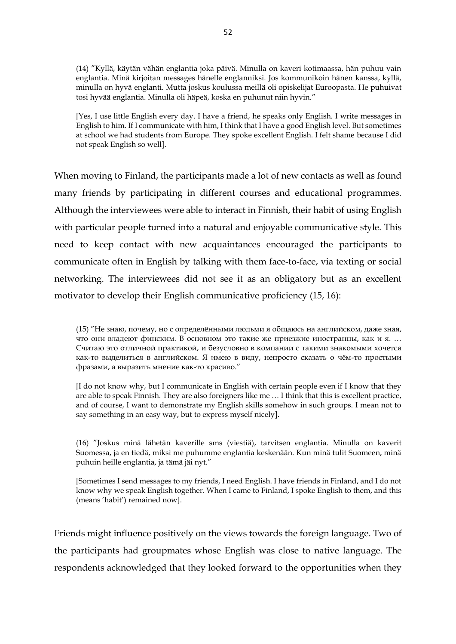(14) "Kyllä, käytän vähän englantia joka päivä. Minulla on kaveri kotimaassa, hän puhuu vain englantia. Minä kirjoitan messages hänelle englanniksi. Jos kommunikoin hänen kanssa, kyllä, minulla on hyvä englanti. Mutta joskus koulussa meillä oli opiskelijat Euroopasta. He puhuivat tosi hyvää englantia. Minulla oli häpeä, koska en puhunut niin hyvin."

[Yes, I use little English every day. I have a friend, he speaks only English. I write messages in English to him. If I communicate with him, I think that I have a good English level. But sometimes at school we had students from Europe. They spoke excellent English. I felt shame because I did not speak English so well].

When moving to Finland, the participants made a lot of new contacts as well as found many friends by participating in different courses and educational programmes. Although the interviewees were able to interact in Finnish, their habit of using English with particular people turned into a natural and enjoyable communicative style. This need to keep contact with new acquaintances encouraged the participants to communicate often in English by talking with them face-to-face, via texting or social networking. The interviewees did not see it as an obligatory but as an excellent motivator to develop their English communicative proficiency (15, 16):

(15) "Не знаю, почему, но с определёнными людьми я общаюсь на английском, даже зная, что они владеют финским. В основном это такие же приезжие иностранцы, как и я. … Считаю это отличной практикой, и безусловно в компании с такими знакомыми хочется как-то выделиться в английском. Я имею в виду, непросто сказать о чём-то простыми фразами, а выразить мнение как-то красиво."

[I do not know why, but I communicate in English with certain people even if I know that they are able to speak Finnish. They are also foreigners like me … I think that this is excellent practice, and of course, I want to demonstrate my English skills somehow in such groups. I mean not to say something in an easy way, but to express myself nicely].

(16) "Joskus minä lähetän kaverille sms (viestiä), tarvitsen englantia. Minulla on kaverit Suomessa, ja en tiedä, miksi me puhumme englantia keskenään. Kun minä tulit Suomeen, minä puhuin heille englantia, ja tämä jäi nyt."

[Sometimes I send messages to my friends, I need English. I have friends in Finland, and I do not know why we speak English together. When I came to Finland, I spoke English to them, and this (means 'habit') remained now].

Friends might influence positively on the views towards the foreign language. Two of the participants had groupmates whose English was close to native language. The respondents acknowledged that they looked forward to the opportunities when they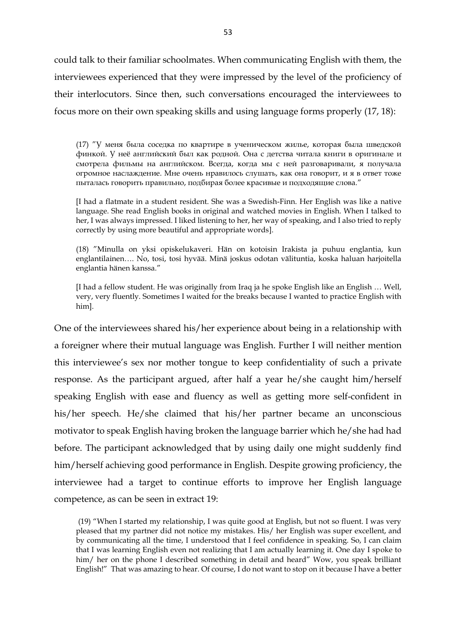could talk to their familiar schoolmates. When communicating English with them, the interviewees experienced that they were impressed by the level of the proficiency of their interlocutors. Since then, such conversations encouraged the interviewees to focus more on their own speaking skills and using language forms properly (17, 18):

(17) "У меня была соседка по квартире в ученическом жилье, которая была шведской финкой. У неё английский был как родной. Она с детства читала книги в оригинале и смотрела фильмы на английском. Всегда, когда мы с ней разговаривали, я получала огромное наслаждение. Мне очень нравилось слушать, как она говорит, и я в ответ тоже пыталась говорить правильно, подбирая более красивые и подходящие слова."

[I had a flatmate in a student resident. She was a Swedish-Finn. Her English was like a native language. She read English books in original and watched movies in English. When I talked to her, I was always impressed. I liked listening to her, her way of speaking, and I also tried to reply correctly by using more beautiful and appropriate words].

(18) "Minulla on yksi opiskelukaveri. Hän on kotoisin Irakista ja puhuu englantia, kun englantilainen…. No, tosi, tosi hyvää. Minä joskus odotan välituntia, koska haluan harjoitella englantia hänen kanssa."

[I had a fellow student. He was originally from Iraq ja he spoke English like an English … Well, very, very fluently. Sometimes I waited for the breaks because I wanted to practice English with him].

One of the interviewees shared his/her experience about being in a relationship with a foreigner where their mutual language was English. Further I will neither mention this interviewee's sex nor mother tongue to keep confidentiality of such a private response. As the participant argued, after half a year he/she caught him/herself speaking English with ease and fluency as well as getting more self-confident in his/her speech. He/she claimed that his/her partner became an unconscious motivator to speak English having broken the language barrier which he/she had had before. The participant acknowledged that by using daily one might suddenly find him/herself achieving good performance in English. Despite growing proficiency, the interviewee had a target to continue efforts to improve her English language competence, as can be seen in extract 19:

(19) "When I started my relationship, I was quite good at English, but not so fluent. I was very pleased that my partner did not notice my mistakes. His/ her English was super excellent, and by communicating all the time, I understood that I feel confidence in speaking. So, I can claim that I was learning English even not realizing that I am actually learning it. One day I spoke to him/ her on the phone I described something in detail and heard" Wow, you speak brilliant English!" That was amazing to hear. Of course, I do not want to stop on it because I have a better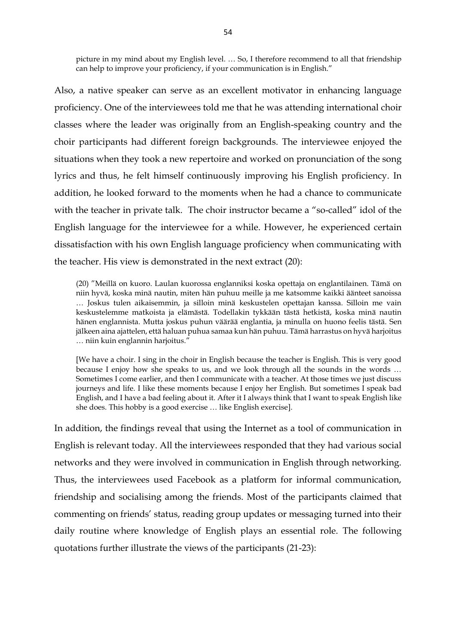picture in my mind about my English level. … So, I therefore recommend to all that friendship can help to improve your proficiency, if your communication is in English."

Also, a native speaker can serve as an excellent motivator in enhancing language proficiency. One of the interviewees told me that he was attending international choir classes where the leader was originally from an English-speaking country and the choir participants had different foreign backgrounds. The interviewee enjoyed the situations when they took a new repertoire and worked on pronunciation of the song lyrics and thus, he felt himself continuously improving his English proficiency. In addition, he looked forward to the moments when he had a chance to communicate with the teacher in private talk. The choir instructor became a "so-called" idol of the English language for the interviewee for a while. However, he experienced certain dissatisfaction with his own English language proficiency when communicating with the teacher. His view is demonstrated in the next extract (20):

(20) "Meillä on kuoro. Laulan kuorossa englanniksi koska opettaja on englantilainen. Tämä on niin hyvä, koska minä nautin, miten hän puhuu meille ja me katsomme kaikki äänteet sanoissa … Joskus tulen aikaisemmin, ja silloin minä keskustelen opettajan kanssa. Silloin me vain keskustelemme matkoista ja elämästä. Todellakin tykkään tästä hetkistä, koska minä nautin hänen englannista. Mutta joskus puhun väärää englantia, ja minulla on huono feelis tästä. Sen jälkeen aina ajattelen, että haluan puhua samaa kun hän puhuu. Tämä harrastus on hyvä harjoitus … niin kuin englannin harjoitus."

[We have a choir. I sing in the choir in English because the teacher is English. This is very good because I enjoy how she speaks to us, and we look through all the sounds in the words … Sometimes I come earlier, and then I communicate with a teacher. At those times we just discuss journeys and life. I like these moments because I enjoy her English. But sometimes I speak bad English, and I have a bad feeling about it. After it I always think that I want to speak English like she does. This hobby is a good exercise … like English exercise].

In addition, the findings reveal that using the Internet as a tool of communication in English is relevant today. All the interviewees responded that they had various social networks and they were involved in communication in English through networking. Thus, the interviewees used Facebook as a platform for informal communication, friendship and socialising among the friends. Most of the participants claimed that commenting on friends' status, reading group updates or messaging turned into their daily routine where knowledge of English plays an essential role. The following quotations further illustrate the views of the participants (21-23):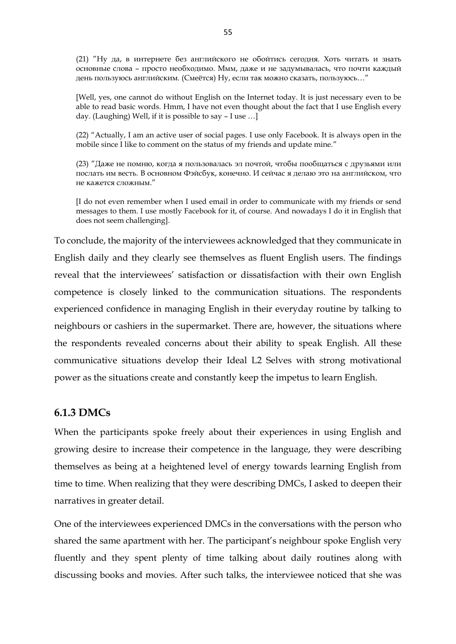(21) "Ну да, в интернете без английского не обойтись сегодня. Хоть читать и знать основные слова – просто необходимо. Ммм, даже и не задумывалась, что почти каждый день пользуюсь английским. (Смеётся) Ну, если так можно сказать, пользуюсь…"

[Well, yes, one cannot do without English on the Internet today. It is just necessary even to be able to read basic words. Hmm, I have not even thought about the fact that I use English every day. (Laughing) Well, if it is possible to say – I use …]

(22) "Actually, I am an active user of social pages. I use only Facebook. It is always open in the mobile since I like to comment on the status of my friends and update mine."

(23) "Даже не помню, когда я пользовалась эл почтой, чтобы пообщаться с друзьями или послать им весть. В основном Фэйсбук, конечно. И сейчас я делаю это на английском, что не кажется сложным."

[I do not even remember when I used email in order to communicate with my friends or send messages to them. I use mostly Facebook for it, of course. And nowadays I do it in English that does not seem challenging].

To conclude, the majority of the interviewees acknowledged that they communicate in English daily and they clearly see themselves as fluent English users. The findings reveal that the interviewees' satisfaction or dissatisfaction with their own English competence is closely linked to the communication situations. The respondents experienced confidence in managing English in their everyday routine by talking to neighbours or cashiers in the supermarket. There are, however, the situations where the respondents revealed concerns about their ability to speak English. All these communicative situations develop their Ideal L2 Selves with strong motivational power as the situations create and constantly keep the impetus to learn English.

#### **6.1.3 DMCs**

When the participants spoke freely about their experiences in using English and growing desire to increase their competence in the language, they were describing themselves as being at a heightened level of energy towards learning English from time to time. When realizing that they were describing DMCs, I asked to deepen their narratives in greater detail.

One of the interviewees experienced DMCs in the conversations with the person who shared the same apartment with her. The participant's neighbour spoke English very fluently and they spent plenty of time talking about daily routines along with discussing books and movies. After such talks, the interviewee noticed that she was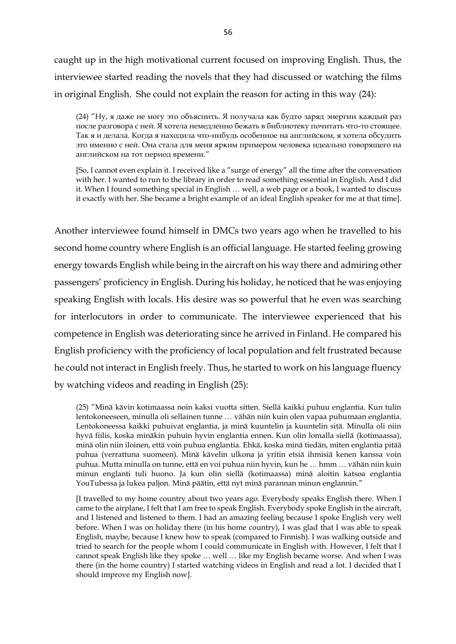caught up in the high motivational current focused on improving English. Thus, the interviewee started reading the novels that they had discussed or watching the films in original English. She could not explain the reason for acting in this way (24):

(24) "Ну, я даже не могу это объяснить. Я получала как будто заряд энергии каждый раз после разговора с ней. Я хотела немедленно бежать в библиотеку почитать что-то стоящее. Так я и делала. Когда я находила что-нибудь особенное на английском, я хотела обсудить это именно с ней. Она стала для меня ярким примером человека идеально говорящего на английском на тот период времени."

[So, I cannot even explain it. I received like a "surge of energy" all the time after the conversation with her. I wanted to run to the library in order to read something essential in English. And I did it. When I found something special in English … well, a web page or a book, I wanted to discuss it exactly with her. She became a bright example of an ideal English speaker for me at that time].

Another interviewee found himself in DMCs two years ago when he travelled to his second home country where English is an official language. He started feeling growing energy towards English while being in the aircraft on his way there and admiring other passengers' proficiency in English. During his holiday, he noticed that he was enjoying speaking English with locals. His desire was so powerful that he even was searching for interlocutors in order to communicate. The interviewee experienced that his competence in English was deteriorating since he arrived in Finland. He compared his English proficiency with the proficiency of local population and felt frustrated because he could not interact in English freely. Thus, he started to work on his language fluency by watching videos and reading in English (25):

(25) "Minä kävin kotimaassa noin kaksi vuotta sitten. Siellä kaikki puhuu englantia. Kun tulin lentokoneeseen, minulla oli sellainen tunne … vähän niin kuin olen vapaa puhumaan englantia. Lentokoneessa kaikki puhuivat englantia, ja minä kuuntelin ja kuuntelin sitä. Minulla oli niin hyvä fiilis, koska minäkin puhuin hyvin englantia ennen. Kun olin lomalla siellä (kotimaassa), minä olin niin iloinen, että voin puhua englantia. Ehkä, koska minä tiedän, miten englantia pitää puhua (verrattuna suomeen). Minä kävelin ulkona ja yritin etsiä ihmisiä kenen kanssa voin puhua. Mutta minulla on tunne, että en voi puhua niin hyvin, kun he … hmm … vähän niin kuin minun englanti tuli huono. Ja kun olin siellä (kotimaassa) minä aloitin katsoa englantia YouTubessa ja lukea paljon. Minä päätin, että nyt minä parannan minun englannin."

[I travelled to my home country about two years ago. Everybody speaks English there. When I came to the airplane, I felt that I am free to speak English. Everybody spoke English in the aircraft, and I listened and listened to them. I had an amazing feeling because I spoke English very well before. When I was on holiday there (in his home country), I was glad that I was able to speak English, maybe, because I knew how to speak (compared to Finnish). I was walking outside and tried to search for the people whom I could communicate in English with. However, I felt that I cannot speak English like they spoke … well … like my English became worse. And when I was there (in the home country) I started watching videos in English and read a lot. I decided that I should improve my English now].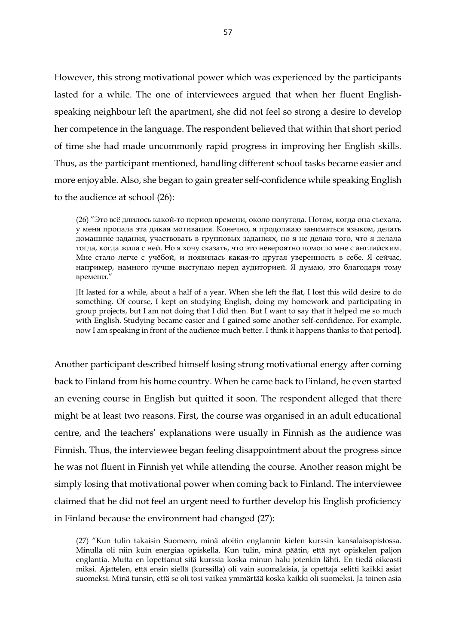However, this strong motivational power which was experienced by the participants lasted for a while. The one of interviewees argued that when her fluent Englishspeaking neighbour left the apartment, she did not feel so strong a desire to develop her competence in the language. The respondent believed that within that short period of time she had made uncommonly rapid progress in improving her English skills. Thus, as the participant mentioned, handling different school tasks became easier and more enjoyable. Also, she began to gain greater self-confidence while speaking English to the audience at school (26):

(26) "Это всё длилось какой-то период времени, около полугода. Потом, когда она съехала, у меня пропала эта дикая мотивация. Конечно, я продолжаю заниматься языком, делать домашние задания, участвовать в групповых заданиях, но я не делаю того, что я делала тогда, когда жила с ней. Но я хочу сказать, что это невероятно помогло мне с английским. Мне стало легче с учёбой, и появилась какая-то другая уверенность в себе. Я сейчас, например, намного лучше выступаю перед аудиторией. Я думаю, это благодаря тому времени."

[It lasted for a while, about a half of a year. When she left the flat, I lost this wild desire to do something. Of course, I kept on studying English, doing my homework and participating in group projects, but I am not doing that I did then. But I want to say that it helped me so much with English. Studying became easier and I gained some another self-confidence. For example, now I am speaking in front of the audience much better. I think it happens thanks to that period].

Another participant described himself losing strong motivational energy after coming back to Finland from his home country. When he came back to Finland, he even started an evening course in English but quitted it soon. The respondent alleged that there might be at least two reasons. First, the course was organised in an adult educational centre, and the teachers' explanations were usually in Finnish as the audience was Finnish. Thus, the interviewee began feeling disappointment about the progress since he was not fluent in Finnish yet while attending the course. Another reason might be simply losing that motivational power when coming back to Finland. The interviewee claimed that he did not feel an urgent need to further develop his English proficiency in Finland because the environment had changed (27):

(27) "Kun tulin takaisin Suomeen, minä aloitin englannin kielen kurssin kansalaisopistossa. Minulla oli niin kuin energiaa opiskella. Kun tulin, minä päätin, että nyt opiskelen paljon englantia. Mutta en lopettanut sitä kurssia koska minun halu jotenkin lähti. En tiedä oikeasti miksi. Ajattelen, että ensin siellä (kurssilla) oli vain suomalaisia, ja opettaja selitti kaikki asiat suomeksi. Minä tunsin, että se oli tosi vaikea ymmärtää koska kaikki oli suomeksi. Ja toinen asia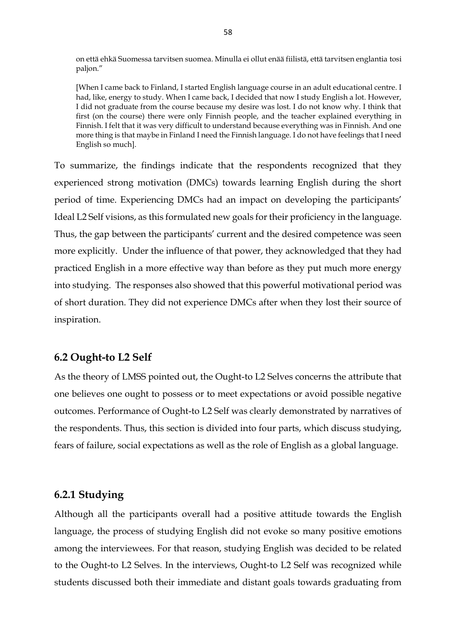on että ehkä Suomessa tarvitsen suomea. Minulla ei ollut enää fiilistä, että tarvitsen englantia tosi paljon."

[When I came back to Finland, I started English language course in an adult educational centre. I had, like, energy to study. When I came back, I decided that now I study English a lot. However, I did not graduate from the course because my desire was lost. I do not know why. I think that first (on the course) there were only Finnish people, and the teacher explained everything in Finnish. I felt that it was very difficult to understand because everything was in Finnish. And one more thing is that maybe in Finland I need the Finnish language. I do not have feelings that I need English so much].

To summarize, the findings indicate that the respondents recognized that they experienced strong motivation (DMCs) towards learning English during the short period of time. Experiencing DMCs had an impact on developing the participants' Ideal L2 Self visions, as this formulated new goals for their proficiency in the language. Thus, the gap between the participants' current and the desired competence was seen more explicitly. Under the influence of that power, they acknowledged that they had practiced English in a more effective way than before as they put much more energy into studying. The responses also showed that this powerful motivational period was of short duration. They did not experience DMCs after when they lost their source of inspiration.

## **6.2 Ought-to L2 Self**

As the theory of LMSS pointed out, the Ought-to L2 Selves concerns the attribute that one believes one ought to possess or to meet expectations or avoid possible negative outcomes. Performance of Ought-to L2 Self was clearly demonstrated by narratives of the respondents. Thus, this section is divided into four parts, which discuss studying, fears of failure, social expectations as well as the role of English as a global language.

## **6.2.1 Studying**

Although all the participants overall had a positive attitude towards the English language, the process of studying English did not evoke so many positive emotions among the interviewees. For that reason, studying English was decided to be related to the Ought-to L2 Selves. In the interviews, Ought-to L2 Self was recognized while students discussed both their immediate and distant goals towards graduating from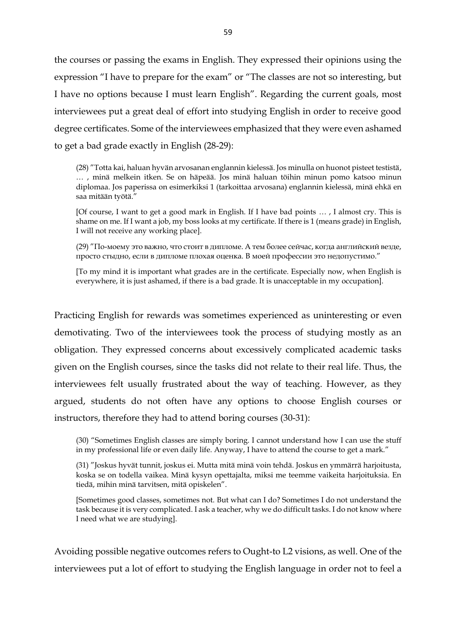the courses or passing the exams in English. They expressed their opinions using the expression "I have to prepare for the exam" or "The classes are not so interesting, but I have no options because I must learn English". Regarding the current goals, most interviewees put a great deal of effort into studying English in order to receive good degree certificates. Some of the interviewees emphasized that they were even ashamed to get a bad grade exactly in English (28-29):

(28) "Totta kai, haluan hyvän arvosanan englannin kielessä. Jos minulla on huonot pisteet testistä, … , minä melkein itken. Se on häpeää. Jos minä haluan töihin minun pomo katsoo minun diplomaa. Jos paperissa on esimerkiksi 1 (tarkoittaa arvosana) englannin kielessä, minä ehkä en saa mitään työtä."

[Of course, I want to get a good mark in English. If I have bad points … , I almost cry. This is shame on me. If I want a job, my boss looks at my certificate. If there is 1 (means grade) in English, I will not receive any working place].

(29) "По-моему это важно, что стоит в дипломе. А тем более сейчас, когда английский везде, просто стыдно, если в дипломе плохая оценка. В моей профессии это недопустимо."

[To my mind it is important what grades are in the certificate. Especially now, when English is everywhere, it is just ashamed, if there is a bad grade. It is unacceptable in my occupation].

Practicing English for rewards was sometimes experienced as uninteresting or even demotivating. Two of the interviewees took the process of studying mostly as an obligation. They expressed concerns about excessively complicated academic tasks given on the English courses, since the tasks did not relate to their real life. Thus, the interviewees felt usually frustrated about the way of teaching. However, as they argued, students do not often have any options to choose English courses or instructors, therefore they had to attend boring courses (30-31):

(30) "Sometimes English classes are simply boring. I cannot understand how I can use the stuff in my professional life or even daily life. Anyway, I have to attend the course to get a mark."

(31) "Joskus hyvät tunnit, joskus ei. Mutta mitä minä voin tehdä. Joskus en ymmärrä harjoitusta, koska se on todella vaikea. Minä kysyn opettajalta, miksi me teemme vaikeita harjoituksia. En tiedä, mihin minä tarvitsen, mitä opiskelen".

[Sometimes good classes, sometimes not. But what can I do? Sometimes I do not understand the task because it is very complicated. I ask a teacher, why we do difficult tasks. I do not know where I need what we are studying].

Avoiding possible negative outcomes refers to Ought-to L2 visions, as well. One of the interviewees put a lot of effort to studying the English language in order not to feel a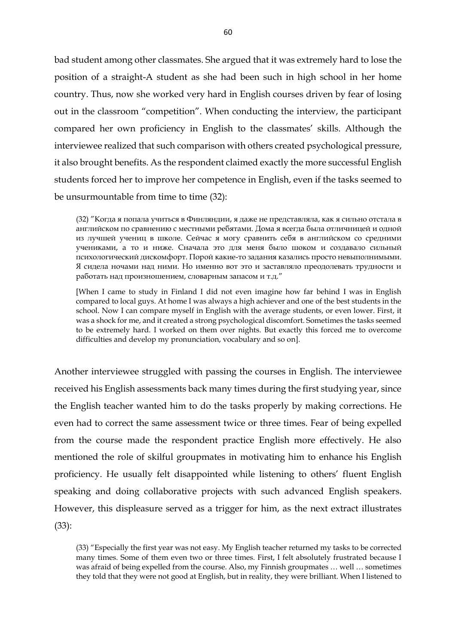bad student among other classmates. She argued that it was extremely hard to lose the position of a straight-A student as she had been such in high school in her home country. Thus, now she worked very hard in English courses driven by fear of losing out in the classroom "competition". When conducting the interview, the participant compared her own proficiency in English to the classmates' skills. Although the interviewee realized that such comparison with others created psychological pressure, it also brought benefits. As the respondent claimed exactly the more successful English students forced her to improve her competence in English, even if the tasks seemed to be unsurmountable from time to time (32):

(32) "Когда я попала учиться в Финляндии, я даже не представляла, как я сильно отстала в английском по сравнению с местными ребятами. Дома я всегда была отличницей и одной из лучшей учениц в школе. Сейчас я могу сравнить себя в английском со средними учениками, а то и ниже. Сначала это для меня было шоком и создавало сильный психологический дискомфорт. Порой какие-то задания казались просто невыполнимыми. Я сидела ночами над ними. Но именно вот это и заставляло преодолевать трудности и работать над произношением, словарным запасом и т.д."

[When I came to study in Finland I did not even imagine how far behind I was in English compared to local guys. At home I was always a high achiever and one of the best students in the school. Now I can compare myself in English with the average students, or even lower. First, it was a shock for me, and it created a strong psychological discomfort. Sometimes the tasks seemed to be extremely hard. I worked on them over nights. But exactly this forced me to overcome difficulties and develop my pronunciation, vocabulary and so on].

Another interviewee struggled with passing the courses in English. The interviewee received his English assessments back many times during the first studying year, since the English teacher wanted him to do the tasks properly by making corrections. He even had to correct the same assessment twice or three times. Fear of being expelled from the course made the respondent practice English more effectively. He also mentioned the role of skilful groupmates in motivating him to enhance his English proficiency. He usually felt disappointed while listening to others' fluent English speaking and doing collaborative projects with such advanced English speakers. However, this displeasure served as a trigger for him, as the next extract illustrates (33):

(33) "Especially the first year was not easy. My English teacher returned my tasks to be corrected many times. Some of them even two or three times. First, I felt absolutely frustrated because I was afraid of being expelled from the course. Also, my Finnish groupmates … well … sometimes they told that they were not good at English, but in reality, they were brilliant. When I listened to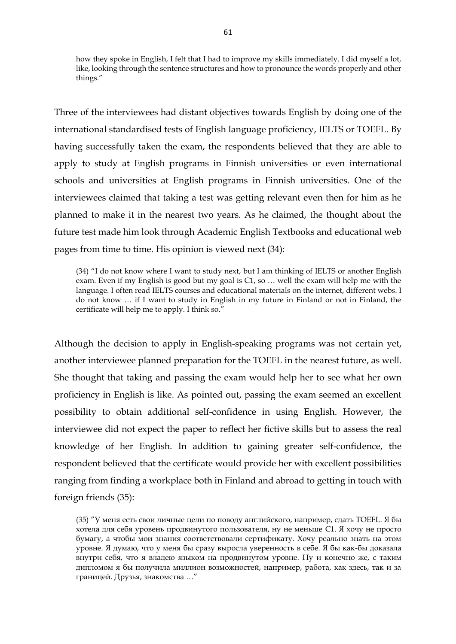how they spoke in English, I felt that I had to improve my skills immediately. I did myself a lot, like, looking through the sentence structures and how to pronounce the words properly and other things."

Three of the interviewees had distant objectives towards English by doing one of the international standardised tests of English language proficiency, IELTS or TOEFL. By having successfully taken the exam, the respondents believed that they are able to apply to study at English programs in Finnish universities or even international schools and universities at English programs in Finnish universities. One of the interviewees claimed that taking a test was getting relevant even then for him as he planned to make it in the nearest two years. As he claimed, the thought about the future test made him look through Academic English Textbooks and educational web pages from time to time. His opinion is viewed next (34):

(34) "I do not know where I want to study next, but I am thinking of IELTS or another English exam. Even if my English is good but my goal is C1, so … well the exam will help me with the language. I often read IELTS courses and educational materials on the internet, different webs. I do not know … if I want to study in English in my future in Finland or not in Finland, the certificate will help me to apply. I think so."

Although the decision to apply in English-speaking programs was not certain yet, another interviewee planned preparation for the TOEFL in the nearest future, as well. She thought that taking and passing the exam would help her to see what her own proficiency in English is like. As pointed out, passing the exam seemed an excellent possibility to obtain additional self-confidence in using English. However, the interviewee did not expect the paper to reflect her fictive skills but to assess the real knowledge of her English. In addition to gaining greater self-confidence, the respondent believed that the certificate would provide her with excellent possibilities ranging from finding a workplace both in Finland and abroad to getting in touch with foreign friends (35):

(35) "У меня есть свои личные цели по поводу английского, например, сдать TOEFL. Я бы хотела для себя уровень продвинутого пользователя, ну не меньше C1. Я хочу не просто бумагу, а чтобы мои знания соответствовали сертификату. Хочу реально знать на этом уровне. Я думаю, что у меня бы сразу выросла уверенность в себе. Я бы как-бы доказала внутри себя, что я владею языком на продвинутом уровне. Ну и конечно же, с таким дипломом я бы получила миллион возможностей, например, работа, как здесь, так и за границей. Друзья, знакомства …"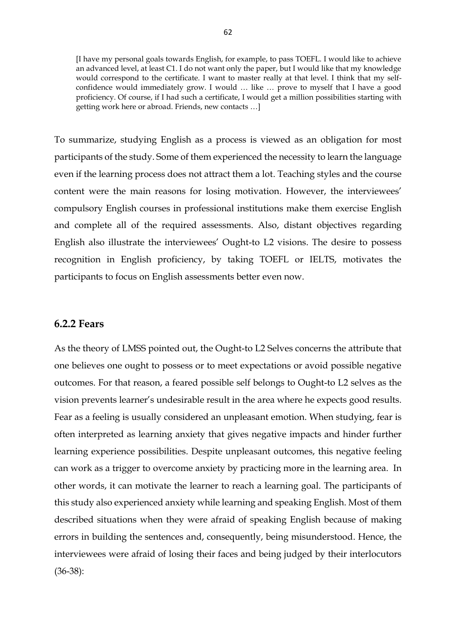[I have my personal goals towards English, for example, to pass TOEFL. I would like to achieve an advanced level, at least C1. I do not want only the paper, but I would like that my knowledge would correspond to the certificate. I want to master really at that level. I think that my selfconfidence would immediately grow. I would … like … prove to myself that I have a good proficiency. Of course, if I had such a certificate, I would get a million possibilities starting with getting work here or abroad. Friends, new contacts …]

To summarize, studying English as a process is viewed as an obligation for most participants of the study. Some of them experienced the necessity to learn the language even if the learning process does not attract them a lot. Teaching styles and the course content were the main reasons for losing motivation. However, the interviewees' compulsory English courses in professional institutions make them exercise English and complete all of the required assessments. Also, distant objectives regarding English also illustrate the interviewees' Ought-to L2 visions. The desire to possess recognition in English proficiency, by taking TOEFL or IELTS, motivates the participants to focus on English assessments better even now.

#### **6.2.2 Fears**

As the theory of LMSS pointed out, the Ought-to L2 Selves concerns the attribute that one believes one ought to possess or to meet expectations or avoid possible negative outcomes. For that reason, a feared possible self belongs to Ought-to L2 selves as the vision prevents learner's undesirable result in the area where he expects good results. Fear as a feeling is usually considered an unpleasant emotion. When studying, fear is often interpreted as learning anxiety that gives negative impacts and hinder further learning experience possibilities. Despite unpleasant outcomes, this negative feeling can work as a trigger to overcome anxiety by practicing more in the learning area. In other words, it can motivate the learner to reach a learning goal. The participants of this study also experienced anxiety while learning and speaking English. Most of them described situations when they were afraid of speaking English because of making errors in building the sentences and, consequently, being misunderstood. Hence, the interviewees were afraid of losing their faces and being judged by their interlocutors (36-38):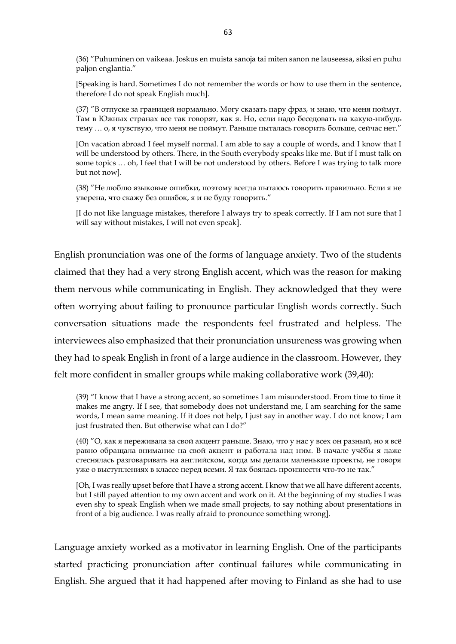(36) "Puhuminen on vaikeaa. Joskus en muista sanoja tai miten sanon ne lauseessa, siksi en puhu paljon englantia."

[Speaking is hard. Sometimes I do not remember the words or how to use them in the sentence, therefore I do not speak English much].

(37) "В отпуске за границей нормально. Могу сказать пару фраз, и знаю, что меня поймут. Там в Южных странах все так говорят, как я. Но, если надо беседовать на какую-нибудь тему … о, я чувствую, что меня не поймут. Раньше пыталась говорить больше, сейчас нет."

[On vacation abroad I feel myself normal. I am able to say a couple of words, and I know that I will be understood by others. There, in the South everybody speaks like me. But if I must talk on some topics … oh, I feel that I will be not understood by others. Before I was trying to talk more but not now].

(38) "Не люблю языковые ошибки, поэтому всегда пытаюсь говорить правильно. Если я не уверена, что скажу без ошибок, я и не буду говорить."

[I do not like language mistakes, therefore I always try to speak correctly. If I am not sure that I will say without mistakes, I will not even speak].

English pronunciation was one of the forms of language anxiety. Two of the students claimed that they had a very strong English accent, which was the reason for making them nervous while communicating in English. They acknowledged that they were often worrying about failing to pronounce particular English words correctly. Such conversation situations made the respondents feel frustrated and helpless. The interviewees also emphasized that their pronunciation unsureness was growing when they had to speak English in front of a large audience in the classroom. However, they felt more confident in smaller groups while making collaborative work (39,40):

(39) "I know that I have a strong accent, so sometimes I am misunderstood. From time to time it makes me angry. If I see, that somebody does not understand me, I am searching for the same words, I mean same meaning. If it does not help, I just say in another way. I do not know; I am just frustrated then. But otherwise what can I do?"

(40) "О, как я переживала за свой акцент раньше. Знаю, что у нас у всех он разный, но я всё равно обращала внимание на свой акцент и работала над ним. В начале учёбы я даже стеснялась разговаривать на английском, когда мы делали маленькие проекты, не говоря уже о выступлениях в классе перед всеми. Я так боялась произнести что-то не так."

[Oh, I was really upset before that I have a strong accent. I know that we all have different accents, but I still payed attention to my own accent and work on it. At the beginning of my studies I was even shy to speak English when we made small projects, to say nothing about presentations in front of a big audience. I was really afraid to pronounce something wrong].

Language anxiety worked as a motivator in learning English. One of the participants started practicing pronunciation after continual failures while communicating in English. She argued that it had happened after moving to Finland as she had to use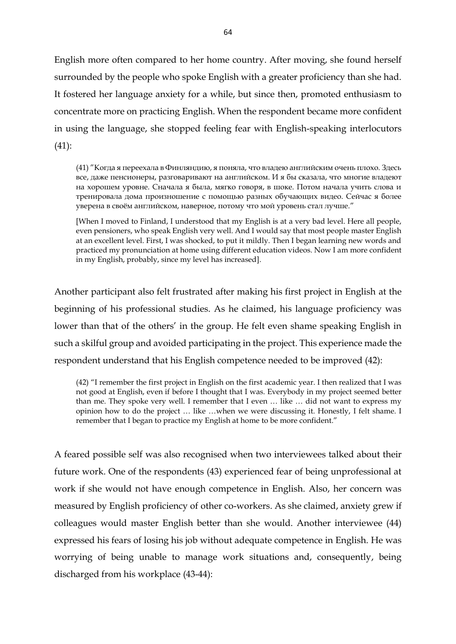English more often compared to her home country. After moving, she found herself surrounded by the people who spoke English with a greater proficiency than she had. It fostered her language anxiety for a while, but since then, promoted enthusiasm to concentrate more on practicing English. When the respondent became more confident in using the language, she stopped feeling fear with English-speaking interlocutors (41):

(41) "Когда я переехала в Финляндию, я поняла, что владею английским очень плохо. Здесь все, даже пенсионеры, разговаривают на английском. И я бы сказала, что многие владеют на хорошем уровне. Сначала я была, мягко говоря, в шоке. Потом начала учить слова и тренировала дома произношение с помощью разных обучающих видео. Сейчас я более уверена в своём английском, наверное, потому что мой уровень стал лучше."

[When I moved to Finland, I understood that my English is at a very bad level. Here all people, even pensioners, who speak English very well. And I would say that most people master English at an excellent level. First, I was shocked, to put it mildly. Then I began learning new words and practiced my pronunciation at home using different education videos. Now I am more confident in my English, probably, since my level has increased].

Another participant also felt frustrated after making his first project in English at the beginning of his professional studies. As he claimed, his language proficiency was lower than that of the others' in the group. He felt even shame speaking English in such a skilful group and avoided participating in the project. This experience made the respondent understand that his English competence needed to be improved (42):

(42) "I remember the first project in English on the first academic year. I then realized that I was not good at English, even if before I thought that I was. Everybody in my project seemed better than me. They spoke very well. I remember that I even … like … did not want to express my opinion how to do the project … like …when we were discussing it. Honestly, I felt shame. I remember that I began to practice my English at home to be more confident."

A feared possible self was also recognised when two interviewees talked about their future work. One of the respondents (43) experienced fear of being unprofessional at work if she would not have enough competence in English. Also, her concern was measured by English proficiency of other co-workers. As she claimed, anxiety grew if colleagues would master English better than she would. Another interviewee (44) expressed his fears of losing his job without adequate competence in English. He was worrying of being unable to manage work situations and, consequently, being discharged from his workplace (43-44):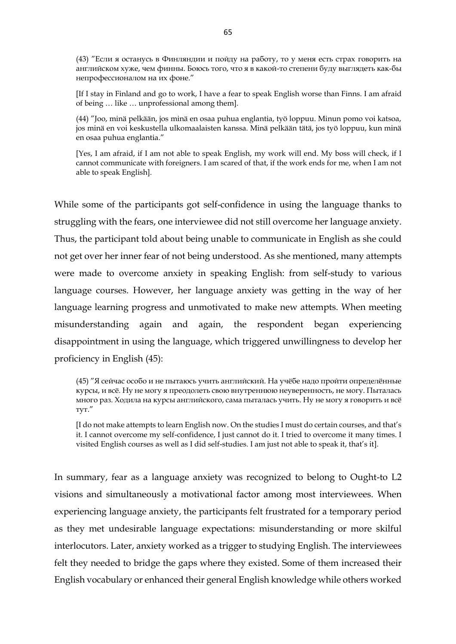(43) "Если я останусь в Финляндии и пойду на работу, то у меня есть страх говорить на английском хуже, чем финны. Боюсь того, что я в какой-то степени буду выглядеть как-бы непрофессионалом на их фоне."

[If I stay in Finland and go to work, I have a fear to speak English worse than Finns. I am afraid of being … like … unprofessional among them].

(44) "Joo, minä pelkään, jos minä en osaa puhua englantia, työ loppuu. Minun pomo voi katsoa, jos minä en voi keskustella ulkomaalaisten kanssa. Minä pelkään tätä, jos työ loppuu, kun minä en osaa puhua englantia."

[Yes, I am afraid, if I am not able to speak English, my work will end. My boss will check, if I cannot communicate with foreigners. I am scared of that, if the work ends for me, when I am not able to speak English].

While some of the participants got self-confidence in using the language thanks to struggling with the fears, one interviewee did not still overcome her language anxiety. Thus, the participant told about being unable to communicate in English as she could not get over her inner fear of not being understood. As she mentioned, many attempts were made to overcome anxiety in speaking English: from self-study to various language courses. However, her language anxiety was getting in the way of her language learning progress and unmotivated to make new attempts. When meeting misunderstanding again and again, the respondent began experiencing disappointment in using the language, which triggered unwillingness to develop her proficiency in English (45):

(45) "Я сейчас особо и не пытаюсь учить английский. На учёбе надо пройти определённые курсы, и всё. Ну не могу я преодолеть свою внутреннюю неуверенность, не могу. Пыталась много раз. Ходила на курсы английского, сама пыталась учить. Ну не могу я говорить и всё тут."

[I do not make attempts to learn English now. On the studies I must do certain courses, and that's it. I cannot overcome my self-confidence, I just cannot do it. I tried to overcome it many times. I visited English courses as well as I did self-studies. I am just not able to speak it, that's it].

In summary, fear as a language anxiety was recognized to belong to Ought-to L2 visions and simultaneously a motivational factor among most interviewees. When experiencing language anxiety, the participants felt frustrated for a temporary period as they met undesirable language expectations: misunderstanding or more skilful interlocutors. Later, anxiety worked as a trigger to studying English. The interviewees felt they needed to bridge the gaps where they existed. Some of them increased their English vocabulary or enhanced their general English knowledge while others worked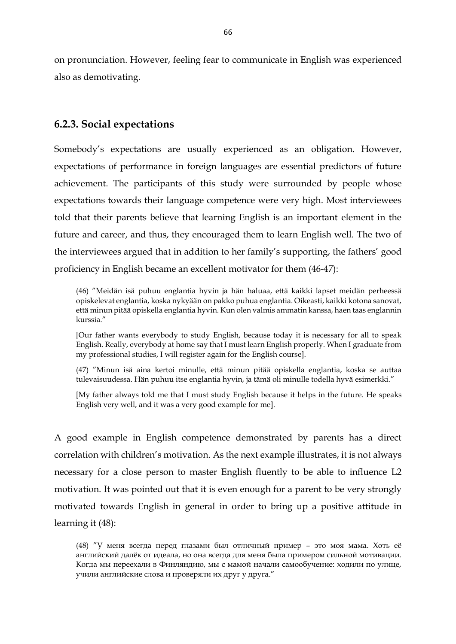on pronunciation. However, feeling fear to communicate in English was experienced also as demotivating.

# **6.2.3. Social expectations**

Somebody's expectations are usually experienced as an obligation. However, expectations of performance in foreign languages are essential predictors of future achievement. The participants of this study were surrounded by people whose expectations towards their language competence were very high. Most interviewees told that their parents believe that learning English is an important element in the future and career, and thus, they encouraged them to learn English well. The two of the interviewees argued that in addition to her family's supporting, the fathers' good proficiency in English became an excellent motivator for them (46-47):

(46) "Meidän isä puhuu englantia hyvin ja hän haluaa, että kaikki lapset meidän perheessä opiskelevat englantia, koska nykyään on pakko puhua englantia. Oikeasti, kaikki kotona sanovat, että minun pitää opiskella englantia hyvin. Kun olen valmis ammatin kanssa, haen taas englannin kurssia."

[Our father wants everybody to study English, because today it is necessary for all to speak English. Really, everybody at home say that I must learn English properly. When I graduate from my professional studies, I will register again for the English course].

(47) "Minun isä aina kertoi minulle, että minun pitää opiskella englantia, koska se auttaa tulevaisuudessa. Hän puhuu itse englantia hyvin, ja tämä oli minulle todella hyvä esimerkki."

[My father always told me that I must study English because it helps in the future. He speaks English very well, and it was a very good example for me].

A good example in English competence demonstrated by parents has a direct correlation with children's motivation. As the next example illustrates, it is not always necessary for a close person to master English fluently to be able to influence L2 motivation. It was pointed out that it is even enough for a parent to be very strongly motivated towards English in general in order to bring up a positive attitude in learning it (48):

<sup>(48)</sup> "У меня всегда перед глазами был отличный пример – это моя мама. Хоть её английский далёк от идеала, но она всегда для меня была примером сильной мотивации. Когда мы переехали в Финляндию, мы с мамой начали самообучение: ходили по улице, учили английские слова и проверяли их друг у друга."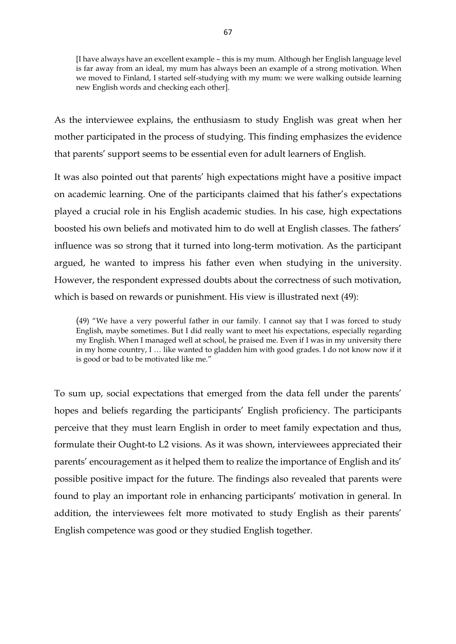[I have always have an excellent example – this is my mum. Although her English language level is far away from an ideal, my mum has always been an example of a strong motivation. When we moved to Finland, I started self-studying with my mum: we were walking outside learning new English words and checking each other].

As the interviewee explains, the enthusiasm to study English was great when her mother participated in the process of studying. This finding emphasizes the evidence that parents' support seems to be essential even for adult learners of English.

It was also pointed out that parents' high expectations might have a positive impact on academic learning. One of the participants claimed that his father's expectations played a crucial role in his English academic studies. In his case, high expectations boosted his own beliefs and motivated him to do well at English classes. The fathers' influence was so strong that it turned into long-term motivation. As the participant argued, he wanted to impress his father even when studying in the university. However, the respondent expressed doubts about the correctness of such motivation, which is based on rewards or punishment. His view is illustrated next (49):

(49) "We have a very powerful father in our family. I cannot say that I was forced to study English, maybe sometimes. But I did really want to meet his expectations, especially regarding my English. When I managed well at school, he praised me. Even if I was in my university there in my home country, I … like wanted to gladden him with good grades. I do not know now if it is good or bad to be motivated like me."

To sum up, social expectations that emerged from the data fell under the parents' hopes and beliefs regarding the participants' English proficiency. The participants perceive that they must learn English in order to meet family expectation and thus, formulate their Ought-to L2 visions. As it was shown, interviewees appreciated their parents' encouragement as it helped them to realize the importance of English and its' possible positive impact for the future. The findings also revealed that parents were found to play an important role in enhancing participants' motivation in general. In addition, the interviewees felt more motivated to study English as their parents' English competence was good or they studied English together.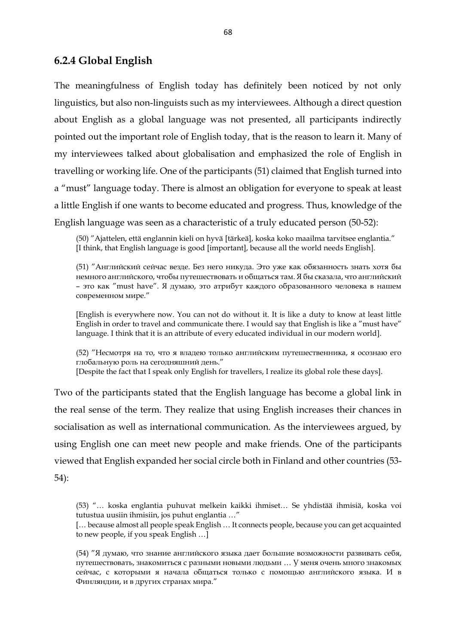## **6.2.4 Global English**

The meaningfulness of English today has definitely been noticed by not only linguistics, but also non-linguists such as my interviewees. Although a direct question about English as a global language was not presented, all participants indirectly pointed out the important role of English today, that is the reason to learn it. Many of my interviewees talked about globalisation and emphasized the role of English in travelling or working life. One of the participants (51) claimed that English turned into a "must" language today. There is almost an obligation for everyone to speak at least a little English if one wants to become educated and progress. Thus, knowledge of the English language was seen as a characteristic of a truly educated person (50-52):

(50) "Ajattelen, että englannin kieli on hyvä [tärkeä], koska koko maailma tarvitsee englantia." [I think, that English language is good [important], because all the world needs English].

(51) "Английский сейчас везде. Без него никуда. Это уже как обязанность знать хотя бы немного английского, чтобы путешествовать и общаться там. Я бы сказала, что английский – это как "must have". Я думаю, это атрибут каждого образованного человека в нашем современном мире."

[English is everywhere now. You can not do without it. It is like a duty to know at least little English in order to travel and communicate there. I would say that English is like a "must have" language. I think that it is an attribute of every educated individual in our modern world].

(52) "Несмотря на то, что я владею только английским путешественника, я осознаю его глобальную роль на сегодняшний день."

[Despite the fact that I speak only English for travellers, I realize its global role these days].

Two of the participants stated that the English language has become a global link in the real sense of the term. They realize that using English increases their chances in socialisation as well as international communication. As the interviewees argued, by using English one can meet new people and make friends. One of the participants viewed that English expanded her social circle both in Finland and other countries (53- 54):

(53) "… koska englantia puhuvat melkein kaikki ihmiset… Se yhdistää ihmisiä, koska voi tutustua uusiin ihmisiin, jos puhut englantia …"

[… because almost all people speak English … It connects people, because you can get acquainted to new people, if you speak English …]

(54) "Я думаю, что знание английского языка дает большие возможности развивать себя, путешествовать, знакомиться с разными новыми людьми … У меня очень много знакомых сейчас, с которыми я начала общаться только с помощью английского языка. И в Финляндии, и в других странах мира."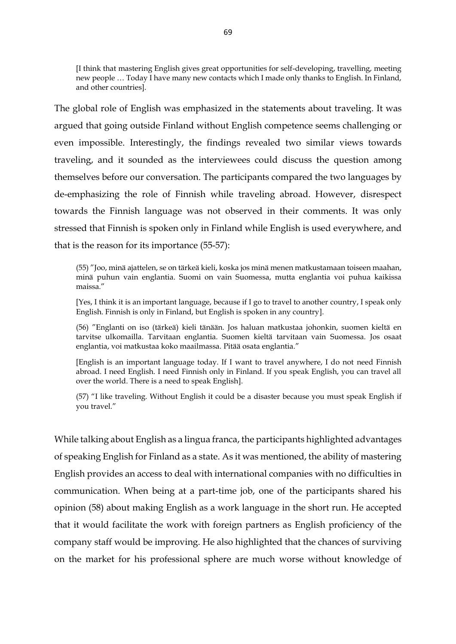[I think that mastering English gives great opportunities for self-developing, travelling, meeting new people … Today I have many new contacts which I made only thanks to English. In Finland, and other countries].

The global role of English was emphasized in the statements about traveling. It was argued that going outside Finland without English competence seems challenging or even impossible. Interestingly, the findings revealed two similar views towards traveling, and it sounded as the interviewees could discuss the question among themselves before our conversation. The participants compared the two languages by de-emphasizing the role of Finnish while traveling abroad. However, disrespect towards the Finnish language was not observed in their comments. It was only stressed that Finnish is spoken only in Finland while English is used everywhere, and that is the reason for its importance (55-57):

(55) "Joo, minä ajattelen, se on tärkeä kieli, koska jos minä menen matkustamaan toiseen maahan, minä puhun vain englantia. Suomi on vain Suomessa, mutta englantia voi puhua kaikissa maissa."

[Yes, I think it is an important language, because if I go to travel to another country, I speak only English. Finnish is only in Finland, but English is spoken in any country].

(56) "Englanti on iso (tärkeä) kieli tänään. Jos haluan matkustaa johonkin, suomen kieltä en tarvitse ulkomailla. Tarvitaan englantia. Suomen kieltä tarvitaan vain Suomessa. Jos osaat englantia, voi matkustaa koko maailmassa. Pitää osata englantia."

[English is an important language today. If I want to travel anywhere, I do not need Finnish abroad. I need English. I need Finnish only in Finland. If you speak English, you can travel all over the world. There is a need to speak English].

(57) "I like traveling. Without English it could be a disaster because you must speak English if you travel."

While talking about English as a lingua franca, the participants highlighted advantages of speaking English for Finland as a state. As it was mentioned, the ability of mastering English provides an access to deal with international companies with no difficulties in communication. When being at a part-time job, one of the participants shared his opinion (58) about making English as a work language in the short run. He accepted that it would facilitate the work with foreign partners as English proficiency of the company staff would be improving. He also highlighted that the chances of surviving on the market for his professional sphere are much worse without knowledge of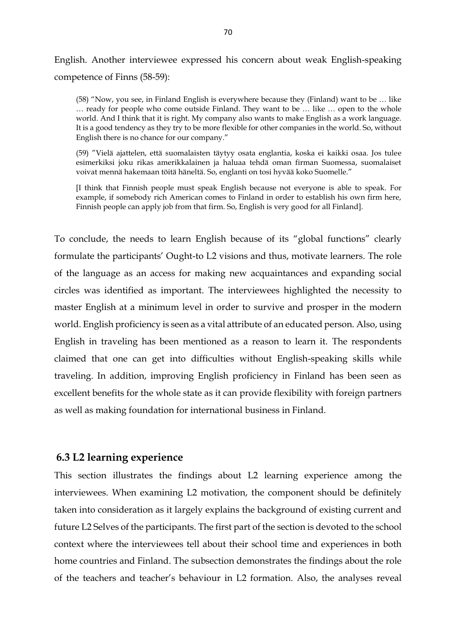English. Another interviewee expressed his concern about weak English-speaking competence of Finns (58-59):

(58) "Now, you see, in Finland English is everywhere because they (Finland) want to be … like … ready for people who come outside Finland. They want to be … like … open to the whole world. And I think that it is right. My company also wants to make English as a work language. It is a good tendency as they try to be more flexible for other companies in the world. So, without English there is no chance for our company."

(59) "Vielä ajattelen, että suomalaisten täytyy osata englantia, koska ei kaikki osaa. Jos tulee esimerkiksi joku rikas amerikkalainen ja haluaa tehdä oman firman Suomessa, suomalaiset voivat mennä hakemaan töitä häneltä. So, englanti on tosi hyvää koko Suomelle."

[I think that Finnish people must speak English because not everyone is able to speak. For example, if somebody rich American comes to Finland in order to establish his own firm here, Finnish people can apply job from that firm. So, English is very good for all Finland].

To conclude, the needs to learn English because of its "global functions" clearly formulate the participants' Ought-to L2 visions and thus, motivate learners. The role of the language as an access for making new acquaintances and expanding social circles was identified as important. The interviewees highlighted the necessity to master English at a minimum level in order to survive and prosper in the modern world. English proficiency is seen as a vital attribute of an educated person. Also, using English in traveling has been mentioned as a reason to learn it. The respondents claimed that one can get into difficulties without English-speaking skills while traveling. In addition, improving English proficiency in Finland has been seen as excellent benefits for the whole state as it can provide flexibility with foreign partners as well as making foundation for international business in Finland.

#### **6.3 L2 learning experience**

This section illustrates the findings about L2 learning experience among the interviewees. When examining L2 motivation, the component should be definitely taken into consideration as it largely explains the background of existing current and future L2 Selves of the participants. The first part of the section is devoted to the school context where the interviewees tell about their school time and experiences in both home countries and Finland. The subsection demonstrates the findings about the role of the teachers and teacher's behaviour in L2 formation. Also, the analyses reveal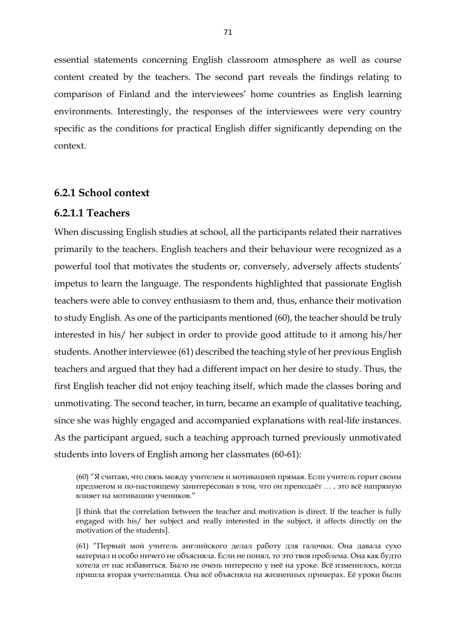essential statements concerning English classroom atmosphere as well as course content created by the teachers. The second part reveals the findings relating to comparison of Finland and the interviewees' home countries as English learning environments. Interestingly, the responses of the interviewees were very country specific as the conditions for practical English differ significantly depending on the context.

### **6.2.1 School context**

#### **6.2.1.1 Teachers**

When discussing English studies at school, all the participants related their narratives primarily to the teachers. English teachers and their behaviour were recognized as a powerful tool that motivates the students or, conversely, adversely affects students' impetus to learn the language. The respondents highlighted that passionate English teachers were able to convey enthusiasm to them and, thus, enhance their motivation to study English. As one of the participants mentioned (60), the teacher should be truly interested in his/ her subject in order to provide good attitude to it among his/her students. Another interviewee (61) described the teaching style of her previous English teachers and argued that they had a different impact on her desire to study. Thus, the first English teacher did not enjoy teaching itself, which made the classes boring and unmotivating. The second teacher, in turn, became an example of qualitative teaching, since she was highly engaged and accompanied explanations with real-life instances. As the participant argued, such a teaching approach turned previously unmotivated students into lovers of English among her classmates (60-61):

(60) "Я считаю, что связь между учителем и мотивацией прямая. Если учитель горит своим предметом и по-настоящему заинтересован в том, что он преподаёт … , это всё напрямую влияет на мотивацию учеников."

[I think that the correlation between the teacher and motivation is direct. If the teacher is fully engaged with his/ her subject and really interested in the subject, it affects directly on the motivation of the students].

(61) "Первый мой учитель английского делал работу для галочки. Она давала сухо материал и особо ничего не объясняла. Если не понял, то это твоя проблема. Она как будто хотела от нас избавиться. Было не очень интересно у неё на уроке. Всё изменилось, когда пришла вторая учительница. Она всё объясняла на жизненных примерах. Её уроки были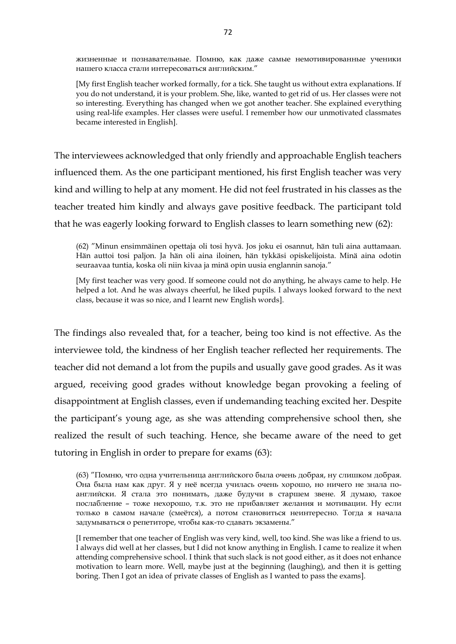жизненные и познавательные. Помню, как даже самые немотивированные ученики нашего класса стали интересоваться английским."

[My first English teacher worked formally, for a tick. She taught us without extra explanations. If you do not understand, it is your problem. She, like, wanted to get rid of us. Her classes were not so interesting. Everything has changed when we got another teacher. She explained everything using real-life examples. Her classes were useful. I remember how our unmotivated classmates became interested in English].

The interviewees acknowledged that only friendly and approachable English teachers influenced them. As the one participant mentioned, his first English teacher was very kind and willing to help at any moment. He did not feel frustrated in his classes as the teacher treated him kindly and always gave positive feedback. The participant told that he was eagerly looking forward to English classes to learn something new (62):

(62) "Minun ensimmäinen opettaja oli tosi hyvä. Jos joku ei osannut, hän tuli aina auttamaan. Hän auttoi tosi paljon. Ja hän oli aina iloinen, hän tykkäsi opiskelijoista. Minä aina odotin seuraavaa tuntia, koska oli niin kivaa ja minä opin uusia englannin sanoja."

[My first teacher was very good. If someone could not do anything, he always came to help. He helped a lot. And he was always cheerful, he liked pupils. I always looked forward to the next class, because it was so nice, and I learnt new English words].

The findings also revealed that, for a teacher, being too kind is not effective. As the interviewee told, the kindness of her English teacher reflected her requirements. The teacher did not demand a lot from the pupils and usually gave good grades. As it was argued, receiving good grades without knowledge began provoking a feeling of disappointment at English classes, even if undemanding teaching excited her. Despite the participant's young age, as she was attending comprehensive school then, she realized the result of such teaching. Hence, she became aware of the need to get tutoring in English in order to prepare for exams (63):

<sup>(63)</sup> "Помню, что одна учительница английского была очень добрая, ну слишком добрая. Она была нам как друг. Я у неё всегда училась очень хорошо, но ничего не знала поанглийски. Я стала это понимать, даже будучи в старшем звене. Я думаю, такое послабление – тоже нехорошо, т.к. это не прибавляет желания и мотивации. Ну если только в самом начале (смеётся), а потом становиться неинтересно. Тогда я начала задумываться о репетиторе, чтобы как-то сдавать экзамены."

<sup>[</sup>I remember that one teacher of English was very kind, well, too kind. She was like a friend to us. I always did well at her classes, but I did not know anything in English. I came to realize it when attending comprehensive school. I think that such slack is not good either, as it does not enhance motivation to learn more. Well, maybe just at the beginning (laughing), and then it is getting boring. Then I got an idea of private classes of English as I wanted to pass the exams].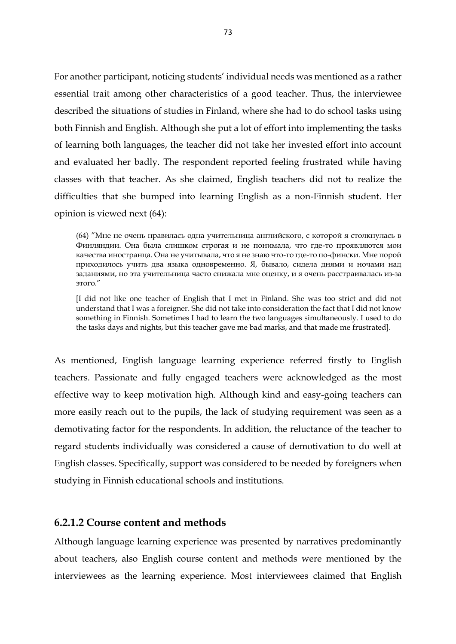For another participant, noticing students' individual needs was mentioned as a rather essential trait among other characteristics of a good teacher. Thus, the interviewee described the situations of studies in Finland, where she had to do school tasks using both Finnish and English. Although she put a lot of effort into implementing the tasks of learning both languages, the teacher did not take her invested effort into account and evaluated her badly. The respondent reported feeling frustrated while having classes with that teacher. As she claimed, English teachers did not to realize the difficulties that she bumped into learning English as a non-Finnish student. Her opinion is viewed next (64):

(64) "Мне не очень нравилась одна учительница английского, с которой я столкнулась в Финляндии. Она была слишком строгая и не понимала, что где-то проявляются мои качества иностранца. Она не учитывала, что я не знаю что-то где-то по-фински. Мне порой приходилось учить два языка одновременно. Я, бывало, сидела днями и ночами над заданиями, но эта учительница часто снижала мне оценку, и я очень расстраивалась из-за этого."

[I did not like one teacher of English that I met in Finland. She was too strict and did not understand that I was a foreigner. She did not take into consideration the fact that I did not know something in Finnish. Sometimes I had to learn the two languages simultaneously. I used to do the tasks days and nights, but this teacher gave me bad marks, and that made me frustrated].

As mentioned, English language learning experience referred firstly to English teachers. Passionate and fully engaged teachers were acknowledged as the most effective way to keep motivation high. Although kind and easy-going teachers can more easily reach out to the pupils, the lack of studying requirement was seen as a demotivating factor for the respondents. In addition, the reluctance of the teacher to regard students individually was considered a cause of demotivation to do well at English classes. Specifically, support was considered to be needed by foreigners when studying in Finnish educational schools and institutions.

### **6.2.1.2 Course content and methods**

Although language learning experience was presented by narratives predominantly about teachers, also English course content and methods were mentioned by the interviewees as the learning experience. Most interviewees claimed that English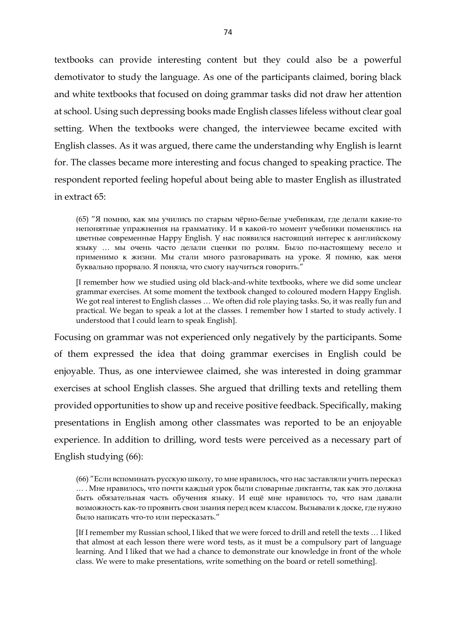textbooks can provide interesting content but they could also be a powerful demotivator to study the language. As one of the participants claimed, boring black and white textbooks that focused on doing grammar tasks did not draw her attention at school. Using such depressing books made English classes lifeless without clear goal setting. When the textbooks were changed, the interviewee became excited with English classes. As it was argued, there came the understanding why English is learnt for. The classes became more interesting and focus changed to speaking practice. The respondent reported feeling hopeful about being able to master English as illustrated in extract 65:

(65) "Я помню, как мы учились по старым чёрно-белые учебникам, где делали какие-то непонятные упражнения на грамматику. И в какой-то момент учебники поменялись на цветные современные Happy English. У нас появился настоящий интерес к английскому языку … мы очень часто делали сценки по ролям. Было по-настоящему весело и применимо к жизни. Мы стали много разговаривать на уроке. Я помню, как меня буквально прорвало. Я поняла, что смогу научиться говорить."

[I remember how we studied using old black-and-white textbooks, where we did some unclear grammar exercises. At some moment the textbook changed to coloured modern Happy English. We got real interest to English classes … We often did role playing tasks. So, it was really fun and practical. We began to speak a lot at the classes. I remember how I started to study actively. I understood that I could learn to speak English].

Focusing on grammar was not experienced only negatively by the participants. Some of them expressed the idea that doing grammar exercises in English could be enjoyable. Thus, as one interviewee claimed, she was interested in doing grammar exercises at school English classes. She argued that drilling texts and retelling them provided opportunities to show up and receive positive feedback. Specifically, making presentations in English among other classmates was reported to be an enjoyable experience. In addition to drilling, word tests were perceived as a necessary part of English studying (66):

[If I remember my Russian school, I liked that we were forced to drill and retell the texts … I liked that almost at each lesson there were word tests, as it must be a compulsory part of language learning. And I liked that we had a chance to demonstrate our knowledge in front of the whole class. We were to make presentations, write something on the board or retell something].

<sup>(66)</sup> "Если вспоминать русскую школу, то мне нравилось, что нас заставляли учить пересказ … . Мне нравилось, что почти каждый урок были словарные диктанты, так как это должна быть обязательная часть обучения языку. И ещё мне нравилось то, что нам давали возможность как-то проявить свои знания перед всем классом. Вызывали к доске, где нужно было написать что-то или пересказать."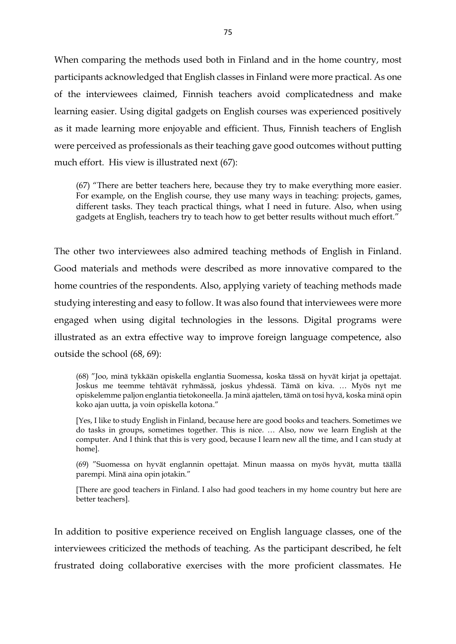When comparing the methods used both in Finland and in the home country, most participants acknowledged that English classes in Finland were more practical. As one of the interviewees claimed, Finnish teachers avoid complicatedness and make learning easier. Using digital gadgets on English courses was experienced positively as it made learning more enjoyable and efficient. Thus, Finnish teachers of English were perceived as professionals as their teaching gave good outcomes without putting much effort. His view is illustrated next (67):

(67) "There are better teachers here, because they try to make everything more easier. For example, on the English course, they use many ways in teaching: projects, games, different tasks. They teach practical things, what I need in future. Also, when using gadgets at English, teachers try to teach how to get better results without much effort."

The other two interviewees also admired teaching methods of English in Finland. Good materials and methods were described as more innovative compared to the home countries of the respondents. Also, applying variety of teaching methods made studying interesting and easy to follow. It was also found that interviewees were more engaged when using digital technologies in the lessons. Digital programs were illustrated as an extra effective way to improve foreign language competence, also outside the school (68, 69):

(68) "Joo, minä tykkään opiskella englantia Suomessa, koska tässä on hyvät kirjat ja opettajat. Joskus me teemme tehtävät ryhmässä, joskus yhdessä. Tämä on kiva. … Myös nyt me opiskelemme paljon englantia tietokoneella. Ja minä ajattelen, tämä on tosi hyvä, koska minä opin koko ajan uutta, ja voin opiskella kotona."

[Yes, I like to study English in Finland, because here are good books and teachers. Sometimes we do tasks in groups, sometimes together. This is nice. … Also, now we learn English at the computer. And I think that this is very good, because I learn new all the time, and I can study at home].

(69) "Suomessa on hyvät englannin opettajat. Minun maassa on myös hyvät, mutta täällä parempi. Minä aina opin jotakin."

[There are good teachers in Finland. I also had good teachers in my home country but here are better teachers].

In addition to positive experience received on English language classes, one of the interviewees criticized the methods of teaching. As the participant described, he felt frustrated doing collaborative exercises with the more proficient classmates. He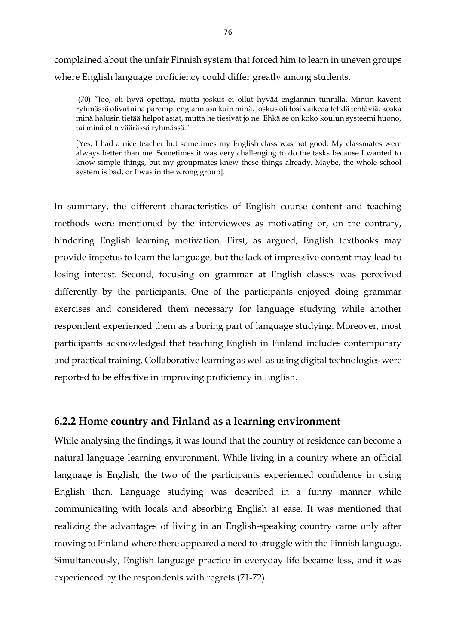complained about the unfair Finnish system that forced him to learn in uneven groups where English language proficiency could differ greatly among students.

(70) "Joo, oli hyvä opettaja, mutta joskus ei ollut hyvää englannin tunnilla. Minun kaverit ryhmässä olivat aina parempi englannissa kuin minä. Joskus oli tosi vaikeaa tehdä tehtäviä, koska minä halusin tietää helpot asiat, mutta he tiesivät jo ne. Ehkä se on koko koulun systeemi huono, tai minä olin väärässä ryhmässä."

[Yes, I had a nice teacher but sometimes my English class was not good. My classmates were always better than me. Sometimes it was very challenging to do the tasks because I wanted to know simple things, but my groupmates knew these things already. Maybe, the whole school system is bad, or I was in the wrong group].

In summary, the different characteristics of English course content and teaching methods were mentioned by the interviewees as motivating or, on the contrary, hindering English learning motivation. First, as argued, English textbooks may provide impetus to learn the language, but the lack of impressive content may lead to losing interest. Second, focusing on grammar at English classes was perceived differently by the participants. One of the participants enjoyed doing grammar exercises and considered them necessary for language studying while another respondent experienced them as a boring part of language studying. Moreover, most participants acknowledged that teaching English in Finland includes contemporary and practical training. Collaborative learning as well as using digital technologies were reported to be effective in improving proficiency in English.

## **6.2.2 Home country and Finland as a learning environment**

While analysing the findings, it was found that the country of residence can become a natural language learning environment. While living in a country where an official language is English, the two of the participants experienced confidence in using English then. Language studying was described in a funny manner while communicating with locals and absorbing English at ease. It was mentioned that realizing the advantages of living in an English-speaking country came only after moving to Finland where there appeared a need to struggle with the Finnish language. Simultaneously, English language practice in everyday life became less, and it was experienced by the respondents with regrets (71-72).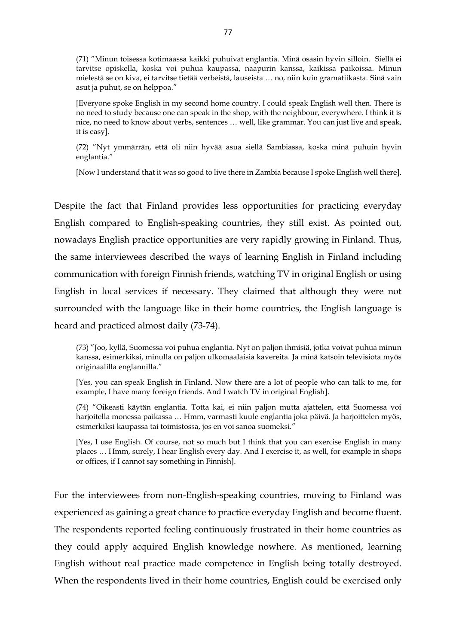(71) "Minun toisessa kotimaassa kaikki puhuivat englantia. Minä osasin hyvin silloin. Siellä ei tarvitse opiskella, koska voi puhua kaupassa, naapurin kanssa, kaikissa paikoissa. Minun mielestä se on kiva, ei tarvitse tietää verbeistä, lauseista … no, niin kuin gramatiikasta. Sinä vain asut ja puhut, se on helppoa."

[Everyone spoke English in my second home country. I could speak English well then. There is no need to study because one can speak in the shop, with the neighbour, everywhere. I think it is nice, no need to know about verbs, sentences … well, like grammar. You can just live and speak, it is easy].

(72) "Nyt ymmärrän, että oli niin hyvää asua siellä Sambiassa, koska minä puhuin hyvin englantia."

[Now I understand that it was so good to live there in Zambia because I spoke English well there].

Despite the fact that Finland provides less opportunities for practicing everyday English compared to English-speaking countries, they still exist. As pointed out, nowadays English practice opportunities are very rapidly growing in Finland. Thus, the same interviewees described the ways of learning English in Finland including communication with foreign Finnish friends, watching TV in original English or using English in local services if necessary. They claimed that although they were not surrounded with the language like in their home countries, the English language is heard and practiced almost daily (73-74).

(73) "Joo, kyllä, Suomessa voi puhua englantia. Nyt on paljon ihmisiä, jotka voivat puhua minun kanssa, esimerkiksi, minulla on paljon ulkomaalaisia kavereita. Ja minä katsoin televisiota myös originaalilla englannilla."

[Yes, you can speak English in Finland. Now there are a lot of people who can talk to me, for example, I have many foreign friends. And I watch TV in original English].

(74) "Oikeasti käytän englantia. Totta kai, ei niin paljon mutta ajattelen, että Suomessa voi harjoitella monessa paikassa … Hmm, varmasti kuule englantia joka päivä. Ja harjoittelen myös, esimerkiksi kaupassa tai toimistossa, jos en voi sanoa suomeksi."

[Yes, I use English. Of course, not so much but I think that you can exercise English in many places … Hmm, surely, I hear English every day. And I exercise it, as well, for example in shops or offices, if I cannot say something in Finnish].

For the interviewees from non-English-speaking countries, moving to Finland was experienced as gaining a great chance to practice everyday English and become fluent. The respondents reported feeling continuously frustrated in their home countries as they could apply acquired English knowledge nowhere. As mentioned, learning English without real practice made competence in English being totally destroyed. When the respondents lived in their home countries, English could be exercised only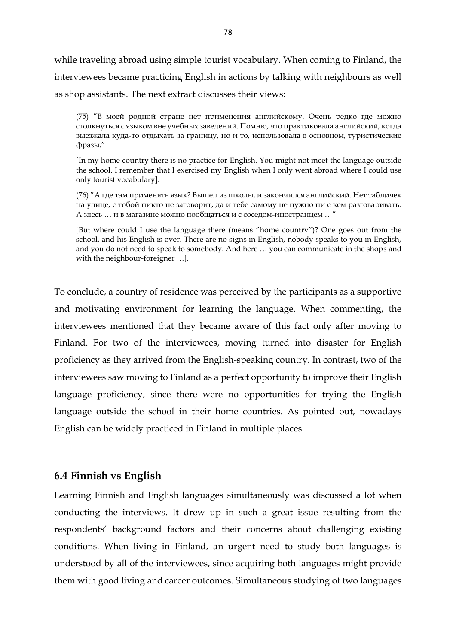while traveling abroad using simple tourist vocabulary. When coming to Finland, the interviewees became practicing English in actions by talking with neighbours as well as shop assistants. The next extract discusses their views:

(75) "В моей родной стране нет применения английскому. Очень редко где можно столкнуться с языком вне учебных заведений. Помню, что практиковала английский, когда выезжала куда-то отдыхать за границу, но и то, использовала в основном, туристические фразы."

[In my home country there is no practice for English. You might not meet the language outside the school. I remember that I exercised my English when I only went abroad where I could use only tourist vocabulary].

(76) "А где там применять язык? Вышел из школы, и закончился английский. Нет табличек на улице, с тобой никто не заговорит, да и тебе самому не нужно ни с кем разговаривать. А здесь … и в магазине можно пообщаться и с соседом-иностранцем …"

[But where could I use the language there (means "home country")? One goes out from the school, and his English is over. There are no signs in English, nobody speaks to you in English, and you do not need to speak to somebody. And here … you can communicate in the shops and with the neighbour-foreigner …].

To conclude, a country of residence was perceived by the participants as a supportive and motivating environment for learning the language. When commenting, the interviewees mentioned that they became aware of this fact only after moving to Finland. For two of the interviewees, moving turned into disaster for English proficiency as they arrived from the English-speaking country. In contrast, two of the interviewees saw moving to Finland as a perfect opportunity to improve their English language proficiency, since there were no opportunities for trying the English language outside the school in their home countries. As pointed out, nowadays English can be widely practiced in Finland in multiple places.

## **6.4 Finnish vs English**

Learning Finnish and English languages simultaneously was discussed a lot when conducting the interviews. It drew up in such a great issue resulting from the respondents' background factors and their concerns about challenging existing conditions. When living in Finland, an urgent need to study both languages is understood by all of the interviewees, since acquiring both languages might provide them with good living and career outcomes. Simultaneous studying of two languages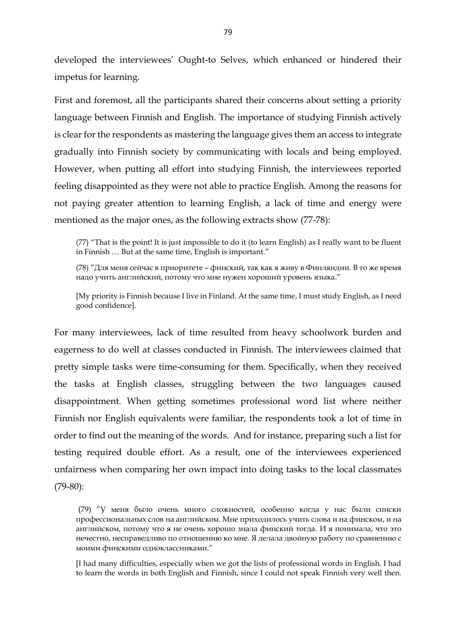developed the interviewees' Ought-to Selves, which enhanced or hindered their impetus for learning.

First and foremost, all the participants shared their concerns about setting a priority language between Finnish and English. The importance of studying Finnish actively is clear for the respondents as mastering the language gives them an access to integrate gradually into Finnish society by communicating with locals and being employed. However, when putting all effort into studying Finnish, the interviewees reported feeling disappointed as they were not able to practice English. Among the reasons for not paying greater attention to learning English, a lack of time and energy were mentioned as the major ones, as the following extracts show (77-78):

(77) "That is the point! It is just impossible to do it (to learn English) as I really want to be fluent in Finnish … But at the same time, English is important."

(78) "Для меня сейчас в приоритете – финский, так как я живу в Финляндии. В то же время надо учить английский, потому что мне нужен хороший уровень языка."

[My priority is Finnish because I live in Finland. At the same time, I must study English, as I need good confidence].

For many interviewees, lack of time resulted from heavy schoolwork burden and eagerness to do well at classes conducted in Finnish. The interviewees claimed that pretty simple tasks were time-consuming for them. Specifically, when they received the tasks at English classes, struggling between the two languages caused disappointment. When getting sometimes professional word list where neither Finnish nor English equivalents were familiar, the respondents took a lot of time in order to find out the meaning of the words. And for instance, preparing such a list for testing required double effort. As a result, one of the interviewees experienced unfairness when comparing her own impact into doing tasks to the local classmates (79-80):

[I had many difficulties, especially when we got the lists of professional words in English. I had to learn the words in both English and Finnish, since I could not speak Finnish very well then.

<sup>(</sup>79) "У меня было очень много сложностей, особенно когда у нас были списки профессиональных слов на английском. Мне приходилось учить слова и на финском, и на английском, потому что я не очень хорошо знала финский тогда. И я понимала, что это нечестно, несправедливо по отношению ко мне. Я делала двойную работу по сравнению с моими финскими одноклассниками."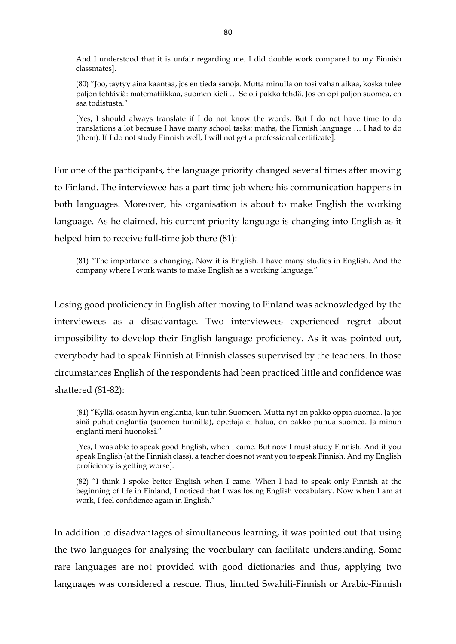And I understood that it is unfair regarding me. I did double work compared to my Finnish classmates].

(80) "Joo, täytyy aina kääntää, jos en tiedä sanoja. Mutta minulla on tosi vähän aikaa, koska tulee paljon tehtäviä: matematiikkaa, suomen kieli … Se oli pakko tehdä. Jos en opi paljon suomea, en saa todistusta."

[Yes, I should always translate if I do not know the words. But I do not have time to do translations a lot because I have many school tasks: maths, the Finnish language … I had to do (them). If I do not study Finnish well, I will not get a professional certificate].

For one of the participants, the language priority changed several times after moving to Finland. The interviewee has a part-time job where his communication happens in both languages. Moreover, his organisation is about to make English the working language. As he claimed, his current priority language is changing into English as it helped him to receive full-time job there (81):

(81) "The importance is changing. Now it is English. I have many studies in English. And the company where I work wants to make English as a working language."

Losing good proficiency in English after moving to Finland was acknowledged by the interviewees as a disadvantage. Two interviewees experienced regret about impossibility to develop their English language proficiency. As it was pointed out, everybody had to speak Finnish at Finnish classes supervised by the teachers. In those circumstances English of the respondents had been practiced little and confidence was shattered (81-82):

(81) "Kyllä, osasin hyvin englantia, kun tulin Suomeen. Mutta nyt on pakko oppia suomea. Ja jos sinä puhut englantia (suomen tunnilla), opettaja ei halua, on pakko puhua suomea. Ja minun englanti meni huonoksi."

[Yes, I was able to speak good English, when I came. But now I must study Finnish. And if you speak English (at the Finnish class), a teacher does not want you to speak Finnish. And my English proficiency is getting worse].

(82) "I think I spoke better English when I came. When I had to speak only Finnish at the beginning of life in Finland, I noticed that I was losing English vocabulary. Now when I am at work, I feel confidence again in English."

In addition to disadvantages of simultaneous learning, it was pointed out that using the two languages for analysing the vocabulary can facilitate understanding. Some rare languages are not provided with good dictionaries and thus, applying two languages was considered a rescue. Thus, limited Swahili-Finnish or Arabic-Finnish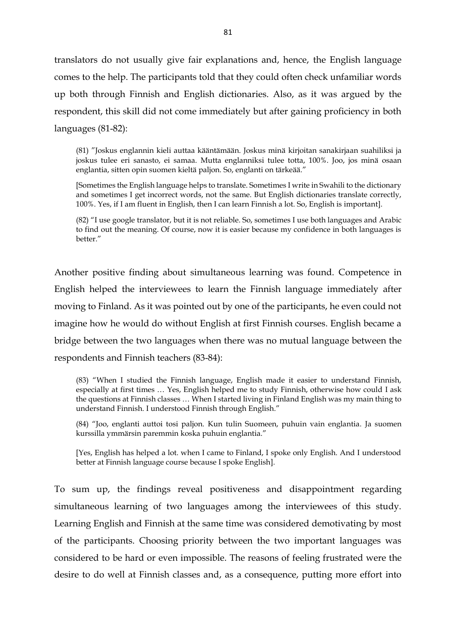translators do not usually give fair explanations and, hence, the English language comes to the help. The participants told that they could often check unfamiliar words up both through Finnish and English dictionaries. Also, as it was argued by the respondent, this skill did not come immediately but after gaining proficiency in both languages (81-82):

(81) "Joskus englannin kieli auttaa kääntämään. Joskus minä kirjoitan sanakirjaan suahiliksi ja joskus tulee eri sanasto, ei samaa. Mutta englanniksi tulee totta, 100%. Joo, jos minä osaan englantia, sitten opin suomen kieltä paljon. So, englanti on tärkeää."

[Sometimes the English language helps to translate. Sometimes I write in Swahili to the dictionary and sometimes I get incorrect words, not the same. But English dictionaries translate correctly, 100%. Yes, if I am fluent in English, then I can learn Finnish a lot. So, English is important].

(82) "I use google translator, but it is not reliable. So, sometimes I use both languages and Arabic to find out the meaning. Of course, now it is easier because my confidence in both languages is better."

Another positive finding about simultaneous learning was found. Competence in English helped the interviewees to learn the Finnish language immediately after moving to Finland. As it was pointed out by one of the participants, he even could not imagine how he would do without English at first Finnish courses. English became a bridge between the two languages when there was no mutual language between the respondents and Finnish teachers (83-84):

(83) "When I studied the Finnish language, English made it easier to understand Finnish, especially at first times … Yes, English helped me to study Finnish, otherwise how could I ask the questions at Finnish classes … When I started living in Finland English was my main thing to understand Finnish. I understood Finnish through English."

(84) "Joo, englanti auttoi tosi paljon. Kun tulin Suomeen, puhuin vain englantia. Ja suomen kurssilla ymmärsin paremmin koska puhuin englantia."

[Yes, English has helped a lot. when I came to Finland, I spoke only English. And I understood better at Finnish language course because I spoke English].

To sum up, the findings reveal positiveness and disappointment regarding simultaneous learning of two languages among the interviewees of this study. Learning English and Finnish at the same time was considered demotivating by most of the participants. Choosing priority between the two important languages was considered to be hard or even impossible. The reasons of feeling frustrated were the desire to do well at Finnish classes and, as a consequence, putting more effort into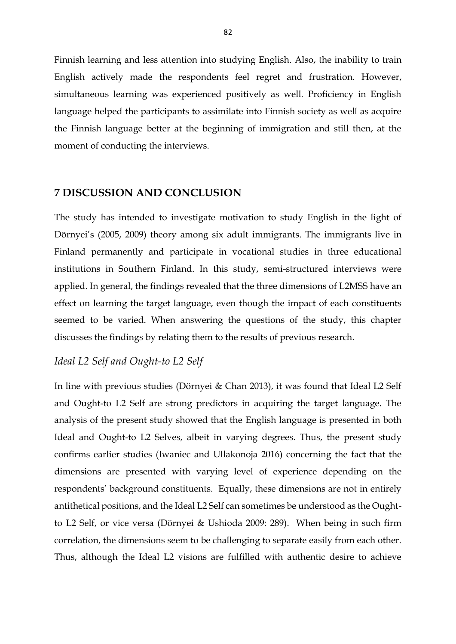Finnish learning and less attention into studying English. Also, the inability to train English actively made the respondents feel regret and frustration. However, simultaneous learning was experienced positively as well. Proficiency in English language helped the participants to assimilate into Finnish society as well as acquire the Finnish language better at the beginning of immigration and still then, at the moment of conducting the interviews.

#### **7 DISCUSSION AND CONCLUSION**

The study has intended to investigate motivation to study English in the light of Dörnyei's (2005, 2009) theory among six adult immigrants. The immigrants live in Finland permanently and participate in vocational studies in three educational institutions in Southern Finland. In this study, semi-structured interviews were applied. In general, the findings revealed that the three dimensions of L2MSS have an effect on learning the target language, even though the impact of each constituents seemed to be varied. When answering the questions of the study, this chapter discusses the findings by relating them to the results of previous research.

## *Ideal L2 Self and Ought-to L2 Self*

In line with previous studies (Dörnyei & Chan 2013), it was found that Ideal L2 Self and Ought-to L2 Self are strong predictors in acquiring the target language. The analysis of the present study showed that the English language is presented in both Ideal and Ought-to L2 Selves, albeit in varying degrees. Thus, the present study confirms earlier studies (Iwaniec and Ullakonoja 2016) concerning the fact that the dimensions are presented with varying level of experience depending on the respondents' background constituents. Equally, these dimensions are not in entirely antithetical positions, and the Ideal L2 Self can sometimes be understood as the Oughtto L2 Self, or vice versa (Dörnyei & Ushioda 2009: 289). When being in such firm correlation, the dimensions seem to be challenging to separate easily from each other. Thus, although the Ideal L2 visions are fulfilled with authentic desire to achieve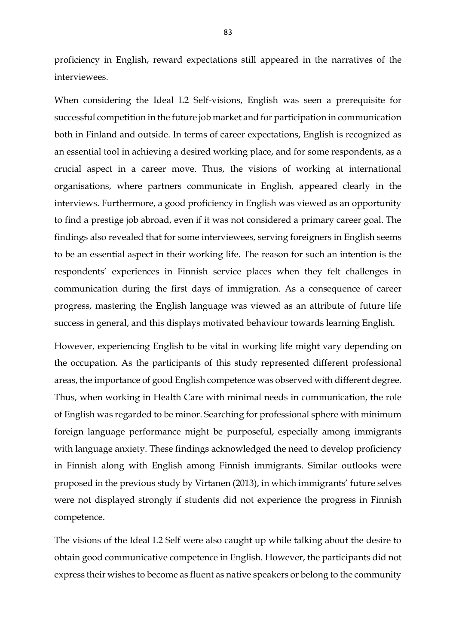proficiency in English, reward expectations still appeared in the narratives of the interviewees.

When considering the Ideal L2 Self-visions, English was seen a prerequisite for successful competition in the future job market and for participation in communication both in Finland and outside. In terms of career expectations, English is recognized as an essential tool in achieving a desired working place, and for some respondents, as a crucial aspect in a career move. Thus, the visions of working at international organisations, where partners communicate in English, appeared clearly in the interviews. Furthermore, a good proficiency in English was viewed as an opportunity to find a prestige job abroad, even if it was not considered a primary career goal. The findings also revealed that for some interviewees, serving foreigners in English seems to be an essential aspect in their working life. The reason for such an intention is the respondents' experiences in Finnish service places when they felt challenges in communication during the first days of immigration. As a consequence of career progress, mastering the English language was viewed as an attribute of future life success in general, and this displays motivated behaviour towards learning English.

However, experiencing English to be vital in working life might vary depending on the occupation. As the participants of this study represented different professional areas, the importance of good English competence was observed with different degree. Thus, when working in Health Care with minimal needs in communication, the role of English was regarded to be minor. Searching for professional sphere with minimum foreign language performance might be purposeful, especially among immigrants with language anxiety. These findings acknowledged the need to develop proficiency in Finnish along with English among Finnish immigrants. Similar outlooks were proposed in the previous study by Virtanen (2013), in which immigrants' future selves were not displayed strongly if students did not experience the progress in Finnish competence.

The visions of the Ideal L2 Self were also caught up while talking about the desire to obtain good communicative competence in English. However, the participants did not express their wishes to become as fluent as native speakers or belong to the community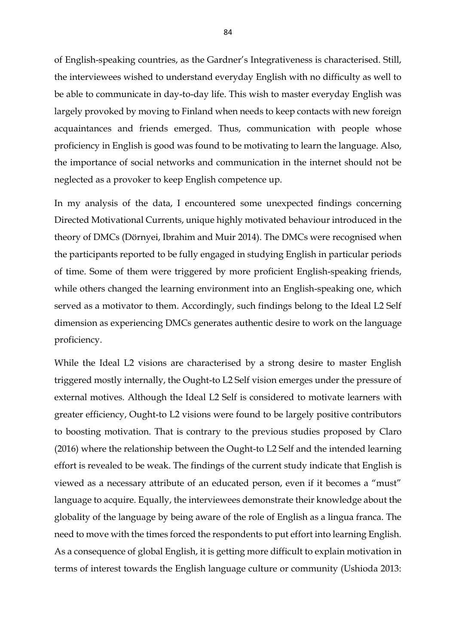of English-speaking countries, as the Gardner's Integrativeness is characterised. Still, the interviewees wished to understand everyday English with no difficulty as well to be able to communicate in day-to-day life. This wish to master everyday English was largely provoked by moving to Finland when needs to keep contacts with new foreign acquaintances and friends emerged. Thus, communication with people whose proficiency in English is good was found to be motivating to learn the language. Also, the importance of social networks and communication in the internet should not be neglected as a provoker to keep English competence up.

In my analysis of the data, I encountered some unexpected findings concerning Directed Motivational Currents, unique highly motivated behaviour introduced in the theory of DMCs (Dörnyei, Ibrahim and Muir 2014). The DMCs were recognised when the participants reported to be fully engaged in studying English in particular periods of time. Some of them were triggered by more proficient English-speaking friends, while others changed the learning environment into an English-speaking one, which served as a motivator to them. Accordingly, such findings belong to the Ideal L2 Self dimension as experiencing DMCs generates authentic desire to work on the language proficiency.

While the Ideal L2 visions are characterised by a strong desire to master English triggered mostly internally, the Ought-to L2 Self vision emerges under the pressure of external motives. Although the Ideal L2 Self is considered to motivate learners with greater efficiency, Ought-to L2 visions were found to be largely positive contributors to boosting motivation. That is contrary to the previous studies proposed by Claro (2016) where the relationship between the Ought-to L2 Self and the intended learning effort is revealed to be weak. The findings of the current study indicate that English is viewed as a necessary attribute of an educated person, even if it becomes a "must" language to acquire. Equally, the interviewees demonstrate their knowledge about the globality of the language by being aware of the role of English as a lingua franca. The need to move with the times forced the respondents to put effort into learning English. As a consequence of global English, it is getting more difficult to explain motivation in terms of interest towards the English language culture or community (Ushioda 2013: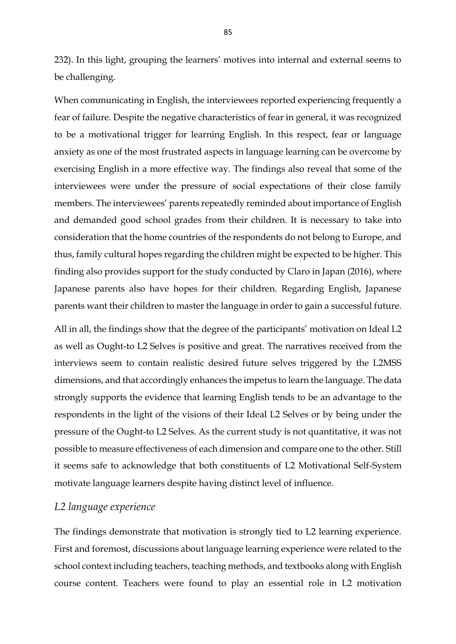232). In this light, grouping the learners' motives into internal and external seems to be challenging.

When communicating in English, the interviewees reported experiencing frequently a fear of failure. Despite the negative characteristics of fear in general, it was recognized to be a motivational trigger for learning English. In this respect, fear or language anxiety as one of the most frustrated aspects in language learning can be overcome by exercising English in a more effective way. The findings also reveal that some of the interviewees were under the pressure of social expectations of their close family members. The interviewees' parents repeatedly reminded about importance of English and demanded good school grades from their children. It is necessary to take into consideration that the home countries of the respondents do not belong to Europe, and thus, family cultural hopes regarding the children might be expected to be higher. This finding also provides support for the study conducted by Claro in Japan (2016), where Japanese parents also have hopes for their children. Regarding English, Japanese parents want their children to master the language in order to gain a successful future.

All in all, the findings show that the degree of the participants' motivation on Ideal L2 as well as Ought-to L2 Selves is positive and great. The narratives received from the interviews seem to contain realistic desired future selves triggered by the L2MSS dimensions, and that accordingly enhances the impetus to learn the language. The data strongly supports the evidence that learning English tends to be an advantage to the respondents in the light of the visions of their Ideal L2 Selves or by being under the pressure of the Ought-to L2 Selves. As the current study is not quantitative, it was not possible to measure effectiveness of each dimension and compare one to the other. Still it seems safe to acknowledge that both constituents of L2 Motivational Self-System motivate language learners despite having distinct level of influence.

## *L2 language experience*

The findings demonstrate that motivation is strongly tied to L2 learning experience. First and foremost, discussions about language learning experience were related to the school context including teachers, teaching methods, and textbooks along with English course content. Teachers were found to play an essential role in L2 motivation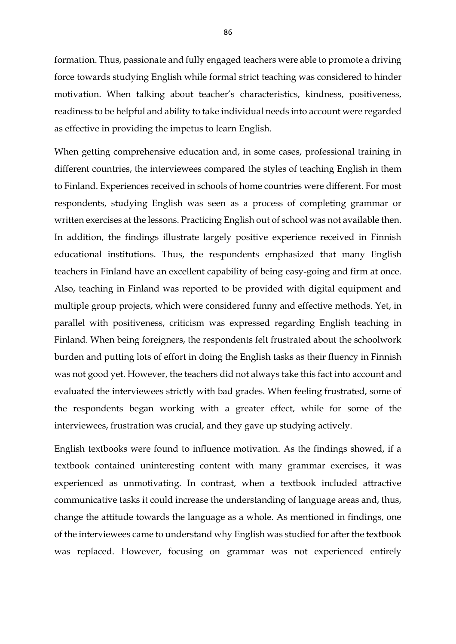formation. Thus, passionate and fully engaged teachers were able to promote a driving force towards studying English while formal strict teaching was considered to hinder motivation. When talking about teacher's characteristics, kindness, positiveness, readiness to be helpful and ability to take individual needs into account were regarded as effective in providing the impetus to learn English.

When getting comprehensive education and, in some cases, professional training in different countries, the interviewees compared the styles of teaching English in them to Finland. Experiences received in schools of home countries were different. For most respondents, studying English was seen as a process of completing grammar or written exercises at the lessons. Practicing English out of school was not available then. In addition, the findings illustrate largely positive experience received in Finnish educational institutions. Thus, the respondents emphasized that many English teachers in Finland have an excellent capability of being easy-going and firm at once. Also, teaching in Finland was reported to be provided with digital equipment and multiple group projects, which were considered funny and effective methods. Yet, in parallel with positiveness, criticism was expressed regarding English teaching in Finland. When being foreigners, the respondents felt frustrated about the schoolwork burden and putting lots of effort in doing the English tasks as their fluency in Finnish was not good yet. However, the teachers did not always take this fact into account and evaluated the interviewees strictly with bad grades. When feeling frustrated, some of the respondents began working with a greater effect, while for some of the interviewees, frustration was crucial, and they gave up studying actively.

English textbooks were found to influence motivation. As the findings showed, if a textbook contained uninteresting content with many grammar exercises, it was experienced as unmotivating. In contrast, when a textbook included attractive communicative tasks it could increase the understanding of language areas and, thus, change the attitude towards the language as a whole. As mentioned in findings, one of the interviewees came to understand why English was studied for after the textbook was replaced. However, focusing on grammar was not experienced entirely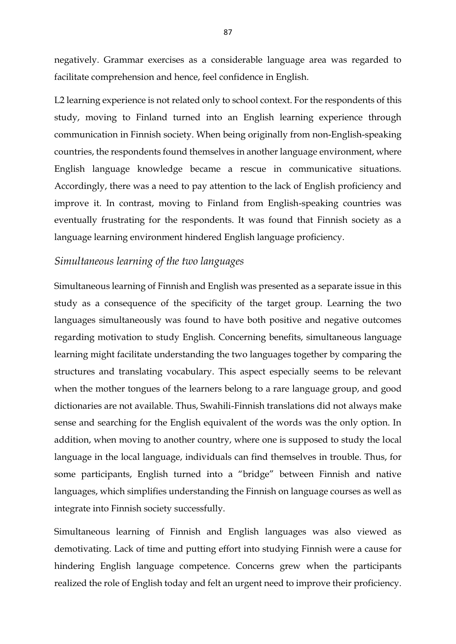negatively. Grammar exercises as a considerable language area was regarded to facilitate comprehension and hence, feel confidence in English.

L2 learning experience is not related only to school context. For the respondents of this study, moving to Finland turned into an English learning experience through communication in Finnish society. When being originally from non-English-speaking countries, the respondents found themselves in another language environment, where English language knowledge became a rescue in communicative situations. Accordingly, there was a need to pay attention to the lack of English proficiency and improve it. In contrast, moving to Finland from English-speaking countries was eventually frustrating for the respondents. It was found that Finnish society as a language learning environment hindered English language proficiency.

#### *Simultaneous learning of the two languages*

Simultaneous learning of Finnish and English was presented as a separate issue in this study as a consequence of the specificity of the target group. Learning the two languages simultaneously was found to have both positive and negative outcomes regarding motivation to study English. Concerning benefits, simultaneous language learning might facilitate understanding the two languages together by comparing the structures and translating vocabulary. This aspect especially seems to be relevant when the mother tongues of the learners belong to a rare language group, and good dictionaries are not available. Thus, Swahili-Finnish translations did not always make sense and searching for the English equivalent of the words was the only option. In addition, when moving to another country, where one is supposed to study the local language in the local language, individuals can find themselves in trouble. Thus, for some participants, English turned into a "bridge" between Finnish and native languages, which simplifies understanding the Finnish on language courses as well as integrate into Finnish society successfully.

Simultaneous learning of Finnish and English languages was also viewed as demotivating. Lack of time and putting effort into studying Finnish were a cause for hindering English language competence. Concerns grew when the participants realized the role of English today and felt an urgent need to improve their proficiency.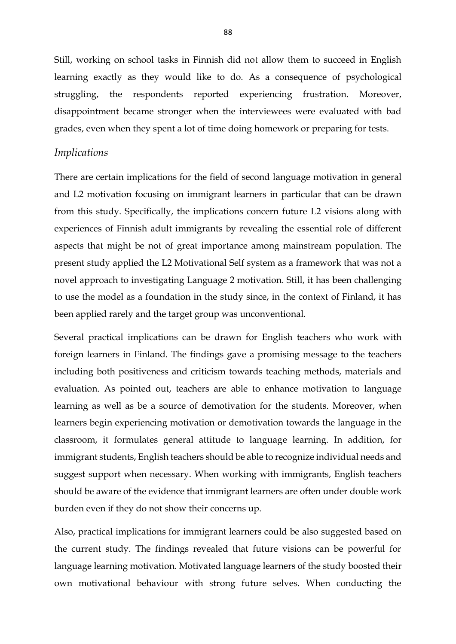Still, working on school tasks in Finnish did not allow them to succeed in English learning exactly as they would like to do. As a consequence of psychological struggling, the respondents reported experiencing frustration. Moreover, disappointment became stronger when the interviewees were evaluated with bad grades, even when they spent a lot of time doing homework or preparing for tests.

#### *Implications*

There are certain implications for the field of second language motivation in general and L2 motivation focusing on immigrant learners in particular that can be drawn from this study. Specifically, the implications concern future L2 visions along with experiences of Finnish adult immigrants by revealing the essential role of different aspects that might be not of great importance among mainstream population. The present study applied the L2 Motivational Self system as a framework that was not a novel approach to investigating Language 2 motivation. Still, it has been challenging to use the model as a foundation in the study since, in the context of Finland, it has been applied rarely and the target group was unconventional.

Several practical implications can be drawn for English teachers who work with foreign learners in Finland. The findings gave a promising message to the teachers including both positiveness and criticism towards teaching methods, materials and evaluation. As pointed out, teachers are able to enhance motivation to language learning as well as be a source of demotivation for the students. Moreover, when learners begin experiencing motivation or demotivation towards the language in the classroom, it formulates general attitude to language learning. In addition, for immigrant students, English teachers should be able to recognize individual needs and suggest support when necessary. When working with immigrants, English teachers should be aware of the evidence that immigrant learners are often under double work burden even if they do not show their concerns up.

Also, practical implications for immigrant learners could be also suggested based on the current study. The findings revealed that future visions can be powerful for language learning motivation. Motivated language learners of the study boosted their own motivational behaviour with strong future selves. When conducting the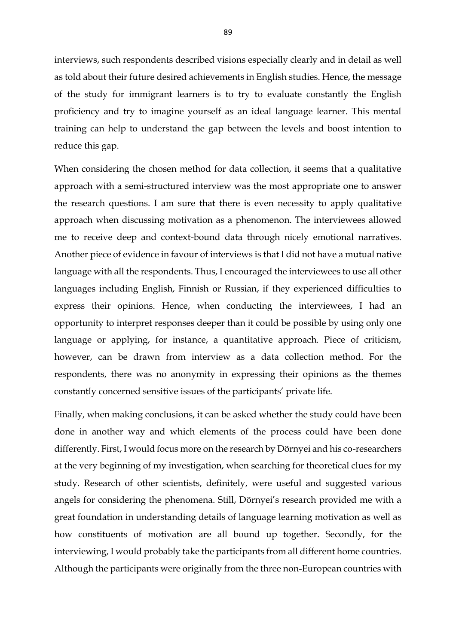interviews, such respondents described visions especially clearly and in detail as well as told about their future desired achievements in English studies. Hence, the message of the study for immigrant learners is to try to evaluate constantly the English proficiency and try to imagine yourself as an ideal language learner. This mental training can help to understand the gap between the levels and boost intention to reduce this gap.

When considering the chosen method for data collection, it seems that a qualitative approach with a semi-structured interview was the most appropriate one to answer the research questions. I am sure that there is even necessity to apply qualitative approach when discussing motivation as a phenomenon. The interviewees allowed me to receive deep and context-bound data through nicely emotional narratives. Another piece of evidence in favour of interviews is that I did not have a mutual native language with all the respondents. Thus, I encouraged the interviewees to use all other languages including English, Finnish or Russian, if they experienced difficulties to express their opinions. Hence, when conducting the interviewees, I had an opportunity to interpret responses deeper than it could be possible by using only one language or applying, for instance, a quantitative approach. Piece of criticism, however, can be drawn from interview as a data collection method. For the respondents, there was no anonymity in expressing their opinions as the themes constantly concerned sensitive issues of the participants' private life.

Finally, when making conclusions, it can be asked whether the study could have been done in another way and which elements of the process could have been done differently. First, I would focus more on the research by Dörnyei and his co-researchers at the very beginning of my investigation, when searching for theoretical clues for my study. Research of other scientists, definitely, were useful and suggested various angels for considering the phenomena. Still, Dörnyei's research provided me with a great foundation in understanding details of language learning motivation as well as how constituents of motivation are all bound up together. Secondly, for the interviewing, I would probably take the participants from all different home countries. Although the participants were originally from the three non-European countries with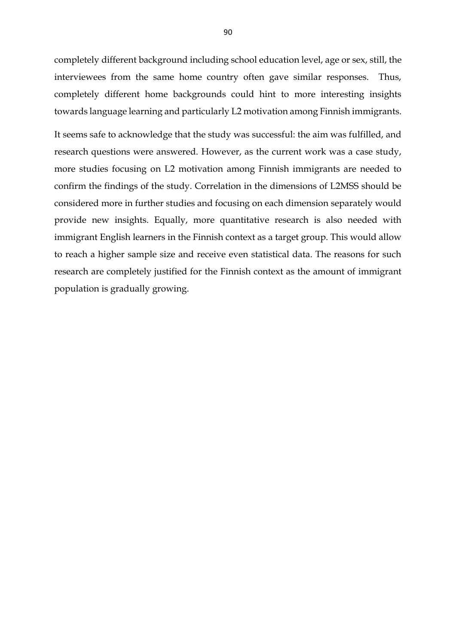completely different background including school education level, age or sex, still, the interviewees from the same home country often gave similar responses. Thus, completely different home backgrounds could hint to more interesting insights towards language learning and particularly L2 motivation among Finnish immigrants.

It seems safe to acknowledge that the study was successful: the aim was fulfilled, and research questions were answered. However, as the current work was a case study, more studies focusing on L2 motivation among Finnish immigrants are needed to confirm the findings of the study. Correlation in the dimensions of L2MSS should be considered more in further studies and focusing on each dimension separately would provide new insights. Equally, more quantitative research is also needed with immigrant English learners in the Finnish context as a target group. This would allow to reach a higher sample size and receive even statistical data. The reasons for such research are completely justified for the Finnish context as the amount of immigrant population is gradually growing.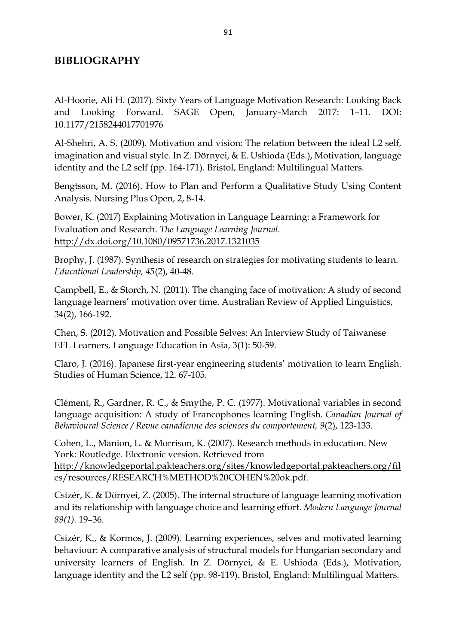# **BIBLIOGRAPHY**

Al-Hoorie, Ali H. (2017). Sixty Years of Language Motivation Research: Looking Back and Looking Forward. SAGE Open, January-March 2017: 1–11. DOI: 10.1177/2158244017701976

Al-Shehri, A. S. (2009). Motivation and vision: The relation between the ideal L2 self, imagination and visual style. In Z. Dörnyei, & E. Ushioda (Eds.), Motivation, language identity and the L2 self (pp. 164-171). Bristol, England: Multilingual Matters.

Bengtsson, M. (2016). How to Plan and Perform a Qualitative Study Using Content Analysis. Nursing Plus Open, 2, 8-14.

Bower, K. (2017) Explaining Motivation in Language Learning: a Framework for Evaluation and Research. *The Language Learning Journal.*  <http://dx.doi.org/10.1080/09571736.2017.1321035>

Brophy, J. (1987). Synthesis of research on strategies for motivating students to learn. *Educational Leadership, 45*(2), 40-48.

Campbell, E., & Storch, N. (2011). The changing face of motivation: A study of second language learners' motivation over time. Australian Review of Applied Linguistics, 34(2), 166-192.

Chen, S. (2012). Motivation and Possible Selves: An Interview Study of Taiwanese EFL Learners. Language Education in Asia, 3(1): 50-59.

Claro, J. (2016). Japanese first-year engineering students' motivation to learn English. Studies of Human Science, 12. 67-105.

Clément, R., Gardner, R. C., & Smythe, P. C. (1977). Motivational variables in second language acquisition: A study of Francophones learning English. *Canadian Journal of Behavioural Science / Revue canadienne des sciences du comportement, 9*(2), 123-133.

Cohen, L., Manion, L. & Morrison, K. (2007). Research methods in education. New York: Routledge. Electronic version. Retrieved from [http://knowledgeportal.pakteachers.org/sites/knowledgeportal.pakteachers.org/fil](http://knowledgeportal.pakteachers.org/sites/knowledgeportal.pakteachers.org/files/resources/RESEARCH%25METHOD%20COHEN%20ok.pdf) [es/resources/RESEARCH%METHOD%20COHEN%20ok.pdf.](http://knowledgeportal.pakteachers.org/sites/knowledgeportal.pakteachers.org/files/resources/RESEARCH%25METHOD%20COHEN%20ok.pdf)

Csizér, K. & Dörnyei, Z. (2005). The internal structure of language learning motivation and its relationship with language choice and learning effort*. Modern Language Journal 89(1).* 19–36.

Csizér, K., & Kormos, J. (2009). Learning experiences, selves and motivated learning behaviour: A comparative analysis of structural models for Hungarian secondary and university learners of English. In Z. Dörnyei, & E. Ushioda (Eds.), Motivation, language identity and the L2 self (pp. 98-119). Bristol, England: Multilingual Matters.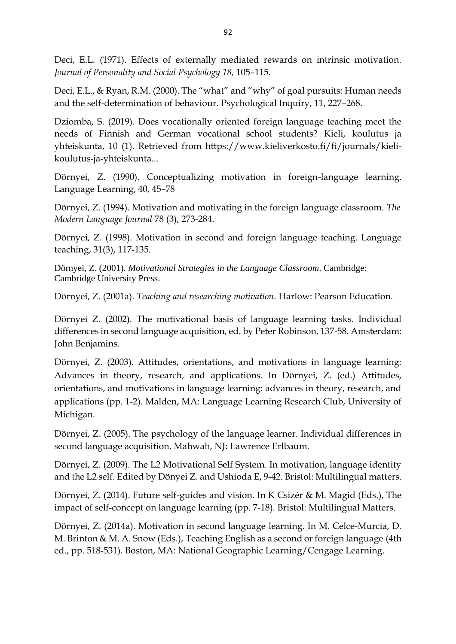Deci, E.L. (1971). Effects of externally mediated rewards on intrinsic motivation. *Journal of Personality and Social Psychology 18,* 105–115.

Deci, E.L., & Ryan, R.M. (2000). The "what" and "why" of goal pursuits: Human needs and the self-determination of behaviour. Psychological Inquiry, 11, 227–268.

Dziomba, S. (2019). Does vocationally oriented foreign language teaching meet the needs of Finnish and German vocational school students? Kieli, koulutus ja yhteiskunta, 10 (1). Retrieved from https://www.kieliverkosto.fi/fi/journals/kielikoulutus-ja-yhteiskunta...

Dörnyei, Z. (1990). Conceptualizing motivation in foreign-language learning. Language Learning, 40, 45–78

Dörnyei, Z. (1994). Motivation and motivating in the foreign language classroom. *The Modern Language Journal* 78 (3), 273-284.

Dörnyei, Z. (1998). Motivation in second and foreign language teaching. Language teaching, 31(3), 117-135.

Dörnyei, Z. (2001). *Motivational Strategies in the Language Classroom*. Cambridge: Cambridge University Press.

Dörnyei, Z. (2001a). *Teaching and researching motivation*. Harlow: Pearson Education.

Dörnyei Z. (2002). The motivational basis of language learning tasks. Individual differences in second language acquisition, ed. by Peter Robinson, 137-58. Amsterdam: John Benjamins.

Dörnyei, Z. (2003). Attitudes, orientations, and motivations in language learning: Advances in theory, research, and applications. In Dörnyei, Z. (ed.) Attitudes, orientations, and motivations in language learning: advances in theory, research, and applications (pp. 1-2). Malden, MA: Language Learning Research Club, University of Michigan.

Dörnyei, Z. (2005). The psychology of the language learner. Individual differences in second language acquisition. Mahwah, NJ: Lawrence Erlbaum.

Dörnyei, Z. (2009). The L2 Motivational Self System. In motivation, language identity and the L2 self. Edited by Dönyei Z. and Ushioda E, 9-42. Bristol: Multilingual matters.

Dörnyei, Z. (2014). Future self-guides and vision. In K Csizér & M. Magid (Eds.), The impact of self-concept on language learning (pp. 7-18). Bristol: Multilingual Matters.

Dörnyei, Z. (2014a). Motivation in second language learning. In M. Celce-Murcia, D. M. Brinton & M. A. Snow (Eds.), Teaching English as a second or foreign language (4th ed., pp. 518-531). Boston, MA: National Geographic Learning/Cengage Learning.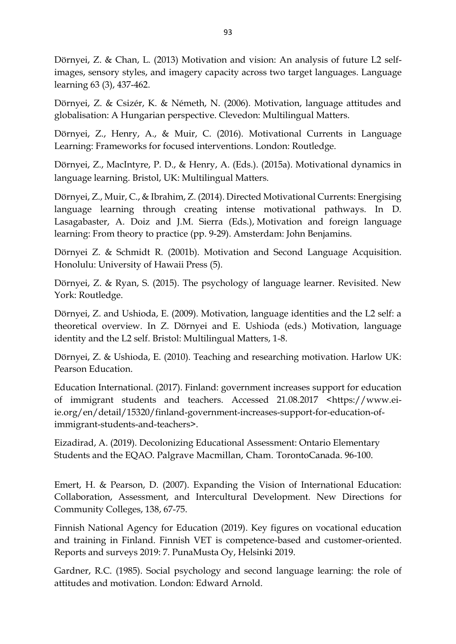Dörnyei, Z. & Chan, L. (2013) Motivation and vision: An analysis of future L2 selfimages, sensory styles, and imagery capacity across two target languages. Language learning 63 (3), 437-462.

Dörnyei, Z. & Csizér, K. & Németh, N. (2006). Motivation, language attitudes and globalisation: A Hungarian perspective. Clevedon: Multilingual Matters.

Dörnyei, Z., Henry, A., & Muir, C. (2016). Motivational Currents in Language Learning: Frameworks for focused interventions. London: Routledge.

Dörnyei, Z., MacIntyre, P. D., & Henry, A. (Eds.). (2015a). Motivational dynamics in language learning. Bristol, UK: Multilingual Matters.

Dörnyei, Z., Muir, C., & Ibrahim, Z. (2014). Directed Motivational Currents: Energising language learning through creating intense motivational pathways. In D. Lasagabaster, A. Doiz and J.M. Sierra (Eds.), Motivation and foreign language learning: From theory to practice (pp. 9-29). Amsterdam: John Benjamins.

Dörnyei Z. & Schmidt R. (2001b). Motivation and Second Language Acquisition. Honolulu: University of Hawaii Press (5).

Dörnyei, Z. & Ryan, S. (2015). The psychology of language learner. Revisited. New York: Routledge.

Dörnyei, Z. and Ushioda, E. (2009). Motivation, language identities and the L2 self: a theoretical overview. In Z. Dörnyei and E. Ushioda (eds.) Motivation, language identity and the L2 self. Bristol: Multilingual Matters, 1-8.

Dörnyei, Z. & Ushioda, E. (2010). Teaching and researching motivation. Harlow UK: Pearson Education.

Education International. (2017). Finland: government increases support for education of immigrant students and teachers. Accessed 21.08.2017 [<https://www.ei](https://www.ei-ie.org/en/detail/15320/finland-government-increases-support-for-education-of-immigrant-students-and-teachers)[ie.org/en/detail/15320/finland-government-increases-support-for-education-of](https://www.ei-ie.org/en/detail/15320/finland-government-increases-support-for-education-of-immigrant-students-and-teachers)[immigrant-students-and-teachers>](https://www.ei-ie.org/en/detail/15320/finland-government-increases-support-for-education-of-immigrant-students-and-teachers).

Eizadirad, A. (2019). Decolonizing Educational Assessment: Ontario Elementary Students and the EQAO. Palgrave Macmillan, Cham. TorontoCanada. 96-100.

Emert, H. & Pearson, D. (2007). Expanding the Vision of International Education: Collaboration, Assessment, and Intercultural Development. New Directions for Community Colleges, 138, 67-75.

Finnish National Agency for Education (2019). Key figures on vocational education and training in Finland. Finnish VET is competence-based and customer-oriented. Reports and surveys 2019: 7. PunaMusta Oy, Helsinki 2019.

Gardner, R.C. (1985). Social psychology and second language learning: the role of attitudes and motivation. London: Edward Arnold.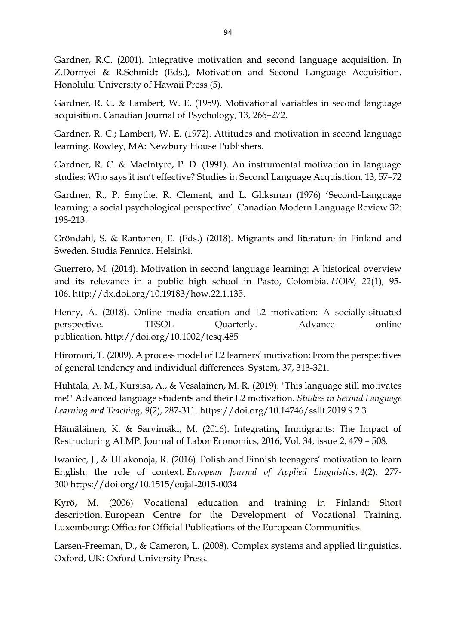Gardner, R.C. (2001). Integrative motivation and second language acquisition. In Z.Dörnyei & R.Schmidt (Eds.), Motivation and Second Language Acquisition. Honolulu: University of Hawaii Press (5).

Gardner, R. C. & Lambert, W. E. (1959). Motivational variables in second language acquisition. Canadian Journal of Psychology, 13, 266–272.

Gardner, R. C.; Lambert, W. E. (1972). Attitudes and motivation in second language learning. Rowley, MA: Newbury House Publishers.

Gardner, R. C. & MacIntyre, P. D. (1991). An instrumental motivation in language studies: Who says it isn't effective? Studies in Second Language Acquisition, 13, 57–72

Gardner, R., P. Smythe, R. Clement, and L. Gliksman (1976) 'Second-Language learning: a social psychological perspective'. Canadian Modern Language Review 32: 198-213.

Gröndahl, S. & Rantonen, E. (Eds.) (2018). Migrants and literature in Finland and Sweden. Studia Fennica. Helsinki.

Guerrero, M. (2014). Motivation in second language learning: A historical overview and its relevance in a public high school in Pasto, Colombia. *HOW, 22*(1), 95- 106. [http://dx.doi.org/10.19183/how.22.1.135.](http://dx.doi.org/10.19183/how.22.1.135)

Henry, A. (2018). Online media creation and L2 motivation: A socially-situated perspective. TESOL Quarterly. Advance online publication. <http://doi.org/10.1002/tesq.485>

Hiromori, T. (2009). A process model of L2 learners' motivation: From the perspectives of general tendency and individual differences. System, 37, 313-321.

Huhtala, A. M., Kursisa, A., & Vesalainen, M. R. (2019). "This language still motivates me!" Advanced language students and their L2 motivation. *Studies in Second Language Learning and Teaching*, *9*(2), 287-311. <https://doi.org/10.14746/ssllt.2019.9.2.3>

Hämäläinen, K. & Sarvimäki, M. (2016). Integrating Immigrants: The Impact of Restructuring ALMP. Journal of Labor Economics, 2016, Vol. 34, issue 2, 479 – 508.

Iwaniec, J., & Ullakonoja, R. (2016). Polish and Finnish teenagers' motivation to learn English: the role of context. *European Journal of Applied Linguistics*, *4*(2), 277- 300 <https://doi.org/10.1515/eujal-2015-0034>

Kyrö, M. (2006) Vocational education and training in Finland: Short description. European Centre for the Development of Vocational Training. Luxembourg: Office for Official Publications of the European Communities.

Larsen-Freeman, D., & Cameron, L. (2008). Complex systems and applied linguistics. Oxford, UK: Oxford University Press.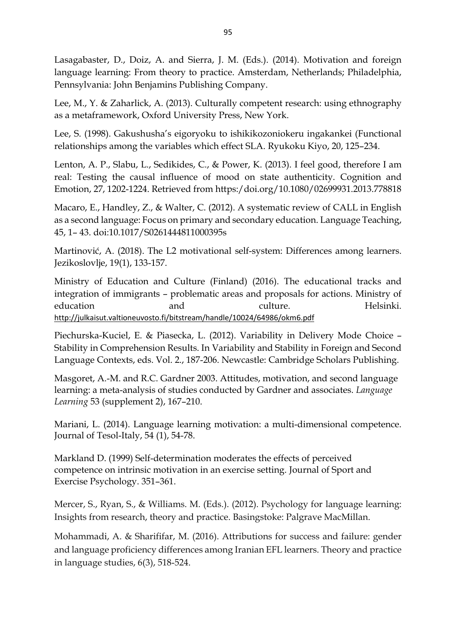Lasagabaster, D., Doiz, A. and Sierra, J. M. (Eds.). (2014). Motivation and foreign language learning: From theory to practice. Amsterdam, Netherlands; Philadelphia, Pennsylvania: John Benjamins Publishing Company.

Lee, M., Y. & Zaharlick, A. (2013). Culturally competent research: using ethnography as a metaframework, Oxford University Press, New York.

Lee, S. (1998). Gakushusha's eigoryoku to ishikikozoniokeru ingakankei (Functional relationships among the variables which effect SLA. Ryukoku Kiyo, 20, 125–234.

Lenton, A. P., Slabu, L., Sedikides, C., & Power, K. (2013). I feel good, therefore I am real: Testing the causal influence of mood on state authenticity. Cognition and Emotion, 27, 1202-1224. Retrieved from https:/doi.org/10.1080/02699931.2013.778818

Macaro, E., Handley, Z., & Walter, C. (2012). A systematic review of CALL in English as a second language: Focus on primary and secondary education. Language Teaching, 45, 1– 43. doi:10.1017/S0261444811000395s

Martinović, A. (2018). The L2 motivational self-system: Differences among learners. Jezikoslovlje, 19(1), 133-157.

Ministry of Education and Culture (Finland) (2016). The educational tracks and integration of immigrants – problematic areas and proposals for actions. Ministry of education and and culture. Helsinki. <http://julkaisut.valtioneuvosto.fi/bitstream/handle/10024/64986/okm6.pdf>

Piechurska-Kuciel, E. & Piasecka, L. (2012). Variability in Delivery Mode Choice – Stability in Comprehension Results. In Variability and Stability in Foreign and Second Language Contexts, eds. Vol. 2., 187-206. Newcastle: Cambridge Scholars Publishing.

Masgoret, A.-M. and R.C. Gardner 2003. Attitudes, motivation, and second language learning: a meta-analysis of studies conducted by Gardner and associates. *Language Learning* 53 (supplement 2), 167–210.

Mariani, L. (2014). Language learning motivation: a multi-dimensional competence. Journal of Tesol-Italy, 54 (1), 54-78.

Markland D. (1999) Self-determination moderates the effects of perceived competence on intrinsic motivation in an exercise setting. Journal of Sport and Exercise Psychology. 351–361.

Mercer, S., Ryan, S., & Williams. M. (Eds.). (2012). Psychology for language learning: Insights from research, theory and practice. Basingstoke: Palgrave MacMillan.

Mohammadi, A. & Sharififar, M. (2016). Attributions for success and failure: gender and language proficiency differences among Iranian EFL learners. Theory and practice in language studies, 6(3), 518-524.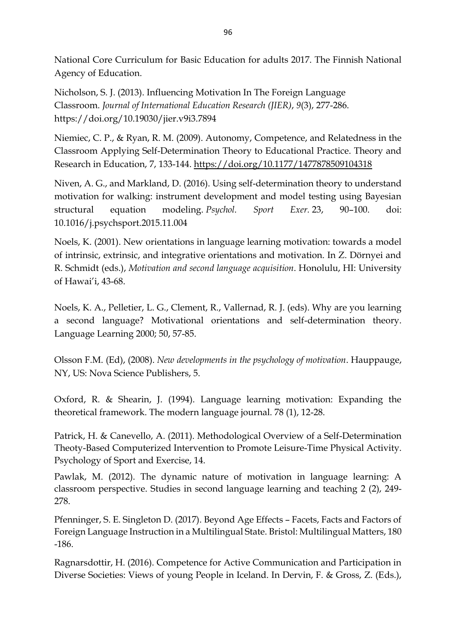National Core Curriculum for Basic Education for adults 2017. The Finnish National Agency of Education.

Nicholson, S. J. (2013). Influencing Motivation In The Foreign Language Classroom. *Journal of International Education Research (JIER)*, *9*(3), 277-286. https://doi.org/10.19030/jier.v9i3.7894

Niemiec, C. P., & Ryan, R. M. (2009). Autonomy, Competence, and Relatedness in the Classroom Applying Self-Determination Theory to Educational Practice. Theory and Research in Education, 7, 133-144. <https://doi.org/10.1177/1477878509104318>

Niven, A. G., and Markland, D. (2016). Using self-determination theory to understand motivation for walking: instrument development and model testing using Bayesian structural equation modeling. *Psychol. Sport Exer.* 23, 90–100. doi: 10.1016/j.psychsport.2015.11.004

Noels, K. (2001). New orientations in language learning motivation: towards a model of intrinsic, extrinsic, and integrative orientations and motivation. In Z. Dörnyei and R. Schmidt (eds.), *Motivation and second language acquisition*. Honolulu, HI: University of Hawai'i, 43-68.

Noels, K. A., Pelletier, L. G., Clement, R., Vallernad, R. J. (eds). Why are you learning a second language? Motivational orientations and self-determination theory. Language Learning 2000; 50, 57-85.

Olsson F.M. (Ed), (2008). *New developments in the psychology of motivation*. Hauppauge, NY, US: Nova Science Publishers, 5.

Oxford, R. & Shearin, J. (1994). Language learning motivation: Expanding the theoretical framework. The modern language journal. 78 (1), 12-28.

Patrick, H. & Canevello, A. (2011). Methodological Overview of a Self-Determination Theoty-Based Computerized Intervention to Promote Leisure-Time Physical Activity. Psychology of Sport and Exercise, 14.

Pawlak, M. (2012). The dynamic nature of motivation in language learning: A classroom perspective. Studies in second language learning and teaching 2 (2), 249- 278.

Pfenninger, S. E. Singleton D. (2017). Beyond Age Effects – Facets, Facts and Factors of Foreign Language Instruction in a Multilingual State. Bristol: Multilingual Matters, 180 -186.

Ragnarsdottir, H. (2016). Competence for Active Communication and Participation in Diverse Societies: Views of young People in Iceland. In Dervin, F. & Gross, Z. (Eds.),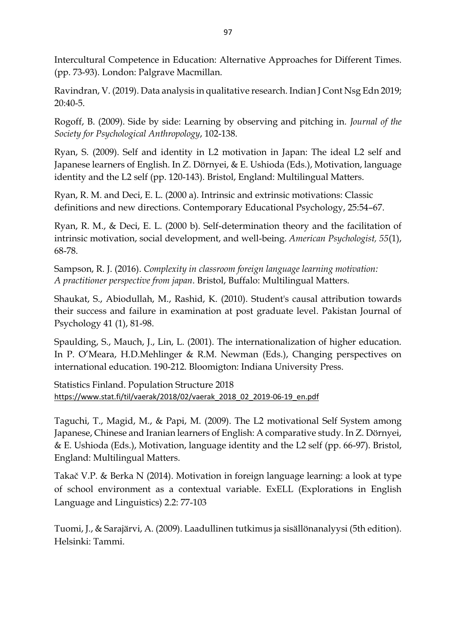Intercultural Competence in Education: Alternative Approaches for Different Times. (pp. 73-93). London: Palgrave Macmillan.

Ravindran, V. (2019). Data analysis in qualitative research. Indian J Cont Nsg Edn 2019; 20:40-5.

Rogoff, B. (2009). Side by side: Learning by observing and pitching in*. Journal of the Society for Psychological Anthropology*, 102-138.

Ryan, S. (2009). Self and identity in L2 motivation in Japan: The ideal L2 self and Japanese learners of English. In Z. Dörnyei, & E. Ushioda (Eds.), Motivation, language identity and the L2 self (pp. 120-143). Bristol, England: Multilingual Matters.

Ryan, R. M. and Deci, E. L. (2000 a). Intrinsic and extrinsic motivations: Classic definitions and new directions. Contemporary Educational Psychology, 25:54–67.

Ryan, R. M., & Deci, E. L. (2000 b). Self-determination theory and the facilitation of intrinsic motivation, social development, and well-being. *American Psychologist, 55*(1), 68-78.

Sampson, R. J. (2016). *Complexity in classroom foreign language learning motivation: A practitioner perspective from japan*. Bristol, Buffalo: Multilingual Matters.

Shaukat, S., Abiodullah, M., Rashid, K. (2010). [Student's causal attribution towards](javascript:void(0))  [their success and failure in examination at post graduate level.](javascript:void(0)) Pakistan Journal of Psychology 41 (1), 81-98.

Spaulding, S., Mauch, J., Lin, L. (2001). The internationalization of higher education. In P. O'Meara, H.D.Mehlinger & R.M. Newman (Eds.), Changing perspectives on international education. 190-212. Bloomigton: Indiana University Press.

Statistics Finland. Population Structure 2018 [https://www.stat.fi/til/vaerak/2018/02/vaerak\\_2018\\_02\\_2019-06-19\\_en.pdf](https://www.stat.fi/til/vaerak/2018/02/vaerak_2018_02_2019-06-19_en.pdf)

Taguchi, T., Magid, M., & Papi, M. (2009). The L2 motivational Self System among Japanese, Chinese and Iranian learners of English: A comparative study. In Z. Dörnyei, & E. Ushioda (Eds.), Motivation, language identity and the L2 self (pp. 66-97). Bristol, England: Multilingual Matters.

Takač V.P. & Berka N (2014). Motivation in foreign language learning: a look at type of school environment as a contextual variable. ExELL (Explorations in English Language and Linguistics) 2.2: 77-103

Tuomi, J., & Sarajärvi, A. (2009). Laadullinen tutkimus ja sisällönanalyysi (5th edition). Helsinki: Tammi.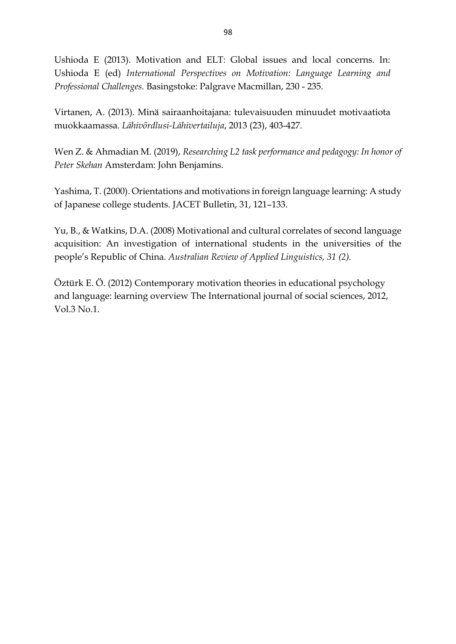Ushioda E (2013). Motivation and ELT: Global issues and local concerns. In: Ushioda E (ed) *International Perspectives on Motivation: Language Learning and Professional Challenges.* Basingstoke: Palgrave Macmillan, 230 - 235.

Virtanen, A. (2013). Minä sairaanhoitajana: tulevaisuuden minuudet motivaatiota muokkaamassa. *Lähivõrdlusi-Lähivertailuja*, 2013 (23), 403-427.

Wen Z. & Ahmadian M. (2019), *Researching L2 task performance and pedagogy: In honor of Peter Skehan* Amsterdam: John Benjamins.

Yashima, T. (2000). Orientations and motivations in foreign language learning: A study of Japanese college students. JACET Bulletin, 31, 121–133.

Yu, B., & Watkins, D.A. (2008) Motivational and cultural correlates of second language acquisition: An investigation of international students in the universities of the people's Republic of China. *Australian Review of Applied Linguistics, 31 (2).*

Öztürk E. Ö. (2012) Contemporary motivation theories in educational psychology and language: learning overview The International journal of social sciences, 2012, Vol.3 No.1.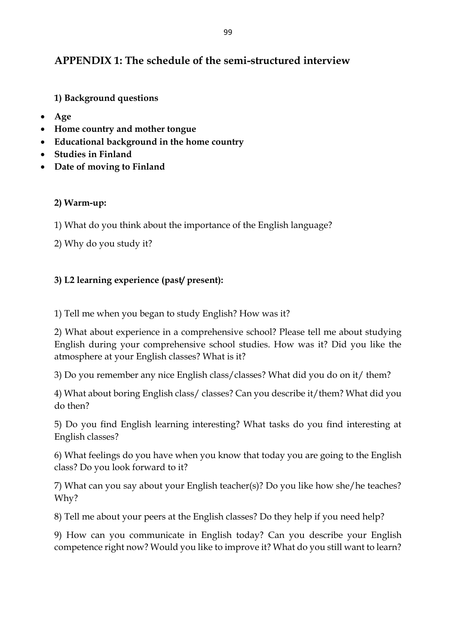# **APPENDIX 1: The schedule of the semi-structured interview**

**1) Background questions**

- **Age**
- **Home country and mother tongue**
- **Educational background in the home country**
- **Studies in Finland**
- **Date of moving to Finland**

# **2) Warm-up:**

- 1) What do you think about the importance of the English language?
- 2) Why do you study it?

# **3) L2 learning experience (past/ present):**

1) Tell me when you began to study English? How was it?

2) What about experience in a comprehensive school? Please tell me about studying English during your comprehensive school studies. How was it? Did you like the atmosphere at your English classes? What is it?

3) Do you remember any nice English class/classes? What did you do on it/ them?

4) What about boring English class/ classes? Can you describe it/them? What did you do then?

5) Do you find English learning interesting? What tasks do you find interesting at English classes?

6) What feelings do you have when you know that today you are going to the English class? Do you look forward to it?

7) What can you say about your English teacher(s)? Do you like how she/he teaches? Why?

8) Tell me about your peers at the English classes? Do they help if you need help?

9) How can you communicate in English today? Can you describe your English competence right now? Would you like to improve it? What do you still want to learn?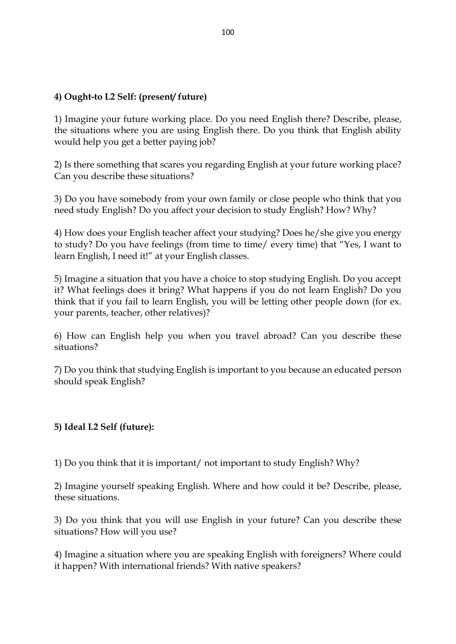# **4) Ought-to L2 Self: (present/ future)**

1) Imagine your future working place. Do you need English there? Describe, please, the situations where you are using English there. Do you think that English ability would help you get a better paying job?

2) Is there something that scares you regarding English at your future working place? Can you describe these situations?

3) Do you have somebody from your own family or close people who think that you need study English? Do you affect your decision to study English? How? Why?

4) How does your English teacher affect your studying? Does he/she give you energy to study? Do you have feelings (from time to time/ every time) that "Yes, I want to learn English, I need it!" at your English classes.

5) Imagine a situation that you have a choice to stop studying English. Do you accept it? What feelings does it bring? What happens if you do not learn English? Do you think that if you fail to learn English, you will be letting other people down (for ex. your parents, teacher, other relatives)?

6) How can English help you when you travel abroad? Can you describe these situations?

7) Do you think that studying English is important to you because an educated person should speak English?

## **5) Ideal L2 Self (future):**

1) Do you think that it is important/ not important to study English? Why?

2) Imagine yourself speaking English. Where and how could it be? Describe, please, these situations.

3) Do you think that you will use English in your future? Can you describe these situations? How will you use?

4) Imagine a situation where you are speaking English with foreigners? Where could it happen? With international friends? With native speakers?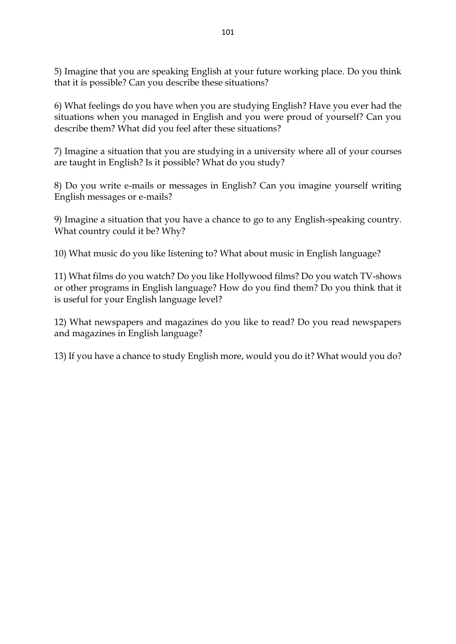5) Imagine that you are speaking English at your future working place. Do you think that it is possible? Can you describe these situations?

6) What feelings do you have when you are studying English? Have you ever had the situations when you managed in English and you were proud of yourself? Can you describe them? What did you feel after these situations?

7) Imagine a situation that you are studying in a university where all of your courses are taught in English? Is it possible? What do you study?

8) Do you write e-mails or messages in English? Can you imagine yourself writing English messages or e-mails?

9) Imagine a situation that you have a chance to go to any English-speaking country. What country could it be? Why?

10) What music do you like listening to? What about music in English language?

11) What films do you watch? Do you like Hollywood films? Do you watch TV-shows or other programs in English language? How do you find them? Do you think that it is useful for your English language level?

12) What newspapers and magazines do you like to read? Do you read newspapers and magazines in English language?

13) If you have a chance to study English more, would you do it? What would you do?